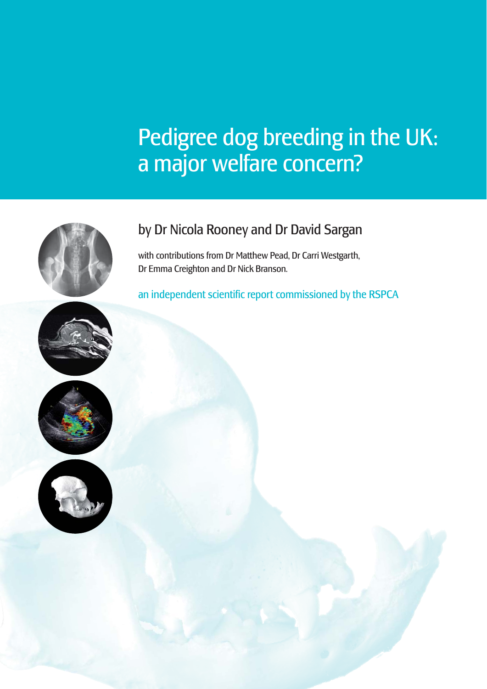## Pedigree dog breeding in the UK: a major welfare concern?



## by Dr Nicola Rooney and Dr David Sargan

with contributions from Dr Matthew Pead, Dr Carri Westgarth, Dr Emma Creighton and Dr Nick Branson.

an independent scientific report commissioned by the RSPCA





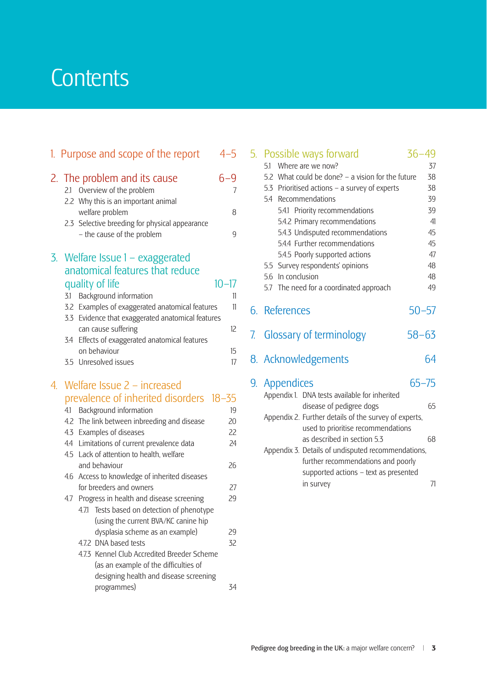## **Contents**

|    |     | 1. Purpose and scope of the report                          | $4 - 5$   |
|----|-----|-------------------------------------------------------------|-----------|
|    |     | 2. The problem and its cause<br>2.1 Overview of the problem | 6–9<br>7  |
|    |     | 2.2 Why this is an important animal<br>welfare problem      | 8         |
|    |     | 2.3 Selective breeding for physical appearance              |           |
|    |     | - the cause of the problem                                  | 9         |
|    |     | 3. Welfare Issue 1 – exaggerated                            |           |
|    |     | anatomical features that reduce                             |           |
|    |     | quality of life                                             | $10 - 17$ |
|    | 3.1 | Background information                                      | 11        |
|    |     | 3.2 Examples of exaggerated anatomical features             | 11        |
|    |     | 3.3 Evidence that exaggerated anatomical features           |           |
|    |     | can cause suffering                                         | 12        |
|    | 3.4 | Effects of exaggerated anatomical features                  |           |
|    |     | on behaviour                                                | 15        |
|    |     | 3.5 Unresolved issues                                       | 17        |
| 4. |     | Welfare Issue $2$ – increased                               |           |
|    |     | prevalence of inherited disorders 18-35                     |           |
|    |     | 4.1 Background information                                  | 19        |
|    |     | 4.2 The link between inbreeding and disease                 | 20        |
|    |     | 4.3 Examples of diseases                                    | 22        |
|    |     | 4.4 Limitations of current prevalence data                  | 24        |
|    |     | 4.5 Lack of attention to health, welfare                    |           |
|    |     | and behaviour                                               | 26        |
|    |     | 4.6 Access to knowledge of inherited diseases               |           |
|    |     | for breeders and owners                                     | 27        |
|    | 4.7 | Progress in health and disease screening                    | 29        |
|    |     | 4.7.1 Tests based on detection of phenotype                 |           |
|    |     | (using the current BVA/KC canine hip                        |           |
|    |     | dysplasia scheme as an example)<br>4.7.2 DNA based tests    | 29<br>32  |
|    |     | 4.7.3 Kennel Club Accredited Breeder Scheme                 |           |
|    |     | (as an example of the difficulties of                       |           |
|    |     | designing health and disease screening                      |           |
|    |     | programmes)                                                 | 34        |
|    |     |                                                             |           |

|    | 5. Possible ways forward<br>5.1 Where are we now?                                                    | $36 - 49$<br>37 |
|----|------------------------------------------------------------------------------------------------------|-----------------|
|    | 5.2 What could be done? $-$ a vision for the future<br>5.3 Prioritised actions - a survey of experts | 38<br>38        |
|    | 5.4 Recommendations                                                                                  | 39              |
|    | 5.4.1 Priority recommendations                                                                       | 39              |
|    | 5.4.2 Primary recommendations<br>5.4.3 Undisputed recommendations                                    | 41<br>45        |
|    | 5.4.4 Further recommendations                                                                        | 45              |
|    | 5.4.5 Poorly supported actions                                                                       | 47              |
|    | 5.5 Survey respondents' opinions                                                                     | 48              |
|    | 5.6 In conclusion                                                                                    | 48              |
|    | 5.7 The need for a coordinated approach                                                              | 49              |
|    | 6. References                                                                                        | $50 - 57$       |
| 7. | <b>Glossary of terminology</b>                                                                       | $58 - 63$       |
|    | 8. Acknowledgements                                                                                  | 64              |
|    | 9. Appendices                                                                                        | $65 - 75$       |
|    | Appendix 1. DNA tests available for inherited<br>disease of pedigree dogs                            | 65              |
|    | Appendix 2. Further details of the survey of experts,                                                |                 |
|    | used to prioritise recommendations<br>as described in section 5.3                                    | 68              |
|    | Appendix 3. Details of undisputed recommendations,                                                   |                 |
|    | further recommendations and poorly                                                                   |                 |
|    | supported actions - text as presented<br>in survey                                                   | 71              |
|    |                                                                                                      |                 |
|    |                                                                                                      |                 |
|    |                                                                                                      |                 |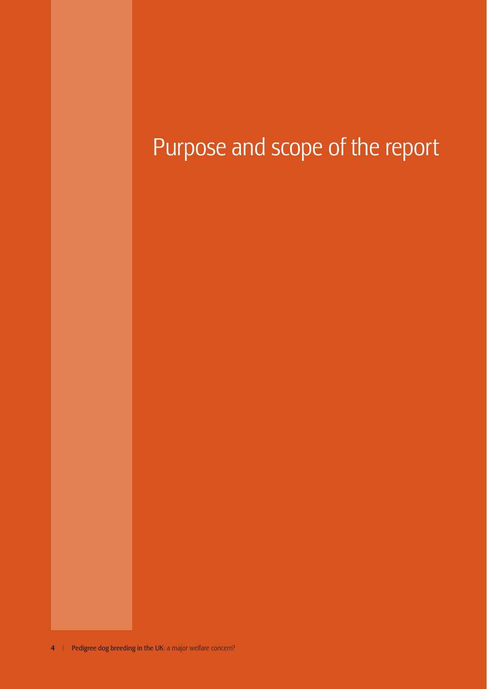# Purpose and scope of the report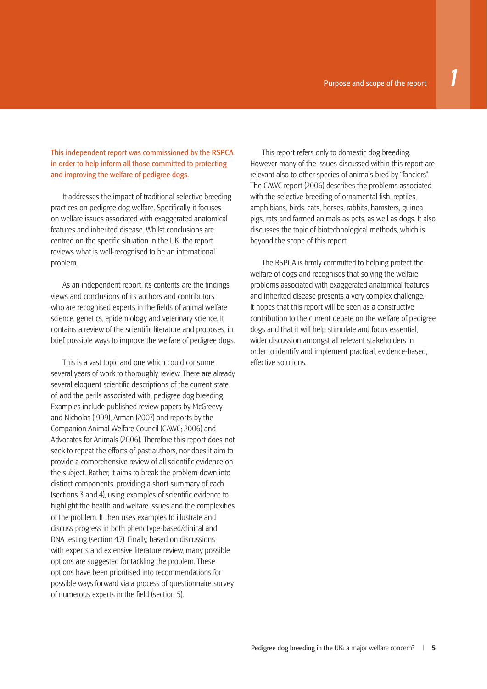This independent report was commissioned by the RSPCA in order to help inform all those committed to protecting and improving the welfare of pedigree dogs.

It addresses the impact of traditional selective breeding practices on pedigree dog welfare. Specifically, it focuses on welfare issues associated with exaggerated anatomical features and inherited disease. Whilst conclusions are centred on the specific situation in the UK, the report reviews what is well-recognised to be an international problem.

As an independent report, its contents are the findings views and conclusions of its authors and contributors, who are recognised experts in the fields of animal welfare science, genetics, epidemiology and veterinary science. It contains a review of the scientific literature and proposes, in brief, possible ways to improve the welfare of pedigree dogs.

This is a vast topic and one which could consume several years of work to thoroughly review. There are already several eloquent scientific descriptions of the current state of, and the perils associated with, pedigree dog breeding. Examples include published review papers by McGreevy and Nicholas (1999), Arman (2007) and reports by the Companion Animal Welfare Council (CAWC; 2006) and Advocates for Animals (2006). Therefore this report does not seek to repeat the efforts of past authors, nor does it aim to provide a comprehensive review of all scientific evidence on the subject. Rather, it aims to break the problem down into distinct components, providing a short summary of each (sections 3 and 4), using examples of scientific evidence to highlight the health and welfare issues and the complexities of the problem. It then uses examples to illustrate and discuss progress in both phenotype-based/clinical and DNA testing (section 4.7). Finally, based on discussions with experts and extensive literature review, many possible options are suggested for tackling the problem. These options have been prioritised into recommendations for possible ways forward via a process of questionnaire survey of numerous experts in the field (section 5).

This report refers only to domestic dog breeding. However many of the issues discussed within this report are relevant also to other species of animals bred by "fanciers". The CAWC report (2006) describes the problems associated with the selective breeding of ornamental fish, reptiles, amphibians, birds, cats, horses, rabbits, hamsters, guinea pigs, rats and farmed animals as pets, as well as dogs. It also discusses the topic of biotechnological methods, which is beyond the scope of this report.

The RSPCA is firmly committed to helping protect the welfare of dogs and recognises that solving the welfare problems associated with exaggerated anatomical features and inherited disease presents a very complex challenge. It hopes that this report will be seen as a constructive contribution to the current debate on the welfare of pedigree dogs and that it will help stimulate and focus essential, wider discussion amongst all relevant stakeholders in order to identify and implement practical, evidence-based, effective solutions.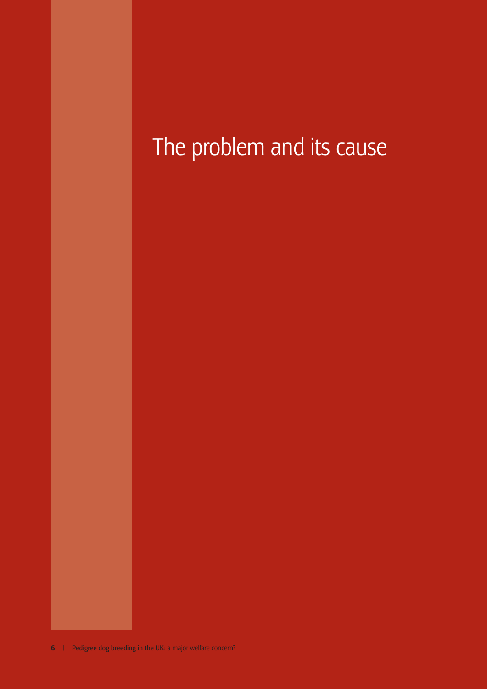## The problem and its cause the report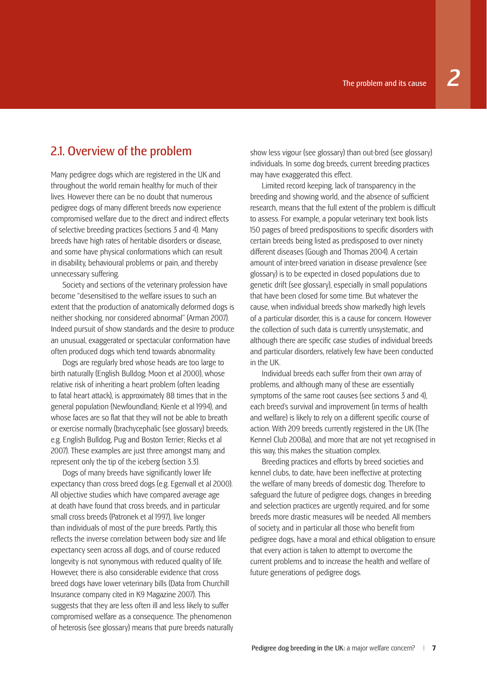#### 2.1. Overview of the problem

Many pedigree dogs which are registered in the UK and throughout the world remain healthy for much of their lives. However there can be no doubt that numerous pedigree dogs of many different breeds now experience compromised welfare due to the direct and indirect effects of selective breeding practices (sections 3 and 4). Many breeds have high rates of heritable disorders or disease, and some have physical conformations which can result in disability, behavioural problems or pain, and thereby unnecessary suffering.

Society and sections of the veterinary profession have become "desensitised to the welfare issues to such an extent that the production of anatomically deformed dogs is neither shocking, nor considered abnormal" (Arman 2007). Indeed pursuit of show standards and the desire to produce an unusual, exaggerated or spectacular conformation have often produced dogs which tend towards abnormality.

Dogs are regularly bred whose heads are too large to birth naturally (English Bulldog; Moon et al 2000), whose relative risk of inheriting a heart problem (often leading to fatal heart attack), is approximately 88 times that in the general population (Newfoundland; Kienle et al 1994), and whose faces are so flat that they will not be able to breath or exercise normally (brachycephalic (see glossary) breeds; e.g. English Bulldog, Pug and Boston Terrier; Riecks et al 2007). These examples are just three amongst many, and represent only the tip of the iceberg (section 3.3).

Dogs of many breeds have significantly lower life expectancy than cross breed dogs (e.g. Egenvall et al 2000). All objective studies which have compared average age at death have found that cross breeds, and in particular small cross breeds (Patronek et al 1997), live longer than individuals of most of the pure breeds. Partly, this reflects the inverse correlation between body size and life expectancy seen across all dogs, and of course reduced longevity is not synonymous with reduced quality of life. However, there is also considerable evidence that cross breed dogs have lower veterinary bills (Data from Churchill Insurance company cited in K9 Magazine 2007). This suggests that they are less often ill and less likely to suffer compromised welfare as a consequence. The phenomenon of heterosis (see glossary) means that pure breeds naturally show less vigour (see glossary) than out-bred (see glossary) individuals. In some dog breeds, current breeding practices may have exaggerated this effect.

Limited record keeping, lack of transparency in the breeding and showing world, and the absence of sufficient research, means that the full extent of the problem is difficult to assess. For example, a popular veterinary text book lists 150 pages of breed predispositions to specific disorders with certain breeds being listed as predisposed to over ninety different diseases (Gough and Thomas 2004). A certain amount of inter-breed variation in disease prevalence (see glossary) is to be expected in closed populations due to genetic drift (see glossary), especially in small populations that have been closed for some time. But whatever the cause, when individual breeds show markedly high levels of a particular disorder, this is a cause for concern. However the collection of such data is currently unsystematic, and although there are specific case studies of individual breeds and particular disorders, relatively few have been conducted in the UK.

Individual breeds each suffer from their own array of problems, and although many of these are essentially symptoms of the same root causes (see sections 3 and 4), each breed's survival and improvement (in terms of health and welfare) is likely to rely on a different specific course of action. With 209 breeds currently registered in the UK (The Kennel Club 2008a), and more that are not yet recognised in this way, this makes the situation complex.

Breeding practices and efforts by breed societies and kennel clubs, to date, have been ineffective at protecting the welfare of many breeds of domestic dog. Therefore to safeguard the future of pedigree dogs, changes in breeding and selection practices are urgently required, and for some breeds more drastic measures will be needed. All members of society, and in particular all those who benefit from pedigree dogs, have a moral and ethical obligation to ensure that every action is taken to attempt to overcome the current problems and to increase the health and welfare of future generations of pedigree dogs.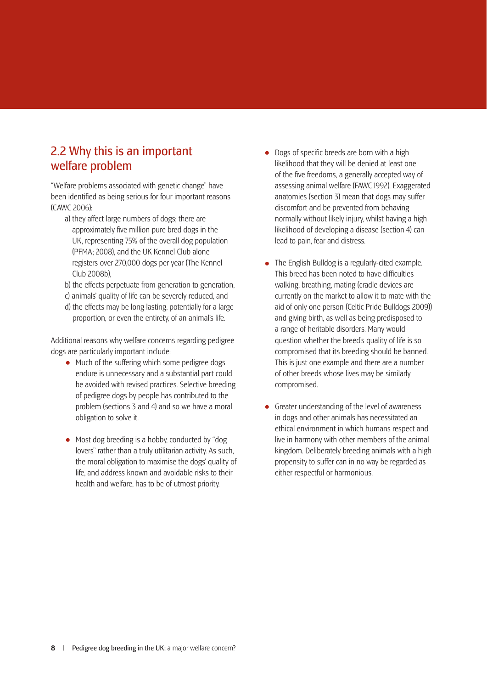### 2.2 Why this is an important welfare problem

"Welfare problems associated with genetic change" have been identified as being serious for four important reasons (CAWC 2006):

- a) they affect large numbers of dogs; there are approximately five million pure bred dogs in the UK, representing 75% of the overall dog population (PFMA; 2008), and the UK Kennel Club alone registers over 270,000 dogs per year (The Kennel Club 2008b),
- b) the effects perpetuate from generation to generation,
- c) animals' quality of life can be severely reduced, and d) the effects may be long lasting, potentially for a large
- proportion, or even the entirety, of an animal's life.

Additional reasons why welfare concerns regarding pedigree dogs are particularly important include:

- Much of the suffering which some pedigree dogs endure is unnecessary and a substantial part could be avoided with revised practices. Selective breeding of pedigree dogs by people has contributed to the problem (sections 3 and 4) and so we have a moral obligation to solve it.
- Most dog breeding is a hobby, conducted by "dog" lovers" rather than a truly utilitarian activity. As such, the moral obligation to maximise the dogs' quality of life, and address known and avoidable risks to their health and welfare, has to be of utmost priority.
- $\bullet$  Dogs of specific breeds are born with a high likelihood that they will be denied at least one of the five freedoms, a generally accepted way of assessing animal welfare (FAWC 1992). Exaggerated anatomies (section 3) mean that dogs may suffer discomfort and be prevented from behaving normally without likely injury, whilst having a high likelihood of developing a disease (section 4) can lead to pain, fear and distress.
- The English Bulldog is a regularly-cited example. This breed has been noted to have difficulties walking, breathing, mating (cradle devices are currently on the market to allow it to mate with the aid of only one person (Celtic Pride Bulldogs 2009)) and giving birth, as well as being predisposed to a range of heritable disorders. Many would question whether the breed's quality of life is so compromised that its breeding should be banned. This is just one example and there are a number of other breeds whose lives may be similarly compromised.
- Greater understanding of the level of awareness in dogs and other animals has necessitated an ethical environment in which humans respect and live in harmony with other members of the animal kingdom. Deliberately breeding animals with a high propensity to suffer can in no way be regarded as either respectful or harmonious.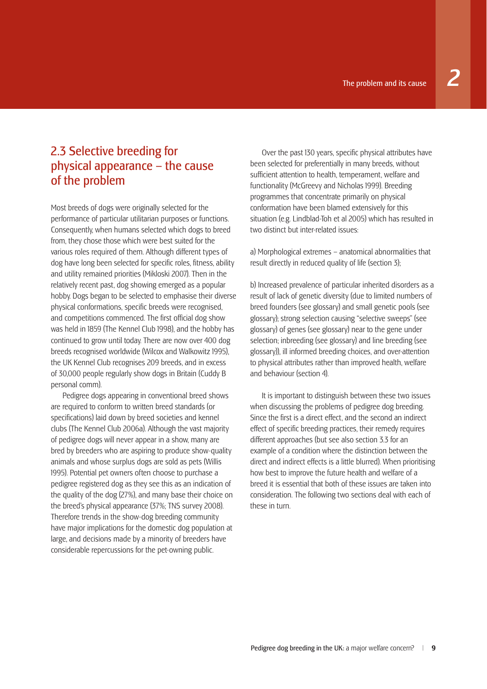### 2.3 Selective breeding for physical appearance – the cause of the problem

Most breeds of dogs were originally selected for the performance of particular utilitarian purposes or functions. Consequently, when humans selected which dogs to breed from, they chose those which were best suited for the various roles required of them. Although different types of dog have long been selected for specific roles, fitness, ability and utility remained priorities (Mikloski 2007). Then in the relatively recent past, dog showing emerged as a popular hobby. Dogs began to be selected to emphasise their diverse physical conformations, specific breeds were recognised, and competitions commenced. The first official dog show was held in 1859 (The Kennel Club 1998), and the hobby has continued to grow until today. There are now over 400 dog breeds recognised worldwide (Wilcox and Walkowitz 1995), the UK Kennel Club recognises 209 breeds, and in excess of 30,000 people regularly show dogs in Britain (Cuddy B personal comm).

Pedigree dogs appearing in conventional breed shows are required to conform to written breed standards (or specifications) laid down by breed societies and kennel clubs (The Kennel Club 2006a). Although the vast majority of pedigree dogs will never appear in a show, many are bred by breeders who are aspiring to produce show-quality animals and whose surplus dogs are sold as pets (Willis 1995). Potential pet owners often choose to purchase a pedigree registered dog as they see this as an indication of the quality of the dog (27%), and many base their choice on the breed's physical appearance (37%; TNS survey 2008). Therefore trends in the show-dog breeding community have major implications for the domestic dog population at large, and decisions made by a minority of breeders have considerable repercussions for the pet-owning public.

Over the past 130 years, specific physical attributes have been selected for preferentially in many breeds, without sufficient attention to health, temperament, welfare and functionality (McGreevy and Nicholas 1999). Breeding programmes that concentrate primarily on physical conformation have been blamed extensively for this situation (e.g. Lindblad-Toh et al 2005) which has resulted in two distinct but inter-related issues:

a) Morphological extremes – anatomical abnormalities that result directly in reduced quality of life (section 3);

b) Increased prevalence of particular inherited disorders as a result of lack of genetic diversity (due to limited numbers of breed founders (see glossary) and small genetic pools (see glossary); strong selection causing "selective sweeps" (see glossary) of genes (see glossary) near to the gene under selection; inbreeding (see glossary) and line breeding (see glossary)), ill informed breeding choices, and over-attention to physical attributes rather than improved health, welfare and behaviour (section 4).

It is important to distinguish between these two issues when discussing the problems of pedigree dog breeding. Since the first is a direct effect, and the second an indirect effect of specific breeding practices, their remedy requires different approaches (but see also section 3.3 for an example of a condition where the distinction between the direct and indirect effects is a little blurred). When prioritising how best to improve the future health and welfare of a breed it is essential that both of these issues are taken into consideration. The following two sections deal with each of these in turn.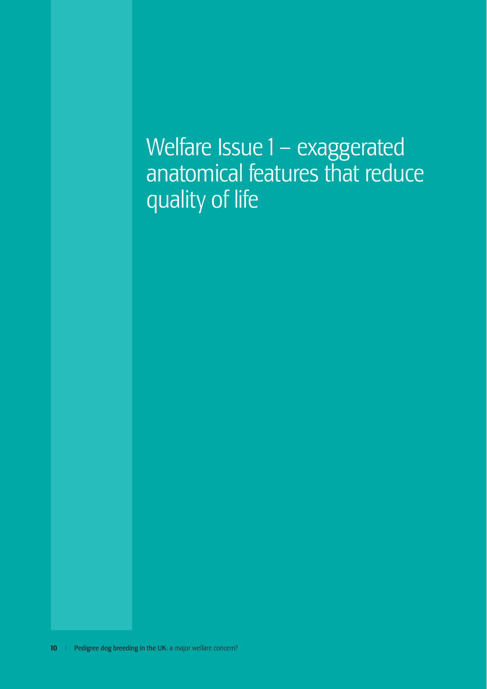Welfare Issue 1 – exaggerated anatomical features that reduce quality of life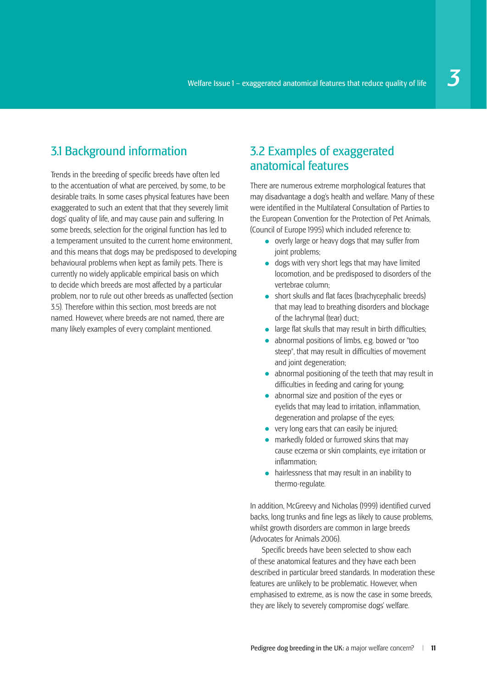## 3.1 Background information

Trends in the breeding of specific breeds have often led to the accentuation of what are perceived, by some, to be desirable traits. In some cases physical features have been exaggerated to such an extent that that they severely limit dogs' quality of life, and may cause pain and suffering. In some breeds, selection for the original function has led to a temperament unsuited to the current home environment, and this means that dogs may be predisposed to developing behavioural problems when kept as family pets. There is currently no widely applicable empirical basis on which to decide which breeds are most affected by a particular problem, nor to rule out other breeds as unaffected (section 3.5). Therefore within this section, most breeds are not named. However, where breeds are not named, there are many likely examples of every complaint mentioned.

### 3.2 Examples of exaggerated anatomical features

There are numerous extreme morphological features that may disadvantage a dog's health and welfare. Many of these were identified in the Multilateral Consultation of Parties to the European Convention for the Protection of Pet Animals, (Council of Europe 1995) which included reference to:

- overly large or heavy dogs that may suffer from joint problems;
- dogs with very short legs that may have limited locomotion, and be predisposed to disorders of the vertebrae column;
- short skulls and flat faces (brachycephalic breeds) that may lead to breathing disorders and blockage of the lachrymal (tear) duct;
- $\bullet$  large flat skulls that may result in birth difficulties:
- abnormal positions of limbs, e.g. bowed or "too steep", that may result in difficulties of movement and joint degeneration;
- abnormal positioning of the teeth that may result in difficulties in feeding and caring for young;
- abnormal size and position of the eyes or eyelids that may lead to irritation, inflammation, degeneration and prolapse of the eyes;
- very long ears that can easily be injured:
- markedly folded or furrowed skins that may cause eczema or skin complaints, eye irritation or  $in$ flammation $\cdot$
- hairlessness that may result in an inability to thermo-regulate.

In addition, McGreevy and Nicholas (1999) identified curved backs, long trunks and fine legs as likely to cause problems. whilst growth disorders are common in large breeds (Advocates for Animals 2006).

Specific breeds have been selected to show each of these anatomical features and they have each been described in particular breed standards. In moderation these features are unlikely to be problematic. However, when emphasised to extreme, as is now the case in some breeds, they are likely to severely compromise dogs' welfare.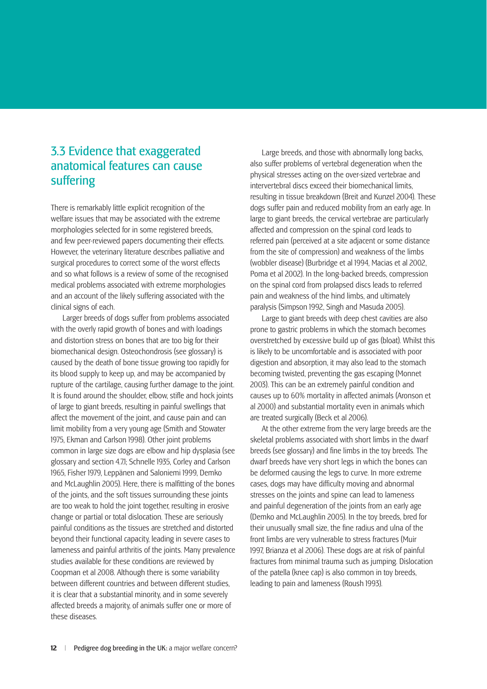#### 3.3 Evidence that exaggerated anatomical features can cause suffering

There is remarkably little explicit recognition of the welfare issues that may be associated with the extreme morphologies selected for in some registered breeds, and few peer-reviewed papers documenting their effects. However, the veterinary literature describes palliative and surgical procedures to correct some of the worst effects and so what follows is a review of some of the recognised medical problems associated with extreme morphologies and an account of the likely suffering associated with the clinical signs of each.

Larger breeds of dogs suffer from problems associated with the overly rapid growth of bones and with loadings and distortion stress on bones that are too big for their biomechanical design. Osteochondrosis (see glossary) is caused by the death of bone tissue growing too rapidly for its blood supply to keep up, and may be accompanied by rupture of the cartilage, causing further damage to the joint. It is found around the shoulder, elbow, stifle and hock joints of large to giant breeds, resulting in painful swellings that affect the movement of the joint, and cause pain and can limit mobility from a very young age (Smith and Stowater 1975, Ekman and Carlson 1998). Other joint problems common in large size dogs are elbow and hip dysplasia (see glossary and section 4.7.1; Schnelle 1935, Corley and Carlson 1965, Fisher 1979, Leppänen and Saloniemi 1999, Demko and McLaughlin 2005). Here, there is malfitting of the bones of the joints, and the soft tissues surrounding these joints are too weak to hold the joint together, resulting in erosive change or partial or total dislocation. These are seriously painful conditions as the tissues are stretched and distorted beyond their functional capacity, leading in severe cases to lameness and painful arthritis of the joints. Many prevalence studies available for these conditions are reviewed by Coopman et al 2008. Although there is some variability between different countries and between different studies, it is clear that a substantial minority, and in some severely affected breeds a majority, of animals suffer one or more of these diseases.

Large breeds, and those with abnormally long backs, also suffer problems of vertebral degeneration when the physical stresses acting on the over-sized vertebrae and intervertebral discs exceed their biomechanical limits, resulting in tissue breakdown (Breit and Kunzel 2004). These dogs suffer pain and reduced mobility from an early age. In large to giant breeds, the cervical vertebrae are particularly affected and compression on the spinal cord leads to referred pain (perceived at a site adjacent or some distance from the site of compression) and weakness of the limbs (wobbler disease) (Burbridge et al 1994, Macias et al 2002, Poma et al 2002). In the long-backed breeds, compression on the spinal cord from prolapsed discs leads to referred pain and weakness of the hind limbs, and ultimately paralysis (Simpson 1992, Singh and Masuda 2005).

Large to giant breeds with deep chest cavities are also prone to gastric problems in which the stomach becomes overstretched by excessive build up of gas (bloat). Whilst this is likely to be uncomfortable and is associated with poor digestion and absorption, it may also lead to the stomach becoming twisted, preventing the gas escaping (Monnet 2003). This can be an extremely painful condition and causes up to 60% mortality in affected animals (Aronson et al 2000) and substantial mortality even in animals which are treated surgically (Beck et al 2006).

At the other extreme from the very large breeds are the skeletal problems associated with short limbs in the dwarf breeds (see glossary) and fine limbs in the toy breeds. The dwarf breeds have very short legs in which the bones can be deformed causing the legs to curve. In more extreme cases, dogs may have difficulty moving and abnormal stresses on the joints and spine can lead to lameness and painful degeneration of the joints from an early age (Demko and McLaughlin 2005). In the toy breeds, bred for their unusually small size, the fine radius and ulna of the front limbs are very vulnerable to stress fractures (Muir 1997, Brianza et al 2006). These dogs are at risk of painful fractures from minimal trauma such as jumping. Dislocation of the patella (knee cap) is also common in toy breeds, leading to pain and lameness (Roush 1993).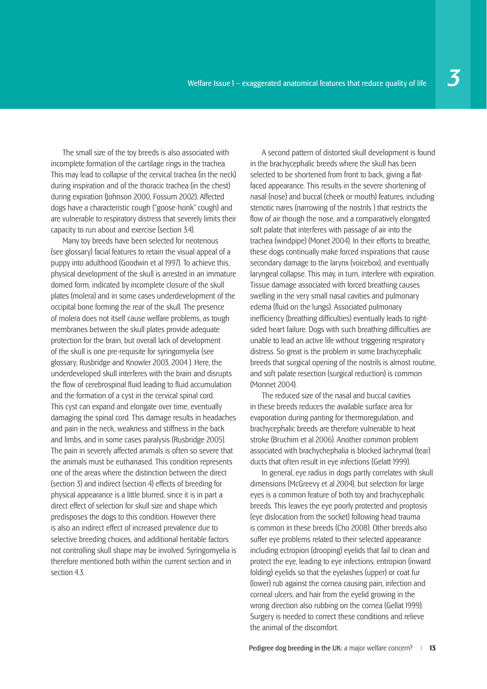The small size of the toy breeds is also associated with incomplete formation of the cartilage rings in the trachea. This may lead to collapse of the cervical trachea (in the neck) during inspiration and of the thoracic trachea (in the chest) during expiration (Johnson 2000, Fossum 2002). Affected dogs have a characteristic cough ("goose-honk" cough) and are vulnerable to respiratory distress that severely limits their capacity to run about and exercise (section 3.4).

Many toy breeds have been selected for neotenous (see glossary) facial features to retain the visual appeal of a puppy into adulthood (Goodwin et al 1997). To achieve this, physical development of the skull is arrested in an immature domed form, indicated by incomplete closure of the skull plates (molera) and in some cases underdevelopment of the occipital bone forming the rear of the skull. The presence of molera does not itself cause welfare problems, as tough membranes between the skull plates provide adequate protection for the brain, but overall lack of development of the skull is one pre-requisite for syringomyelia (see glossary; Rusbridge and Knowler 2003, 2004 ). Here, the underdeveloped skull interferes with the brain and disrupts the flow of cerebrospinal fluid leading to fluid accumulation and the formation of a cyst in the cervical spinal cord. This cyst can expand and elongate over time, eventually damaging the spinal cord. This damage results in headaches and pain in the neck, weakness and stiffness in the back and limbs, and in some cases paralysis (Rusbridge 2005). The pain in severely affected animals is often so severe that the animals must be euthanased. This condition represents one of the areas where the distinction between the direct (section 3) and indirect (section 4) effects of breeding for physical appearance is a little blurred, since it is in part a direct effect of selection for skull size and shape which predisposes the dogs to this condition. However there is also an indirect effect of increased prevalence due to selective breeding choices, and additional heritable factors not controlling skull shape may be involved. Syringomyelia is therefore mentioned both within the current section and in section 43

A second pattern of distorted skull development is found in the brachycephalic breeds where the skull has been selected to be shortened from front to back, giving a flatfaced appearance. This results in the severe shortening of nasal (nose) and buccal (cheek or mouth) features, including stenotic nares (narrowing of the nostrils ) that restricts the flow of air though the nose, and a comparatively elongated soft palate that interferes with passage of air into the trachea (windpipe) (Monet 2004). In their efforts to breathe, these dogs continually make forced inspirations that cause secondary damage to the larynx (voicebox), and eventually laryngeal collapse. This may, in turn, interfere with expiration. Tissue damage associated with forced breathing causes swelling in the very small nasal cavities and pulmonary edema (fluid on the lungs). Associated pulmonary inefficiency (breathing difficulties) eventually leads to rightsided heart failure. Dogs with such breathing difficulties are unable to lead an active life without triggering respiratory distress. So great is the problem in some brachycephalic breeds that surgical opening of the nostrils is almost routine, and soft palate resection (surgical reduction) is common (Monnet 2004).

The reduced size of the nasal and buccal cavities in these breeds reduces the available surface area for evaporation during panting for thermoregulation, and brachycephalic breeds are therefore vulnerable to heat stroke (Bruchim et al 2006). Another common problem associated with brachychephalia is blocked lachrymal (tear) ducts that often result in eye infections (Gelatt 1999).

In general, eye radius in dogs partly correlates with skull dimensions (McGreevy et al 2004), but selection for large eyes is a common feature of both toy and brachycephalic breeds. This leaves the eye poorly protected and proptosis (eye dislocation from the socket) following head trauma is common in these breeds (Cho 2008). Other breeds also suffer eye problems related to their selected appearance including ectropion (drooping) eyelids that fail to clean and protect the eye, leading to eye infections; entropion (inward folding) eyelids so that the eyelashes (upper) or coat fur (lower) rub against the cornea causing pain, infection and corneal ulcers; and hair from the eyelid growing in the wrong direction also rubbing on the cornea (Gellat 1999). Surgery is needed to correct these conditions and relieve the animal of the discomfort.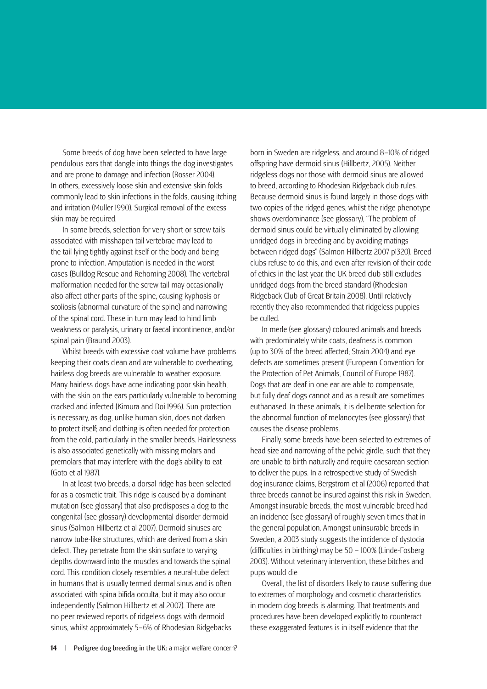Some breeds of dog have been selected to have large pendulous ears that dangle into things the dog investigates and are prone to damage and infection (Rosser 2004). In others, excessively loose skin and extensive skin folds commonly lead to skin infections in the folds, causing itching and irritation (Muller 1990). Surgical removal of the excess skin may be required.

In some breeds, selection for very short or screw tails associated with misshapen tail vertebrae may lead to the tail lying tightly against itself or the body and being prone to infection. Amputation is needed in the worst cases (Bulldog Rescue and Rehoming 2008). The vertebral malformation needed for the screw tail may occasionally also affect other parts of the spine, causing kyphosis or scoliosis (abnormal curvature of the spine) and narrowing of the spinal cord. These in turn may lead to hind limb weakness or paralysis, urinary or faecal incontinence, and/or spinal pain (Braund 2003).

Whilst breeds with excessive coat volume have problems keeping their coats clean and are vulnerable to overheating, hairless dog breeds are vulnerable to weather exposure. Many hairless dogs have acne indicating poor skin health, with the skin on the ears particularly vulnerable to becoming cracked and infected (Kimura and Doi 1996). Sun protection is necessary, as dog, unlike human skin, does not darken to protect itself; and clothing is often needed for protection from the cold, particularly in the smaller breeds. Hairlessness is also associated genetically with missing molars and premolars that may interfere with the dog's ability to eat (Goto et al 1987).

In at least two breeds, a dorsal ridge has been selected for as a cosmetic trait. This ridge is caused by a dominant mutation (see glossary) that also predisposes a dog to the congenital (see glossary) developmental disorder dermoid sinus (Salmon Hillbertz et al 2007). Dermoid sinuses are narrow tube-like structures, which are derived from a skin defect. They penetrate from the skin surface to varying depths downward into the muscles and towards the spinal cord. This condition closely resembles a neural-tube defect in humans that is usually termed dermal sinus and is often associated with spina bifida occulta, but it may also occur independently (Salmon Hillbertz et al 2007). There are no peer reviewed reports of ridgeless dogs with dermoid sinus, whilst approximately 5–6% of Rhodesian Ridgebacks born in Sweden are ridgeless, and around 8–10% of ridged offspring have dermoid sinus (Hillbertz, 2005). Neither ridgeless dogs nor those with dermoid sinus are allowed to breed, according to Rhodesian Ridgeback club rules. Because dermoid sinus is found largely in those dogs with two copies of the ridged genes, whilst the ridge phenotype shows overdominance (see glossary), "The problem of dermoid sinus could be virtually eliminated by allowing unridged dogs in breeding and by avoiding matings between ridged dogs" (Salmon Hillbertz 2007 p1320). Breed clubs refuse to do this, and even after revision of their code of ethics in the last year, the UK breed club still excludes unridged dogs from the breed standard (Rhodesian Ridgeback Club of Great Britain 2008). Until relatively recently they also recommended that ridgeless puppies be culled.

In merle (see glossary) coloured animals and breeds with predominately white coats, deafness is common (up to 30% of the breed affected; Strain 2004) and eye defects are sometimes present (European Convention for the Protection of Pet Animals, Council of Europe 1987). Dogs that are deaf in one ear are able to compensate, but fully deaf dogs cannot and as a result are sometimes euthanased. In these animals, it is deliberate selection for the abnormal function of melanocytes (see glossary) that causes the disease problems.

Finally, some breeds have been selected to extremes of head size and narrowing of the pelvic girdle, such that they are unable to birth naturally and require caesarean section to deliver the pups. In a retrospective study of Swedish dog insurance claims, Bergstrom et al (2006) reported that three breeds cannot be insured against this risk in Sweden. Amongst insurable breeds, the most vulnerable breed had an incidence (see glossary) of roughly seven times that in the general population. Amongst uninsurable breeds in Sweden, a 2003 study suggests the incidence of dystocia (difficulties in birthing) may be  $50 - 100\%$  (Linde-Fosberg 2003). Without veterinary intervention, these bitches and pups would die

Overall, the list of disorders likely to cause suffering due to extremes of morphology and cosmetic characteristics in modern dog breeds is alarming. That treatments and procedures have been developed explicitly to counteract these exaggerated features is in itself evidence that the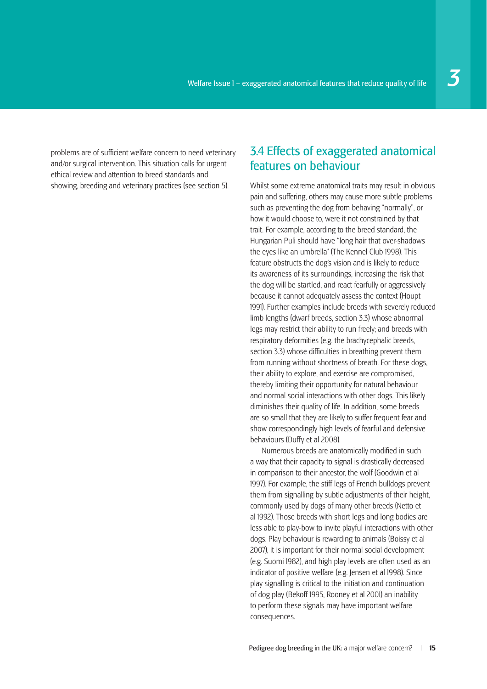problems are of sufficient welfare concern to need veterinary and/or surgical intervention. This situation calls for urgent ethical review and attention to breed standards and showing, breeding and veterinary practices (see section 5).

#### 3.4 Effects of exaggerated anatomical features on behaviour

Whilst some extreme anatomical traits may result in obvious pain and suffering, others may cause more subtle problems such as preventing the dog from behaving "normally", or how it would choose to, were it not constrained by that trait. For example, according to the breed standard, the Hungarian Puli should have "long hair that over-shadows the eyes like an umbrella" (The Kennel Club 1998). This feature obstructs the dog's vision and is likely to reduce its awareness of its surroundings, increasing the risk that the dog will be startled, and react fearfully or aggressively because it cannot adequately assess the context (Houpt 1991). Further examples include breeds with severely reduced limb lengths (dwarf breeds, section 3.3) whose abnormal legs may restrict their ability to run freely; and breeds with respiratory deformities (e.g. the brachycephalic breeds, section 3.3) whose difficulties in breathing prevent them from running without shortness of breath. For these dogs, their ability to explore, and exercise are compromised, thereby limiting their opportunity for natural behaviour and normal social interactions with other dogs. This likely diminishes their quality of life. In addition, some breeds are so small that they are likely to suffer frequent fear and show correspondingly high levels of fearful and defensive behaviours (Duffy et al 2008).

Numerous breeds are anatomically modified in such a way that their capacity to signal is drastically decreased in comparison to their ancestor, the wolf (Goodwin et al 1997). For example, the stiff legs of French bulldogs prevent them from signalling by subtle adjustments of their height, commonly used by dogs of many other breeds (Netto et al 1992). Those breeds with short legs and long bodies are less able to play-bow to invite playful interactions with other dogs. Play behaviour is rewarding to animals (Boissy et al 2007), it is important for their normal social development (e.g. Suomi 1982), and high play levels are often used as an indicator of positive welfare (e.g. Jensen et al 1998). Since play signalling is critical to the initiation and continuation of dog play (Bekoff 1995, Rooney et al 2001) an inability to perform these signals may have important welfare consequences.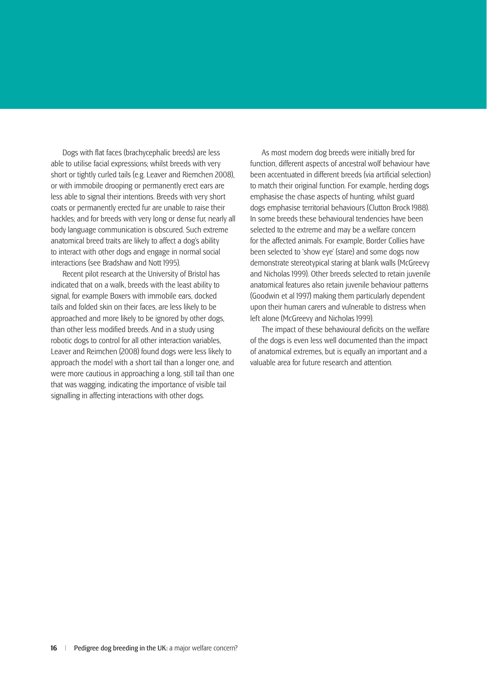Dogs with flat faces (brachycephalic breeds) are less able to utilise facial expressions; whilst breeds with very short or tightly curled tails (e.g. Leaver and Riemchen 2008), or with immobile drooping or permanently erect ears are less able to signal their intentions. Breeds with very short coats or permanently erected fur are unable to raise their hackles; and for breeds with very long or dense fur, nearly all body language communication is obscured. Such extreme anatomical breed traits are likely to affect a dog's ability to interact with other dogs and engage in normal social interactions (see Bradshaw and Nott 1995).

Recent pilot research at the University of Bristol has indicated that on a walk, breeds with the least ability to signal, for example Boxers with immobile ears, docked tails and folded skin on their faces, are less likely to be approached and more likely to be ignored by other dogs, than other less modified breeds. And in a study using robotic dogs to control for all other interaction variables, Leaver and Reimchen (2008) found dogs were less likely to approach the model with a short tail than a longer one, and were more cautious in approaching a long, still tail than one that was wagging, indicating the importance of visible tail signalling in affecting interactions with other dogs.

As most modern dog breeds were initially bred for function, different aspects of ancestral wolf behaviour have been accentuated in different breeds (via artificial selection) to match their original function. For example, herding dogs emphasise the chase aspects of hunting, whilst guard dogs emphasise territorial behaviours (Clutton Brock 1988). In some breeds these behavioural tendencies have been selected to the extreme and may be a welfare concern for the affected animals. For example, Border Collies have been selected to 'show eye' (stare) and some dogs now demonstrate stereotypical staring at blank walls (McGreevy and Nicholas 1999). Other breeds selected to retain juvenile anatomical features also retain juvenile behaviour patterns (Goodwin et al 1997) making them particularly dependent upon their human carers and vulnerable to distress when left alone (McGreevy and Nicholas 1999).

The impact of these behavioural deficits on the welfare of the dogs is even less well documented than the impact of anatomical extremes, but is equally an important and a valuable area for future research and attention.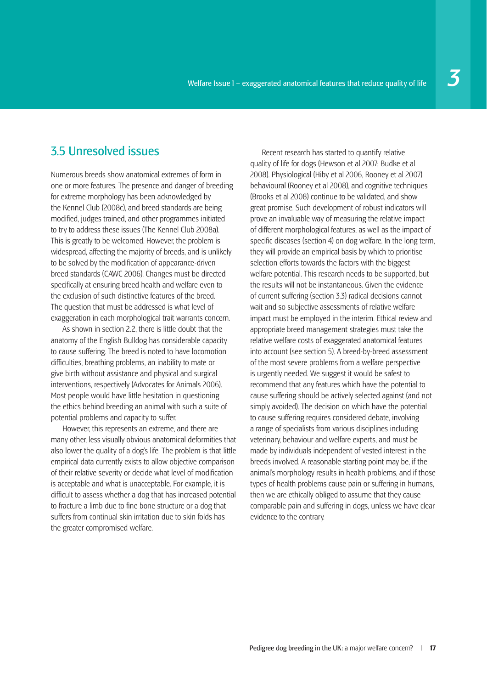### 3.5 Unresolved issues

Numerous breeds show anatomical extremes of form in one or more features. The presence and danger of breeding for extreme morphology has been acknowledged by the Kennel Club (2008c), and breed standards are being modified, judges trained, and other programmes initiated to try to address these issues (The Kennel Club 2008a). This is greatly to be welcomed. However, the problem is widespread, affecting the majority of breeds, and is unlikely to be solved by the modification of appearance-driven breed standards (CAWC 2006). Changes must be directed specifically at ensuring breed health and welfare even to the exclusion of such distinctive features of the breed. The question that must be addressed is what level of exaggeration in each morphological trait warrants concern.

As shown in section 2.2, there is little doubt that the anatomy of the English Bulldog has considerable capacity to cause suffering. The breed is noted to have locomotion difficulties, breathing problems, an inability to mate or give birth without assistance and physical and surgical interventions, respectively (Advocates for Animals 2006). Most people would have little hesitation in questioning the ethics behind breeding an animal with such a suite of potential problems and capacity to suffer.

However, this represents an extreme, and there are many other, less visually obvious anatomical deformities that also lower the quality of a dog's life. The problem is that little empirical data currently exists to allow objective comparison of their relative severity or decide what level of modification is acceptable and what is unacceptable. For example, it is difficult to assess whether a dog that has increased potential to fracture a limb due to fine bone structure or a dog that suffers from continual skin irritation due to skin folds has the greater compromised welfare.

Recent research has started to quantify relative quality of life for dogs (Hewson et al 2007; Budke et al 2008). Physiological (Hiby et al 2006, Rooney et al 2007) behavioural (Rooney et al 2008), and cognitive techniques (Brooks et al 2008) continue to be validated, and show great promise. Such development of robust indicators will prove an invaluable way of measuring the relative impact of different morphological features, as well as the impact of specific diseases (section 4) on dog welfare. In the long term, they will provide an empirical basis by which to prioritise selection efforts towards the factors with the biggest welfare potential. This research needs to be supported, but the results will not be instantaneous. Given the evidence of current suffering (section 3.3) radical decisions cannot wait and so subjective assessments of relative welfare impact must be employed in the interim. Ethical review and appropriate breed management strategies must take the relative welfare costs of exaggerated anatomical features into account (see section 5). A breed-by-breed assessment of the most severe problems from a welfare perspective is urgently needed. We suggest it would be safest to recommend that any features which have the potential to cause suffering should be actively selected against (and not simply avoided). The decision on which have the potential to cause suffering requires considered debate, involving a range of specialists from various disciplines including veterinary, behaviour and welfare experts, and must be made by individuals independent of vested interest in the breeds involved. A reasonable starting point may be, if the animal's morphology results in health problems, and if those types of health problems cause pain or suffering in humans, then we are ethically obliged to assume that they cause comparable pain and suffering in dogs, unless we have clear evidence to the contrary.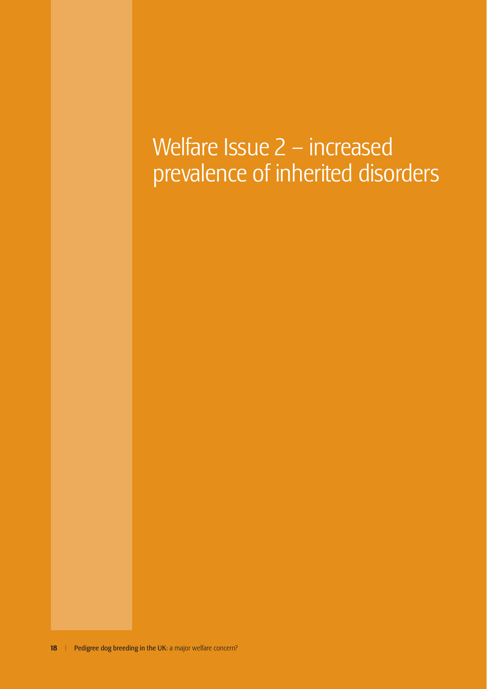## Welfare Issue – increased prevalence of inherited disorders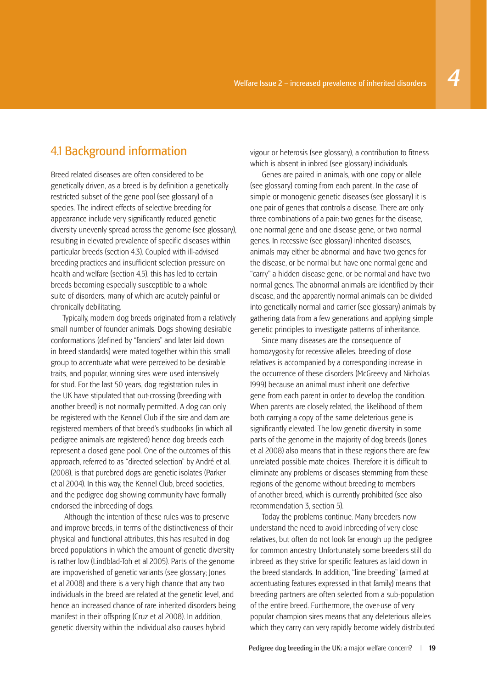#### 4.1 Background information

Breed related diseases are often considered to be genetically driven, as a breed is by definition a genetically restricted subset of the gene pool (see glossary) of a species. The indirect effects of selective breeding for appearance include very significantly reduced genetic diversity unevenly spread across the genome (see glossary), resulting in elevated prevalence of specific diseases within particular breeds (section 4.3). Coupled with ill-advised breeding practices and insufficient selection pressure on health and welfare (section 4.5), this has led to certain breeds becoming especially susceptible to a whole suite of disorders, many of which are acutely painful or chronically debilitating.

Typically, modern dog breeds originated from a relatively small number of founder animals. Dogs showing desirable conformations (defined by "fanciers" and later laid down in breed standards) were mated together within this small group to accentuate what were perceived to be desirable traits, and popular, winning sires were used intensively for stud. For the last 50 years, dog registration rules in the UK have stipulated that out-crossing (breeding with another breed) is not normally permitted. A dog can only be registered with the Kennel Club if the sire and dam are registered members of that breed's studbooks (in which all pedigree animals are registered) hence dog breeds each represent a closed gene pool. One of the outcomes of this approach, referred to as "directed selection" by André et al. (2008), is that purebred dogs are genetic isolates (Parker et al 2004). In this way, the Kennel Club, breed societies, and the pedigree dog showing community have formally endorsed the inbreeding of dogs.

 Although the intention of these rules was to preserve and improve breeds, in terms of the distinctiveness of their physical and functional attributes, this has resulted in dog breed populations in which the amount of genetic diversity is rather low (Lindblad-Toh et al 2005). Parts of the genome are impoverished of genetic variants (see glossary; Jones et al 2008) and there is a very high chance that any two individuals in the breed are related at the genetic level, and hence an increased chance of rare inherited disorders being manifest in their offspring (Cruz et al 2008). In addition, genetic diversity within the individual also causes hybrid

vigour or heterosis (see glossary), a contribution to fitness which is absent in inbred (see glossary) individuals.

Genes are paired in animals, with one copy or allele (see glossary) coming from each parent. In the case of simple or monogenic genetic diseases (see glossary) it is one pair of genes that controls a disease. There are only three combinations of a pair: two genes for the disease, one normal gene and one disease gene, or two normal genes. In recessive (see glossary) inherited diseases, animals may either be abnormal and have two genes for the disease, or be normal but have one normal gene and "carry" a hidden disease gene, or be normal and have two normal genes. The abnormal animals are identified by their disease, and the apparently normal animals can be divided into genetically normal and carrier (see glossary) animals by gathering data from a few generations and applying simple genetic principles to investigate patterns of inheritance.

Since many diseases are the consequence of homozygosity for recessive alleles, breeding of close relatives is accompanied by a corresponding increase in the occurrence of these disorders (McGreevy and Nicholas 1999) because an animal must inherit one defective gene from each parent in order to develop the condition. When parents are closely related, the likelihood of them both carrying a copy of the same deleterious gene is significantly elevated. The low genetic diversity in some parts of the genome in the majority of dog breeds (Jones et al 2008) also means that in these regions there are few unrelated possible mate choices. Therefore it is difficult to eliminate any problems or diseases stemming from these regions of the genome without breeding to members of another breed, which is currently prohibited (see also recommendation 3, section 5).

Today the problems continue. Many breeders now understand the need to avoid inbreeding of very close relatives, but often do not look far enough up the pedigree for common ancestry. Unfortunately some breeders still do inbreed as they strive for specific features as laid down in the breed standards. In addition, "line breeding" (aimed at accentuating features expressed in that family) means that breeding partners are often selected from a sub-population of the entire breed. Furthermore, the over-use of very popular champion sires means that any deleterious alleles which they carry can very rapidly become widely distributed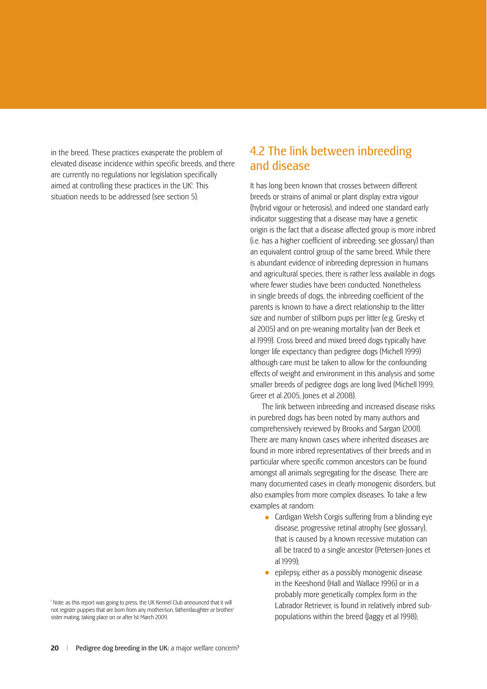in the breed. These practices exasperate the problem of elevated disease incidence within specific breeds, and there are currently no regulations nor legislation specifically aimed at controlling these practices in the UK<sup>1</sup>. This situation needs to be addressed (see section 5).

1 Note: as this report was going to press, the UK Kennel Club announced that it will not register puppies that are born from any mother/son, father/daughter or brother/ sister mating, taking place on or after 1st March 2009.

#### 4.2 The link between inbreeding and disease

It has long been known that crosses between different breeds or strains of animal or plant display extra vigour (hybrid vigour or heterosis), and indeed one standard early indicator suggesting that a disease may have a genetic origin is the fact that a disease affected group is more inbred  $(i.e.$  has a higher coefficient of inbreeding; see glossary) than an equivalent control group of the same breed. While there is abundant evidence of inbreeding depression in humans and agricultural species, there is rather less available in dogs where fewer studies have been conducted. Nonetheless in single breeds of dogs, the inbreeding coefficient of the parents is known to have a direct relationship to the litter size and number of stillborn pups per litter (e.g. Gresky et al 2005) and on pre-weaning mortality (van der Beek et al 1999). Cross breed and mixed breed dogs typically have longer life expectancy than pedigree dogs (Michell 1999) although care must be taken to allow for the confounding effects of weight and environment in this analysis and some smaller breeds of pedigree dogs are long lived (Michell 1999, Greer et al 2005, Jones et al 2008).

The link between inbreeding and increased disease risks in purebred dogs has been noted by many authors and comprehensively reviewed by Brooks and Sargan (2001). There are many known cases where inherited diseases are found in more inbred representatives of their breeds and in particular where specific common ancestors can be found amongst all animals segregating for the disease. There are many documented cases in clearly monogenic disorders, but also examples from more complex diseases. To take a few examples at random:

- Cardigan Welsh Corgis suffering from a blinding eve disease, progressive retinal atrophy (see glossary), that is caused by a known recessive mutation can all be traced to a single ancestor (Petersen-Jones et al 1999);
- epilepsy, either as a possibly monogenic disease in the Keeshond (Hall and Wallace 1996) or in a probably more genetically complex form in the Labrador Retriever, is found in relatively inbred subpopulations within the breed (Jaggy et al 1998);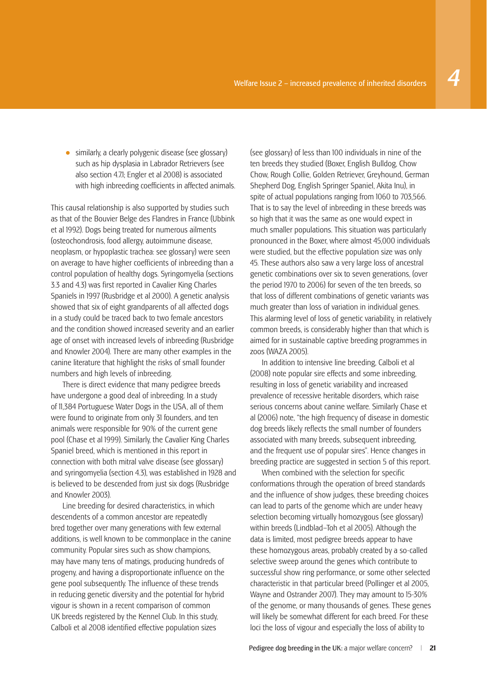• similarly, a clearly polygenic disease (see glossary) such as hip dysplasia in Labrador Retrievers (see also section 4.7.1; Engler et al 2008) is associated with high inbreeding coefficients in affected animals.

This causal relationship is also supported by studies such as that of the Bouvier Belge des Flandres in France (Ubbink et al 1992). Dogs being treated for numerous ailments (osteochondrosis, food allergy, autoimmune disease, neoplasm, or hypoplastic trachea: see glossary) were seen on average to have higher coefficients of inbreeding than a control population of healthy dogs. Syringomyelia (sections 3.3 and 4.3) was first reported in Cavalier King Charles Spaniels in 1997 (Rusbridge et al 2000). A genetic analysis showed that six of eight grandparents of all affected dogs in a study could be traced back to two female ancestors and the condition showed increased severity and an earlier age of onset with increased levels of inbreeding (Rusbridge and Knowler 2004). There are many other examples in the canine literature that highlight the risks of small founder numbers and high levels of inbreeding.

There is direct evidence that many pedigree breeds have undergone a good deal of inbreeding. In a study of 11,384 Portuguese Water Dogs in the USA, all of them were found to originate from only 31 founders, and ten animals were responsible for 90% of the current gene pool (Chase et al 1999). Similarly, the Cavalier King Charles Spaniel breed, which is mentioned in this report in connection with both mitral valve disease (see glossary) and syringomyelia (section 4.3), was established in 1928 and is believed to be descended from just six dogs (Rusbridge and Knowler 2003).

Line breeding for desired characteristics, in which descendents of a common ancestor are repeatedly bred together over many generations with few external additions, is well known to be commonplace in the canine community. Popular sires such as show champions, may have many tens of matings, producing hundreds of progeny, and having a disproportionate influence on the gene pool subsequently. The influence of these trends in reducing genetic diversity and the potential for hybrid vigour is shown in a recent comparison of common UK breeds registered by the Kennel Club. In this study, Calboli et al 2008 identified effective population sizes

(see glossary) of less than 100 individuals in nine of the ten breeds they studied (Boxer, English Bulldog, Chow Chow, Rough Collie, Golden Retriever, Greyhound, German Shepherd Dog, English Springer Spaniel, Akita Inu), in spite of actual populations ranging from 1060 to 703,566. That is to say the level of inbreeding in these breeds was so high that it was the same as one would expect in much smaller populations. This situation was particularly pronounced in the Boxer, where almost 45,000 individuals were studied, but the effective population size was only 45. These authors also saw a very large loss of ancestral genetic combinations over six to seven generations, (over the period 1970 to 2006) for seven of the ten breeds, so that loss of different combinations of genetic variants was much greater than loss of variation in individual genes. This alarming level of loss of genetic variability, in relatively common breeds, is considerably higher than that which is aimed for in sustainable captive breeding programmes in zoos (WAZA 2005).

In addition to intensive line breeding, Calboli et al (2008) note popular sire effects and some inbreeding, resulting in loss of genetic variability and increased prevalence of recessive heritable disorders, which raise serious concerns about canine welfare. Similarly Chase et al (2006) note, "the high frequency of disease in domestic dog breeds likely reflects the small number of founders associated with many breeds, subsequent inbreeding, and the frequent use of popular sires". Hence changes in breeding practice are suggested in section 5 of this report.

When combined with the selection for specific conformations through the operation of breed standards and the influence of show judges, these breeding choices can lead to parts of the genome which are under heavy selection becoming virtually homozygous (see glossary) within breeds (Lindblad–Toh et al 2005). Although the data is limited, most pedigree breeds appear to have these homozygous areas, probably created by a so-called selective sweep around the genes which contribute to successful show ring performance, or some other selected characteristic in that particular breed (Pollinger et al 2005, Wayne and Ostrander 2007). They may amount to 15-30% of the genome, or many thousands of genes. These genes will likely be somewhat different for each breed. For these loci the loss of vigour and especially the loss of ability to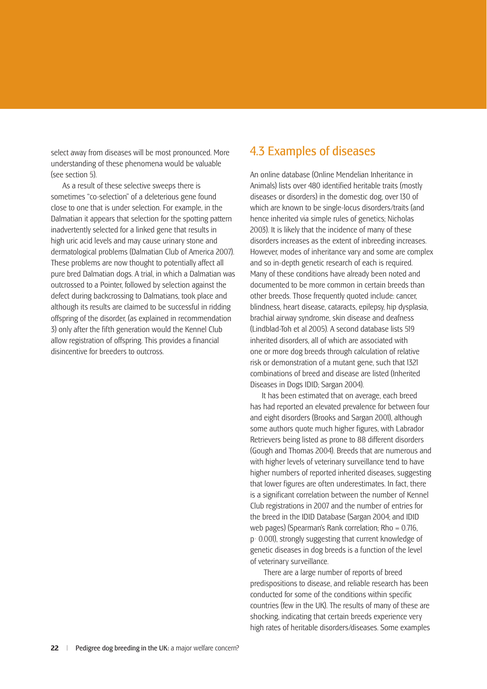select away from diseases will be most pronounced. More understanding of these phenomena would be valuable (see section 5).

As a result of these selective sweeps there is sometimes "co-selection" of a deleterious gene found close to one that is under selection. For example, in the Dalmatian it appears that selection for the spotting pattern inadvertently selected for a linked gene that results in high uric acid levels and may cause urinary stone and dermatological problems (Dalmatian Club of America 2007). These problems are now thought to potentially affect all pure bred Dalmatian dogs. A trial, in which a Dalmatian was outcrossed to a Pointer, followed by selection against the defect during backcrossing to Dalmatians, took place and although its results are claimed to be successful in ridding offspring of the disorder, (as explained in recommendation 3) only after the fifth generation would the Kennel Club allow registration of offspring. This provides a financial disincentive for breeders to outcross.

#### 4.3 Examples of diseases

An online database (Online Mendelian Inheritance in Animals) lists over 480 identified heritable traits (mostly diseases or disorders) in the domestic dog, over 130 of which are known to be single-locus disorders/traits (and hence inherited via simple rules of genetics; Nicholas 2003). It is likely that the incidence of many of these disorders increases as the extent of inbreeding increases. However, modes of inheritance vary and some are complex and so in-depth genetic research of each is required. Many of these conditions have already been noted and documented to be more common in certain breeds than other breeds. Those frequently quoted include: cancer, blindness, heart disease, cataracts, epilepsy, hip dysplasia, brachial airway syndrome, skin disease and deafness (Lindblad-Toh et al 2005). A second database lists 519 inherited disorders, all of which are associated with one or more dog breeds through calculation of relative risk or demonstration of a mutant gene, such that 1321 combinations of breed and disease are listed (Inherited Diseases in Dogs IDID; Sargan 2004).

It has been estimated that on average, each breed has had reported an elevated prevalence for between four and eight disorders (Brooks and Sargan 2001), although some authors quote much higher figures, with Labrador Retrievers being listed as prone to 88 different disorders (Gough and Thomas 2004). Breeds that are numerous and with higher levels of veterinary surveillance tend to have higher numbers of reported inherited diseases, suggesting that lower figures are often underestimates. In fact, there is a significant correlation between the number of Kennel Club registrations in 2007 and the number of entries for the breed in the IDID Database (Sargan 2004; and IDID web pages) (Spearman's Rank correlation; Rho = 0.716, p< 0.001), strongly suggesting that current knowledge of genetic diseases in dog breeds is a function of the level of veterinary surveillance.

 There are a large number of reports of breed predispositions to disease, and reliable research has been conducted for some of the conditions within specific countries (few in the UK). The results of many of these are shocking, indicating that certain breeds experience very high rates of heritable disorders/diseases. Some examples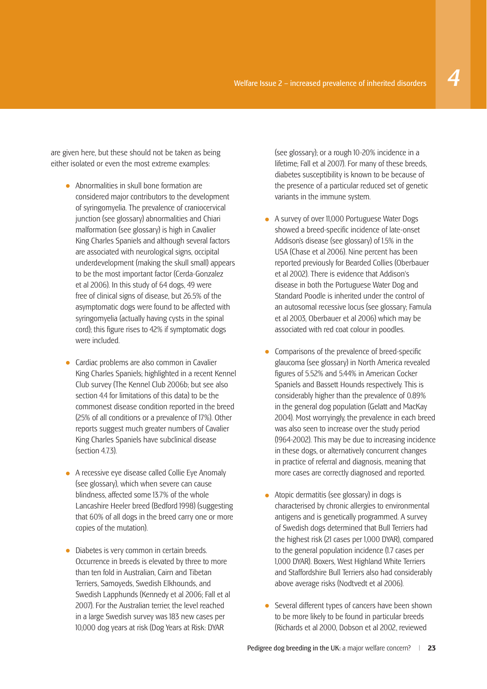are given here, but these should not be taken as being either isolated or even the most extreme examples:

- Abnormalities in skull bone formation are considered major contributors to the development of syringomyelia. The prevalence of craniocervical junction (see glossary) abnormalities and Chiari malformation (see glossary) is high in Cavalier King Charles Spaniels and although several factors are associated with neurological signs, occipital underdevelopment (making the skull small) appears to be the most important factor (Cerda-Gonzalez et al 2006). In this study of 64 dogs, 49 were free of clinical signs of disease, but 26.5% of the asymptomatic dogs were found to be affected with syringomyelia (actually having cysts in the spinal cord); this figure rises to 42% if symptomatic dogs were included.
- Cardiac problems are also common in Cavalier King Charles Spaniels; highlighted in a recent Kennel Club survey (The Kennel Club 2006b; but see also section 4.4 for limitations of this data) to be the commonest disease condition reported in the breed (25% of all conditions or a prevalence of 17%). Other reports suggest much greater numbers of Cavalier King Charles Spaniels have subclinical disease (section 4.7.3).
- A recessive eye disease called Collie Eye Anomaly (see glossary), which when severe can cause blindness, affected some 13.7% of the whole Lancashire Heeler breed (Bedford 1998) (suggesting that 60% of all dogs in the breed carry one or more copies of the mutation).
- Diabetes is very common in certain breeds. Occurrence in breeds is elevated by three to more than ten fold in Australian, Cairn and Tibetan Terriers, Samoyeds, Swedish Elkhounds, and Swedish Lapphunds (Kennedy et al 2006; Fall et al 2007). For the Australian terrier, the level reached in a large Swedish survey was 183 new cases per 10,000 dog years at risk (Dog Years at Risk: DYAR

(see glossary); or a rough 10-20% incidence in a lifetime; Fall et al 2007). For many of these breeds, diabetes susceptibility is known to be because of the presence of a particular reduced set of genetic variants in the immune system.

- A survey of over 11,000 Portuguese Water Dogs showed a breed-specific incidence of late-onset Addison's disease (see glossary) of 1.5% in the USA (Chase et al 2006). Nine percent has been reported previously for Bearded Collies (Oberbauer et al 2002). There is evidence that Addison's disease in both the Portuguese Water Dog and Standard Poodle is inherited under the control of an autosomal recessive locus (see glossary; Famula et al 2003, Oberbauer et al 2006) which may be associated with red coat colour in poodles.
- Comparisons of the prevalence of breed-specific<br>glaucoma (see glossary) in North America revealed figures of 5.52% and 5.44% in American Cocker Spaniels and Bassett Hounds respectively. This is considerably higher than the prevalence of 0.89% in the general dog population (Gelatt and MacKay 2004). Most worryingly, the prevalence in each breed was also seen to increase over the study period (1964-2002). This may be due to increasing incidence in these dogs, or alternatively concurrent changes in practice of referral and diagnosis, meaning that more cases are correctly diagnosed and reported.
- Atopic dermatitis (see glossary) in dogs is characterised by chronic allergies to environmental antigens and is genetically programmed. A survey of Swedish dogs determined that Bull Terriers had the highest risk (21 cases per 1,000 DYAR), compared to the general population incidence (1.7 cases per 1,000 DYAR). Boxers, West Highland White Terriers and Staffordshire Bull Terriers also had considerably above average risks (Nodtvedt et al 2006).
- Several different types of cancers have been shown to be more likely to be found in particular breeds (Richards et al 2000, Dobson et al 2002, reviewed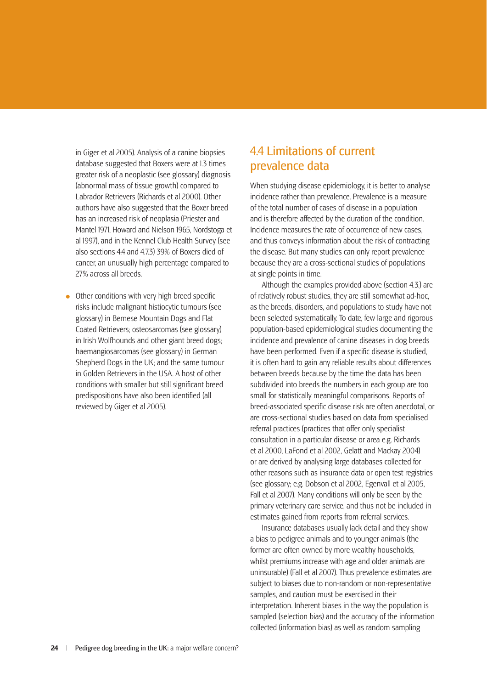in Giger et al 2005). Analysis of a canine biopsies database suggested that Boxers were at 1.3 times greater risk of a neoplastic (see glossary) diagnosis (abnormal mass of tissue growth) compared to Labrador Retrievers (Richards et al 2000). Other authors have also suggested that the Boxer breed has an increased risk of neoplasia (Priester and Mantel 1971, Howard and Nielson 1965, Nordstoga et al 1997), and in the Kennel Club Health Survey (see also sections 4.4 and 4.7.3) 39% of Boxers died of cancer, an unusually high percentage compared to 27% across all breeds.

• Other conditions with very high breed specific<br>risks include malignant histiocytic tumours (see glossary) in Bernese Mountain Dogs and Flat Coated Retrievers; osteosarcomas (see glossary) in Irish Wolfhounds and other giant breed dogs; haemangiosarcomas (see glossary) in German Shepherd Dogs in the UK; and the same tumour in Golden Retrievers in the USA. A host of other conditions with smaller but still significant breed predispositions have also been identified (all reviewed by Giger et al 2005).

#### 4.4 Limitations of current prevalence data

When studying disease epidemiology, it is better to analyse incidence rather than prevalence. Prevalence is a measure of the total number of cases of disease in a population and is therefore affected by the duration of the condition. Incidence measures the rate of occurrence of new cases, and thus conveys information about the risk of contracting the disease. But many studies can only report prevalence because they are a cross-sectional studies of populations at single points in time.

Although the examples provided above (section 4.3.) are of relatively robust studies, they are still somewhat ad-hoc, as the breeds, disorders, and populations to study have not been selected systematically. To date, few large and rigorous population-based epidemiological studies documenting the incidence and prevalence of canine diseases in dog breeds have been performed. Even if a specific disease is studied, it is often hard to gain any reliable results about differences between breeds because by the time the data has been subdivided into breeds the numbers in each group are too small for statistically meaningful comparisons. Reports of breed-associated specific disease risk are often anecdotal, or are cross-sectional studies based on data from specialised referral practices (practices that offer only specialist consultation in a particular disease or area e.g. Richards et al 2000, LaFond et al 2002, Gelatt and Mackay 2004) or are derived by analysing large databases collected for other reasons such as insurance data or open test registries (see glossary; e.g. Dobson et al 2002, Egenvall et al 2005, Fall et al 2007). Many conditions will only be seen by the primary veterinary care service, and thus not be included in estimates gained from reports from referral services.

Insurance databases usually lack detail and they show a bias to pedigree animals and to younger animals (the former are often owned by more wealthy households, whilst premiums increase with age and older animals are uninsurable) (Fall et al 2007). Thus prevalence estimates are subject to biases due to non-random or non-representative samples, and caution must be exercised in their interpretation. Inherent biases in the way the population is sampled (selection bias) and the accuracy of the information collected (information bias) as well as random sampling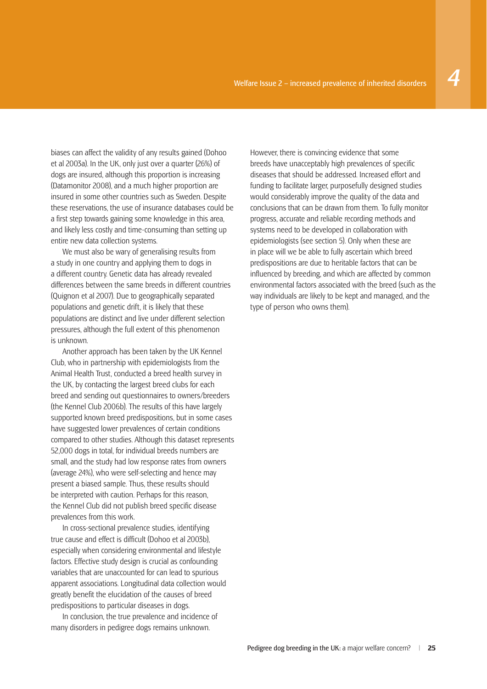biases can affect the validity of any results gained (Dohoo et al 2003a). In the UK, only just over a quarter (26%) of dogs are insured, although this proportion is increasing (Datamonitor 2008), and a much higher proportion are insured in some other countries such as Sweden. Despite these reservations, the use of insurance databases could be a first step towards gaining some knowledge in this area, and likely less costly and time-consuming than setting up entire new data collection systems.

We must also be wary of generalising results from a study in one country and applying them to dogs in a different country. Genetic data has already revealed differences between the same breeds in different countries (Quignon et al 2007). Due to geographically separated populations and genetic drift, it is likely that these populations are distinct and live under different selection pressures, although the full extent of this phenomenon is unknown.

Another approach has been taken by the UK Kennel Club, who in partnership with epidemiologists from the Animal Health Trust, conducted a breed health survey in the UK, by contacting the largest breed clubs for each breed and sending out questionnaires to owners/breeders (the Kennel Club 2006b). The results of this have largely supported known breed predispositions, but in some cases have suggested lower prevalences of certain conditions compared to other studies. Although this dataset represents 52,000 dogs in total, for individual breeds numbers are small, and the study had low response rates from owners (average 24%), who were self-selecting and hence may present a biased sample. Thus, these results should be interpreted with caution. Perhaps for this reason, the Kennel Club did not publish breed specific disease prevalences from this work.

In cross-sectional prevalence studies, identifying true cause and effect is difficult (Dohoo et al 2003b), especially when considering environmental and lifestyle factors. Effective study design is crucial as confounding variables that are unaccounted for can lead to spurious apparent associations. Longitudinal data collection would greatly benefit the elucidation of the causes of breed predispositions to particular diseases in dogs.

In conclusion, the true prevalence and incidence of many disorders in pedigree dogs remains unknown.

However, there is convincing evidence that some breeds have unacceptably high prevalences of specific diseases that should be addressed. Increased effort and funding to facilitate larger, purposefully designed studies would considerably improve the quality of the data and conclusions that can be drawn from them. To fully monitor progress, accurate and reliable recording methods and systems need to be developed in collaboration with epidemiologists (see section 5). Only when these are in place will we be able to fully ascertain which breed predispositions are due to heritable factors that can be influenced by breeding, and which are affected by common environmental factors associated with the breed (such as the way individuals are likely to be kept and managed, and the type of person who owns them).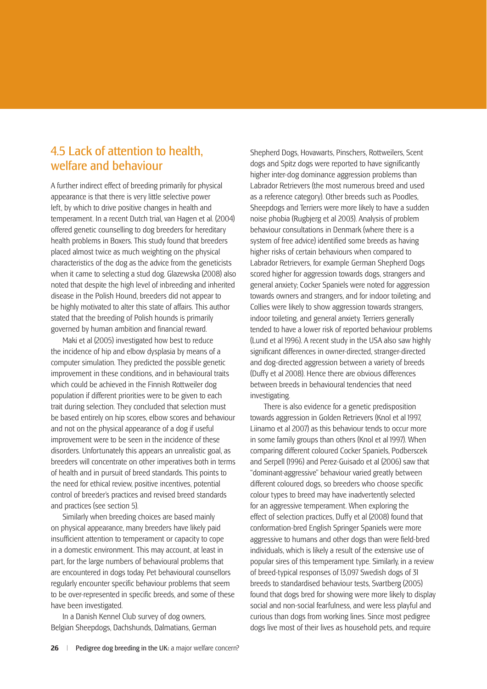#### 4.5 Lack of attention to health, welfare and behaviour

A further indirect effect of breeding primarily for physical appearance is that there is very little selective power left, by which to drive positive changes in health and temperament. In a recent Dutch trial, van Hagen et al. (2004) offered genetic counselling to dog breeders for hereditary health problems in Boxers. This study found that breeders placed almost twice as much weighting on the physical characteristics of the dog as the advice from the geneticists when it came to selecting a stud dog. Glazewska (2008) also noted that despite the high level of inbreeding and inherited disease in the Polish Hound, breeders did not appear to be highly motivated to alter this state of affairs. This author stated that the breeding of Polish hounds is primarily governed by human ambition and financial reward.

Maki et al (2005) investigated how best to reduce the incidence of hip and elbow dysplasia by means of a computer simulation. They predicted the possible genetic improvement in these conditions, and in behavioural traits which could be achieved in the Finnish Rottweiler dog population if different priorities were to be given to each trait during selection. They concluded that selection must be based entirely on hip scores, elbow scores and behaviour and not on the physical appearance of a dog if useful improvement were to be seen in the incidence of these disorders. Unfortunately this appears an unrealistic goal, as breeders will concentrate on other imperatives both in terms of health and in pursuit of breed standards. This points to the need for ethical review, positive incentives, potential control of breeder's practices and revised breed standards and practices (see section 5).

Similarly when breeding choices are based mainly on physical appearance, many breeders have likely paid insufficient attention to temperament or capacity to cope in a domestic environment. This may account, at least in part, for the large numbers of behavioural problems that are encountered in dogs today. Pet behavioural counsellors regularly encounter specific behaviour problems that seem to be over-represented in specific breeds, and some of these have been investigated.

In a Danish Kennel Club survey of dog owners, Belgian Sheepdogs, Dachshunds, Dalmatians, German Shepherd Dogs, Hovawarts, Pinschers, Rottweilers, Scent dogs and Spitz dogs were reported to have significantly higher inter-dog dominance aggression problems than Labrador Retrievers (the most numerous breed and used as a reference category). Other breeds such as Poodles, Sheepdogs and Terriers were more likely to have a sudden noise phobia (Rugbjerg et al 2003). Analysis of problem behaviour consultations in Denmark (where there is a system of free advice) identified some breeds as having higher risks of certain behaviours when compared to Labrador Retrievers, for example German Shepherd Dogs scored higher for aggression towards dogs, strangers and general anxiety; Cocker Spaniels were noted for aggression towards owners and strangers, and for indoor toileting; and Collies were likely to show aggression towards strangers, indoor toileting, and general anxiety. Terriers generally tended to have a lower risk of reported behaviour problems (Lund et al 1996). A recent study in the USA also saw highly significant differences in owner-directed, stranger-directed and dog-directed aggression between a variety of breeds (Duffy et al 2008). Hence there are obvious differences between breeds in behavioural tendencies that need investigating.

 There is also evidence for a genetic predisposition towards aggression in Golden Retrievers (Knol et al 1997, Liinamo et al 2007) as this behaviour tends to occur more in some family groups than others (Knol et al 1997). When comparing different coloured Cocker Spaniels, Podberscek and Serpell (1996) and Perez-Guisado et al (2006) saw that "dominant-aggressive" behaviour varied greatly between different coloured dogs, so breeders who choose specific colour types to breed may have inadvertently selected for an aggressive temperament. When exploring the effect of selection practices, Duffy et al (2008) found that conformation-bred English Springer Spaniels were more aggressive to humans and other dogs than were field-bred individuals, which is likely a result of the extensive use of popular sires of this temperament type. Similarly, in a review of breed-typical responses of 13,097 Swedish dogs of 31 breeds to standardised behaviour tests, Svartberg (2005) found that dogs bred for showing were more likely to display social and non-social fearfulness, and were less playful and curious than dogs from working lines. Since most pedigree dogs live most of their lives as household pets, and require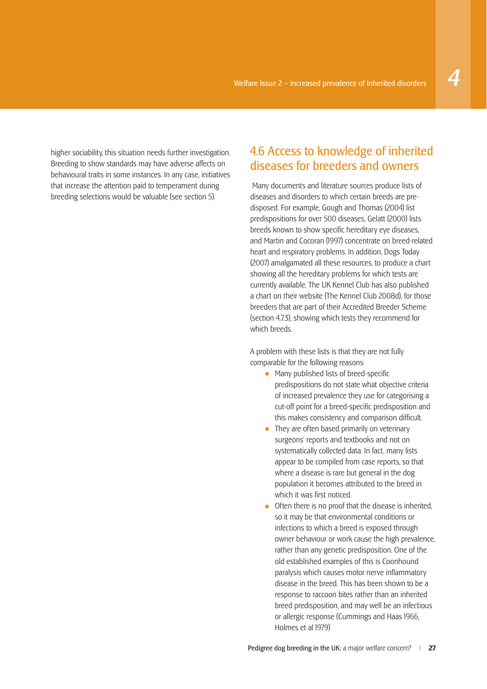higher sociability, this situation needs further investigation. Breeding to show standards may have adverse affects on behavioural traits in some instances. In any case, initiatives that increase the attention paid to temperament during breeding selections would be valuable (see section 5).

#### 4.6 Access to knowledge of inherited diseases for breeders and owners

 Many documents and literature sources produce lists of diseases and disorders to which certain breeds are predisposed. For example, Gough and Thomas (2004) list predispositions for over 500 diseases, Gelatt (2000) lists breeds known to show specific hereditary eye diseases. and Martin and Cocoran (1997) concentrate on breed-related heart and respiratory problems. In addition, Dogs Today (2007) amalgamated all these resources, to produce a chart showing all the hereditary problems for which tests are currently available. The UK Kennel Club has also published a chart on their website (The Kennel Club 2008d), for those breeders that are part of their Accredited Breeder Scheme (section 4.7.3), showing which tests they recommend for which breeds.

A problem with these lists is that they are not fully comparable for the following reasons:

- $\bullet$  Many published lists of breed-specific predispositions do not state what objective criteria of increased prevalence they use for categorising a cut-off point for a breed-specific predisposition and this makes consistency and comparison difficult.
- They are often based primarily on veterinary surgeons' reports and textbooks and not on systematically collected data. In fact, many lists appear to be compiled from case reports, so that where a disease is rare but general in the dog population it becomes attributed to the breed in which it was first noticed.
- Often there is no proof that the disease is inherited, so it may be that environmental conditions or infections to which a breed is exposed through owner behaviour or work cause the high prevalence, rather than any genetic predisposition. One of the old established examples of this is Coonhound paralysis which causes motor nerve inflammatory disease in the breed. This has been shown to be a response to raccoon bites rather than an inherited breed predisposition, and may well be an infectious or allergic response (Cummings and Haas 1966, Holmes et al 1979)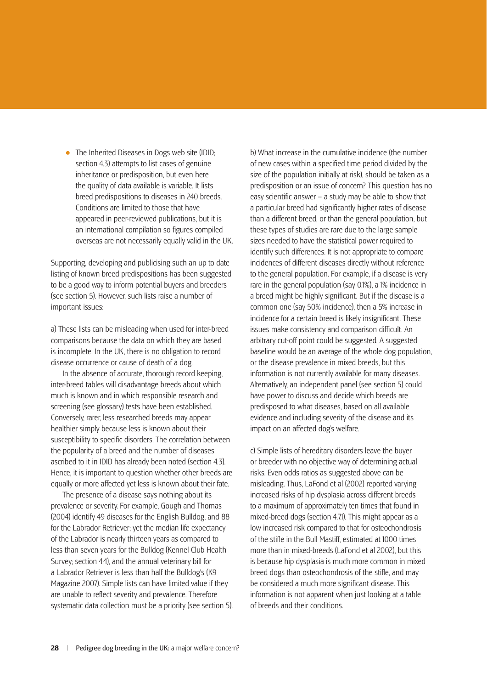• The Inherited Diseases in Dogs web site (IDID; section 4.3) attempts to list cases of genuine inheritance or predisposition, but even here the quality of data available is variable. It lists breed predispositions to diseases in 240 breeds. Conditions are limited to those that have appeared in peer-reviewed publications, but it is an international compilation so figures compiled overseas are not necessarily equally valid in the UK.

Supporting, developing and publicising such an up to date listing of known breed predispositions has been suggested to be a good way to inform potential buyers and breeders (see section 5). However, such lists raise a number of important issues:

a) These lists can be misleading when used for inter-breed comparisons because the data on which they are based is incomplete. In the UK, there is no obligation to record disease occurrence or cause of death of a dog.

In the absence of accurate, thorough record keeping, inter-breed tables will disadvantage breeds about which much is known and in which responsible research and screening (see glossary) tests have been established. Conversely, rarer, less researched breeds may appear healthier simply because less is known about their susceptibility to specific disorders. The correlation between the popularity of a breed and the number of diseases ascribed to it in IDID has already been noted (section 4.3). Hence, it is important to question whether other breeds are equally or more affected yet less is known about their fate.

The presence of a disease says nothing about its prevalence or severity. For example, Gough and Thomas (2004) identify 49 diseases for the English Bulldog, and 88 for the Labrador Retriever; yet the median life expectancy of the Labrador is nearly thirteen years as compared to less than seven years for the Bulldog (Kennel Club Health Survey; section 4.4), and the annual veterinary bill for a Labrador Retriever is less than half the Bulldog's (K9 Magazine 2007). Simple lists can have limited value if they are unable to reflect severity and prevalence. Therefore systematic data collection must be a priority (see section 5). b) What increase in the cumulative incidence (the number of new cases within a specified time period divided by the size of the population initially at risk), should be taken as a predisposition or an issue of concern? This question has no easy scientific answer – a study may be able to show that a particular breed had significantly higher rates of disease than a different breed, or than the general population, but these types of studies are rare due to the large sample sizes needed to have the statistical power required to identify such differences. It is not appropriate to compare incidences of different diseases directly without reference to the general population. For example, if a disease is very rare in the general population (say 0.1%), a 1% incidence in a breed might be highly significant. But if the disease is a common one (say 50% incidence), then a 5% increase in incidence for a certain breed is likely insignificant. These issues make consistency and comparison difficult. An arbitrary cut-off point could be suggested. A suggested baseline would be an average of the whole dog population, or the disease prevalence in mixed breeds, but this information is not currently available for many diseases. Alternatively, an independent panel (see section 5) could have power to discuss and decide which breeds are predisposed to what diseases, based on all available evidence and including severity of the disease and its impact on an affected dog's welfare.

c) Simple lists of hereditary disorders leave the buyer or breeder with no objective way of determining actual risks. Even odds ratios as suggested above can be misleading. Thus, LaFond et al (2002) reported varying increased risks of hip dysplasia across different breeds to a maximum of approximately ten times that found in mixed-breed dogs (section 4.7.1). This might appear as a low increased risk compared to that for osteochondrosis of the stifle in the Bull Mastiff, estimated at 1000 times more than in mixed-breeds (LaFond et al 2002), but this is because hip dysplasia is much more common in mixed breed dogs than osteochondrosis of the stifle, and may be considered a much more significant disease. This information is not apparent when just looking at a table of breeds and their conditions.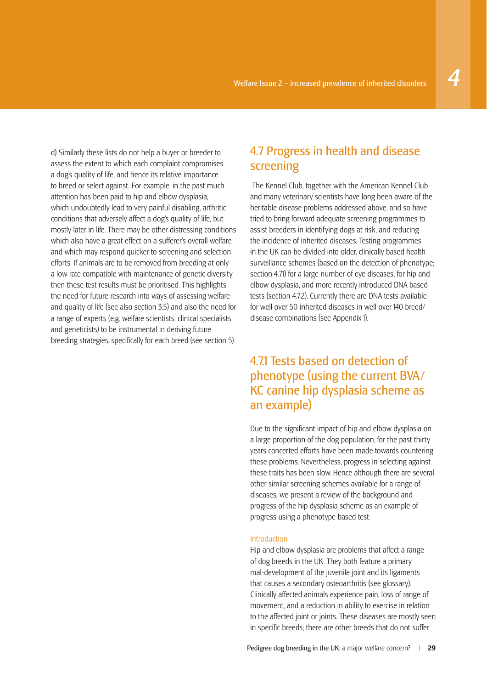d) Similarly these lists do not help a buyer or breeder to assess the extent to which each complaint compromises a dog's quality of life, and hence its relative importance to breed or select against. For example, in the past much attention has been paid to hip and elbow dysplasia, which undoubtedly lead to very painful disabling, arthritic conditions that adversely affect a dog's quality of life, but mostly later in life. There may be other distressing conditions which also have a great effect on a sufferer's overall welfare and which may respond quicker to screening and selection efforts. If animals are to be removed from breeding at only a low rate compatible with maintenance of genetic diversity then these test results must be prioritised. This highlights the need for future research into ways of assessing welfare and quality of life (see also section 3.5) and also the need for a range of experts (e.g. welfare scientists, clinical specialists and geneticists) to be instrumental in deriving future breeding strategies, specifically for each breed (see section 5).

#### 4.7 Progress in health and disease screening

 The Kennel Club, together with the American Kennel Club and many veterinary scientists have long been aware of the heritable disease problems addressed above, and so have tried to bring forward adequate screening programmes to assist breeders in identifying dogs at risk, and reducing the incidence of inherited diseases. Testing programmes in the UK can be divided into older, clinically based health surveillance schemes (based on the detection of phenotype; section 4.7.1) for a large number of eye diseases, for hip and elbow dysplasia, and more recently introduced DNA based tests (section 4.7.2). Currently there are DNA tests available for well over 50 inherited diseases in well over 140 breed/ disease combinations (see Appendix 1).

#### 4.7.1 Tests based on detection of phenotype (using the current BVA/ KC canine hip dysplasia scheme as an example)

Due to the significant impact of hip and elbow dysplasia on a large proportion of the dog population, for the past thirty years concerted efforts have been made towards countering these problems. Nevertheless, progress in selecting against these traits has been slow. Hence although there are several other similar screening schemes available for a range of diseases, we present a review of the background and progress of the hip dysplasia scheme as an example of progress using a phenotype based test.

#### Introduction

Hip and elbow dysplasia are problems that affect a range of dog breeds in the UK. They both feature a primary mal-development of the juvenile joint and its ligaments that causes a secondary osteoarthritis (see glossary). Clinically affected animals experience pain, loss of range of movement, and a reduction in ability to exercise in relation to the affected joint or joints. These diseases are mostly seen in specific breeds; there are other breeds that do not suffer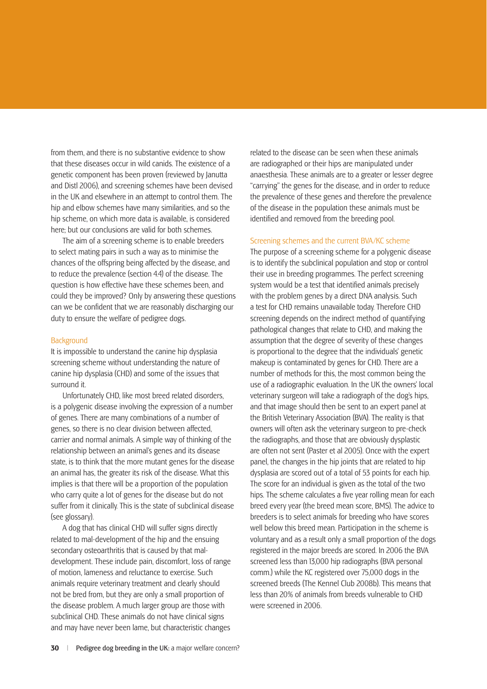from them, and there is no substantive evidence to show that these diseases occur in wild canids. The existence of a genetic component has been proven (reviewed by Janutta and Distl 2006), and screening schemes have been devised in the UK and elsewhere in an attempt to control them. The hip and elbow schemes have many similarities, and so the hip scheme, on which more data is available, is considered here; but our conclusions are valid for both schemes.

The aim of a screening scheme is to enable breeders to select mating pairs in such a way as to minimise the chances of the offspring being affected by the disease, and to reduce the prevalence (section 4.4) of the disease. The question is how effective have these schemes been, and could they be improved? Only by answering these questions can we be confident that we are reasonably discharging our duty to ensure the welfare of pedigree dogs.

#### Background

It is impossible to understand the canine hip dysplasia screening scheme without understanding the nature of canine hip dysplasia (CHD) and some of the issues that surround it.

Unfortunately CHD, like most breed related disorders, is a polygenic disease involving the expression of a number of genes. There are many combinations of a number of genes, so there is no clear division between affected, carrier and normal animals. A simple way of thinking of the relationship between an animal's genes and its disease state, is to think that the more mutant genes for the disease an animal has, the greater its risk of the disease. What this implies is that there will be a proportion of the population who carry quite a lot of genes for the disease but do not suffer from it clinically. This is the state of subclinical disease (see glossary).

A dog that has clinical CHD will suffer signs directly related to mal-development of the hip and the ensuing secondary osteoarthritis that is caused by that maldevelopment. These include pain, discomfort, loss of range of motion, lameness and reluctance to exercise. Such animals require veterinary treatment and clearly should not be bred from, but they are only a small proportion of the disease problem. A much larger group are those with subclinical CHD. These animals do not have clinical signs and may have never been lame, but characteristic changes

related to the disease can be seen when these animals are radiographed or their hips are manipulated under anaesthesia. These animals are to a greater or lesser degree "carrying" the genes for the disease, and in order to reduce the prevalence of these genes and therefore the prevalence of the disease in the population these animals must be identified and removed from the breeding pool.

#### Screening schemes and the current BVA/KC scheme

The purpose of a screening scheme for a polygenic disease is to identify the subclinical population and stop or control their use in breeding programmes. The perfect screening system would be a test that identified animals precisely with the problem genes by a direct DNA analysis. Such a test for CHD remains unavailable today. Therefore CHD screening depends on the indirect method of quantifying pathological changes that relate to CHD, and making the assumption that the degree of severity of these changes is proportional to the degree that the individuals' genetic makeup is contaminated by genes for CHD. There are a number of methods for this, the most common being the use of a radiographic evaluation. In the UK the owners' local veterinary surgeon will take a radiograph of the dog's hips, and that image should then be sent to an expert panel at the British Veterinary Association (BVA). The reality is that owners will often ask the veterinary surgeon to pre-check the radiographs, and those that are obviously dysplastic are often not sent (Paster et al 2005). Once with the expert panel, the changes in the hip joints that are related to hip dysplasia are scored out of a total of 53 points for each hip. The score for an individual is given as the total of the two hips. The scheme calculates a five year rolling mean for each breed every year (the breed mean score, BMS). The advice to breeders is to select animals for breeding who have scores well below this breed mean. Participation in the scheme is voluntary and as a result only a small proportion of the dogs registered in the major breeds are scored. In 2006 the BVA screened less than 13,000 hip radiographs (BVA personal comm.) while the KC registered over 75,000 dogs in the screened breeds (The Kennel Club 2008b). This means that less than 20% of animals from breeds vulnerable to CHD were screened in 2006.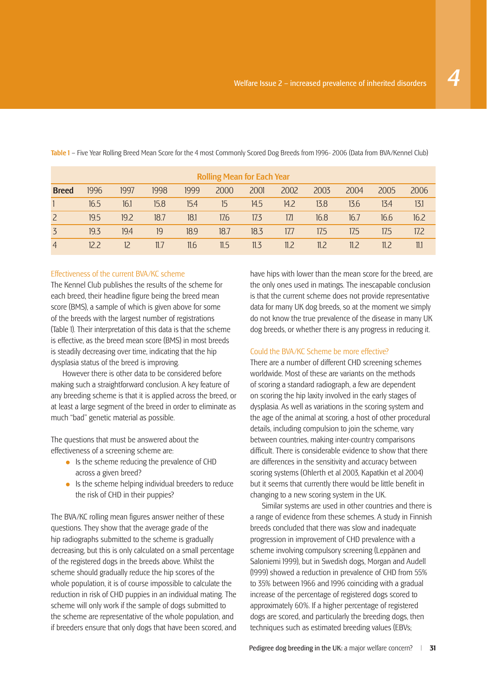| <b>Rolling Mean for Each Year</b> |                |      |      |      |      |      |      |      |      |      |      |  |
|-----------------------------------|----------------|------|------|------|------|------|------|------|------|------|------|--|
| <b>Breed</b>                      | 1996           | 1997 | 1998 | 1999 | 2000 | 2001 | 2002 | 2003 | 2004 | 2005 | 2006 |  |
|                                   | 16.5           | 16.1 | 15.8 | 15.4 | 15   | 14.5 | 14.2 | 13.8 | 13.6 | 13.4 | 13.1 |  |
| $\overline{2}$                    | 19.5           | 19.2 | 18.7 | 18.1 | 17.6 | 17.3 | 17.1 | 16.8 | 16.7 | 16.6 | 16.2 |  |
| 3                                 | 19.3           | 19.4 | 19   | 18.9 | 18.7 | 18.3 | 17.7 | 17.5 | 17.5 | 17.5 | 17.2 |  |
| $\overline{4}$                    | $12.2^{\circ}$ |      | 11.7 | 11.6 | 11.5 | 11.3 | 11.2 | 11.2 | 11.2 | 11.2 | 11.1 |  |

Table 1 – Five Year Rolling Breed Mean Score for the 4 most Commonly Scored Dog Breeds from 1996- 2006 (Data from BVA/Kennel Club)

#### Effectiveness of the current BVA/KC scheme

The Kennel Club publishes the results of the scheme for each breed, their headline figure being the breed mean score (BMS), a sample of which is given above for some of the breeds with the largest number of registrations (Table 1). Their interpretation of this data is that the scheme is effective, as the breed mean score (BMS) in most breeds is steadily decreasing over time, indicating that the hip dysplasia status of the breed is improving.

However there is other data to be considered before making such a straightforward conclusion. A key feature of any breeding scheme is that it is applied across the breed, or at least a large segment of the breed in order to eliminate as much "bad" genetic material as possible.

The questions that must be answered about the effectiveness of a screening scheme are:

- Is the scheme reducing the prevalence of CHD across a given breed?
- Is the scheme helping individual breeders to reduce the risk of CHD in their puppies?

The BVA/KC rolling mean figures answer neither of these questions. They show that the average grade of the hip radiographs submitted to the scheme is gradually decreasing, but this is only calculated on a small percentage of the registered dogs in the breeds above. Whilst the scheme should gradually reduce the hip scores of the whole population, it is of course impossible to calculate the reduction in risk of CHD puppies in an individual mating. The scheme will only work if the sample of dogs submitted to the scheme are representative of the whole population, and if breeders ensure that only dogs that have been scored, and

have hips with lower than the mean score for the breed, are the only ones used in matings. The inescapable conclusion is that the current scheme does not provide representative data for many UK dog breeds, so at the moment we simply do not know the true prevalence of the disease in many UK dog breeds, or whether there is any progress in reducing it.

#### Could the BVA/KC Scheme be more effective?

There are a number of different CHD screening schemes worldwide. Most of these are variants on the methods of scoring a standard radiograph, a few are dependent on scoring the hip laxity involved in the early stages of dysplasia. As well as variations in the scoring system and the age of the animal at scoring, a host of other procedural details, including compulsion to join the scheme, vary between countries, making inter-country comparisons difficult. There is considerable evidence to show that there are differences in the sensitivity and accuracy between scoring systems (Ohlerth et al 2003, Kapatkin et al 2004) but it seems that currently there would be little benefit in changing to a new scoring system in the UK.

Similar systems are used in other countries and there is a range of evidence from these schemes. A study in Finnish breeds concluded that there was slow and inadequate progression in improvement of CHD prevalence with a scheme involving compulsory screening (Leppänen and Saloniemi 1999), but in Swedish dogs, Morgan and Audell (1999) showed a reduction in prevalence of CHD from 55% to 35% between 1966 and 1996 coinciding with a gradual increase of the percentage of registered dogs scored to approximately 60%. If a higher percentage of registered dogs are scored, and particularly the breeding dogs, then techniques such as estimated breeding values (EBVs;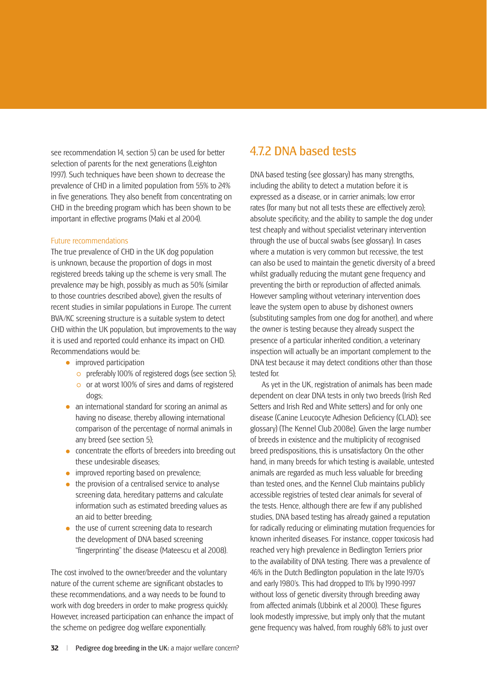see recommendation 14, section 5) can be used for better selection of parents for the next generations (Leighton 1997). Such techniques have been shown to decrease the prevalence of CHD in a limited population from 55% to 24% in five generations. They also benefit from concentrating on CHD in the breeding program which has been shown to be important in effective programs (Maki et al 2004).

#### Future recommendations

The true prevalence of CHD in the UK dog population is unknown, because the proportion of dogs in most registered breeds taking up the scheme is very small. The prevalence may be high, possibly as much as 50% (similar to those countries described above), given the results of recent studies in similar populations in Europe. The current BVA/KC screening structure is a suitable system to detect CHD within the UK population, but improvements to the way it is used and reported could enhance its impact on CHD. Recommendations would be:

- improved participation
	- preferably 100% of registered dogs (see section 5);
	- or at worst 100% of sires and dams of registered dogs;
- an international standard for scoring an animal as having no disease, thereby allowing international comparison of the percentage of normal animals in any breed (see section 5);
- concentrate the efforts of breeders into breeding out these undesirable diseases;
- improved reporting based on prevalence;
- the provision of a centralised service to analyse screening data, hereditary patterns and calculate information such as estimated breeding values as an aid to better breeding;
- the use of current screening data to research the development of DNA based screening "fingerprinting" the disease (Mateescu et al 2008).

The cost involved to the owner/breeder and the voluntary nature of the current scheme are significant obstacles to these recommendations, and a way needs to be found to work with dog breeders in order to make progress quickly. However, increased participation can enhance the impact of the scheme on pedigree dog welfare exponentially.

### 4.7.2 DNA based tests

DNA based testing (see glossary) has many strengths, including the ability to detect a mutation before it is expressed as a disease, or in carrier animals; low error rates (for many but not all tests these are effectively zero); absolute specificity; and the ability to sample the dog under test cheaply and without specialist veterinary intervention through the use of buccal swabs (see glossary). In cases where a mutation is very common but recessive, the test can also be used to maintain the genetic diversity of a breed whilst gradually reducing the mutant gene frequency and preventing the birth or reproduction of affected animals. However sampling without veterinary intervention does leave the system open to abuse by dishonest owners (substituting samples from one dog for another), and where the owner is testing because they already suspect the presence of a particular inherited condition, a veterinary inspection will actually be an important complement to the DNA test because it may detect conditions other than those tested for.

As yet in the UK, registration of animals has been made dependent on clear DNA tests in only two breeds (Irish Red Setters and Irish Red and White setters) and for only one disease (Canine Leucocyte Adhesion Deficiency (CLAD); see glossary) (The Kennel Club 2008e). Given the large number of breeds in existence and the multiplicity of recognised breed predispositions, this is unsatisfactory. On the other hand, in many breeds for which testing is available, untested animals are regarded as much less valuable for breeding than tested ones, and the Kennel Club maintains publicly accessible registries of tested clear animals for several of the tests. Hence, although there are few if any published studies, DNA based testing has already gained a reputation for radically reducing or eliminating mutation frequencies for known inherited diseases. For instance, copper toxicosis had reached very high prevalence in Bedlington Terriers prior to the availability of DNA testing. There was a prevalence of 46% in the Dutch Bedlington population in the late 1970's and early 1980's. This had dropped to 11% by 1990-1997 without loss of genetic diversity through breeding away from affected animals (Ubbink et al 2000). These figures look modestly impressive, but imply only that the mutant gene frequency was halved, from roughly 68% to just over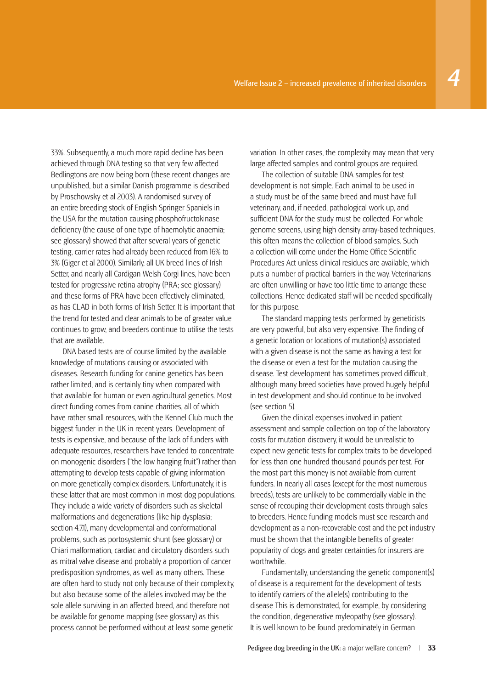33%. Subsequently, a much more rapid decline has been achieved through DNA testing so that very few affected Bedlingtons are now being born (these recent changes are unpublished, but a similar Danish programme is described by Proschowsky et al 2003). A randomised survey of an entire breeding stock of English Springer Spaniels in the USA for the mutation causing phosphofructokinase deficiency (the cause of one type of haemolytic anaemia: see glossary) showed that after several years of genetic testing, carrier rates had already been reduced from 16% to 3% (Giger et al 2000). Similarly, all UK breed lines of Irish Setter, and nearly all Cardigan Welsh Corgi lines, have been tested for progressive retina atrophy (PRA; see glossary) and these forms of PRA have been effectively eliminated, as has CLAD in both forms of Irish Setter. It is important that the trend for tested and clear animals to be of greater value continues to grow, and breeders continue to utilise the tests

that are available.

DNA based tests are of course limited by the available knowledge of mutations causing or associated with diseases. Research funding for canine genetics has been rather limited, and is certainly tiny when compared with that available for human or even agricultural genetics. Most direct funding comes from canine charities, all of which have rather small resources, with the Kennel Club much the biggest funder in the UK in recent years. Development of tests is expensive, and because of the lack of funders with adequate resources, researchers have tended to concentrate on monogenic disorders ("the low hanging fruit") rather than attempting to develop tests capable of giving information on more genetically complex disorders. Unfortunately, it is these latter that are most common in most dog populations. They include a wide variety of disorders such as skeletal malformations and degenerations (like hip dysplasia; section 4.7.1), many developmental and conformational problems, such as portosystemic shunt (see glossary) or Chiari malformation, cardiac and circulatory disorders such as mitral valve disease and probably a proportion of cancer predisposition syndromes, as well as many others. These are often hard to study not only because of their complexity, but also because some of the alleles involved may be the sole allele surviving in an affected breed, and therefore not be available for genome mapping (see glossary) as this process cannot be performed without at least some genetic

variation. In other cases, the complexity may mean that very large affected samples and control groups are required.

The collection of suitable DNA samples for test development is not simple. Each animal to be used in a study must be of the same breed and must have full veterinary, and, if needed, pathological work up, and sufficient DNA for the study must be collected. For whole genome screens, using high density array-based techniques, this often means the collection of blood samples. Such a collection will come under the Home Office Scientific Procedures Act unless clinical residues are available, which puts a number of practical barriers in the way. Veterinarians are often unwilling or have too little time to arrange these collections. Hence dedicated staff will be needed specifically for this purpose.

The standard mapping tests performed by geneticists are very powerful, but also very expensive. The finding of a genetic location or locations of mutation(s) associated with a given disease is not the same as having a test for the disease or even a test for the mutation causing the disease. Test development has sometimes proved difficult. although many breed societies have proved hugely helpful in test development and should continue to be involved (see section 5).

Given the clinical expenses involved in patient assessment and sample collection on top of the laboratory costs for mutation discovery, it would be unrealistic to expect new genetic tests for complex traits to be developed for less than one hundred thousand pounds per test. For the most part this money is not available from current funders. In nearly all cases (except for the most numerous breeds), tests are unlikely to be commercially viable in the sense of recouping their development costs through sales to breeders. Hence funding models must see research and development as a non-recoverable cost and the pet industry must be shown that the intangible benefits of greater popularity of dogs and greater certainties for insurers are worthwhile.

Fundamentally, understanding the genetic component(s) of disease is a requirement for the development of tests to identify carriers of the allele(s) contributing to the disease This is demonstrated, for example, by considering the condition, degenerative myleopathy (see glossary). It is well known to be found predominately in German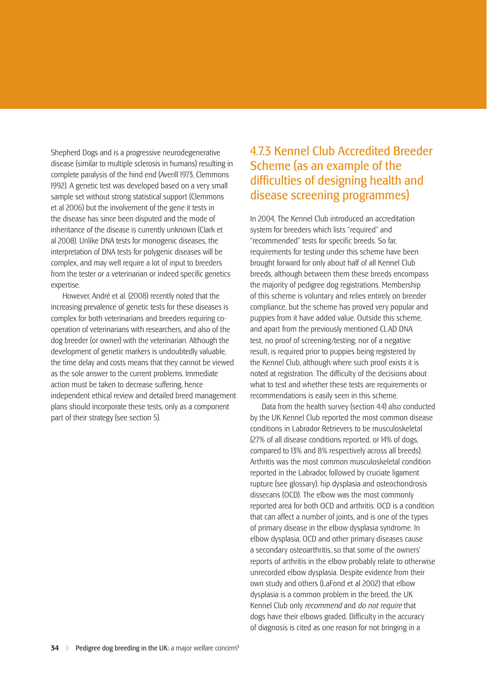Shepherd Dogs and is a progressive neurodegenerative disease (similar to multiple sclerosis in humans) resulting in complete paralysis of the hind end (Averill 1973, Clemmons 1992). A genetic test was developed based on a very small sample set without strong statistical support (Clemmons et al 2006) but the involvement of the gene it tests in the disease has since been disputed and the mode of inheritance of the disease is currently unknown (Clark et al 2008). Unlike DNA tests for monogenic diseases, the interpretation of DNA tests for polygenic diseases will be complex, and may well require a lot of input to breeders from the tester or a veterinarian or indeed specific genetics expertise.

However, André et al. (2008) recently noted that the increasing prevalence of genetic tests for these diseases is complex for both veterinarians and breeders requiring cooperation of veterinarians with researchers, and also of the dog breeder (or owner) with the veterinarian. Although the development of genetic markers is undoubtedly valuable, the time delay and costs means that they cannot be viewed as the sole answer to the current problems. Immediate action must be taken to decrease suffering, hence independent ethical review and detailed breed management plans should incorporate these tests, only as a component part of their strategy (see section 5).

### 4.7.3 Kennel Club Accredited Breeder Scheme (as an example of the difficulties of designing health and disease screening programmes)

In 2004, The Kennel Club introduced an accreditation system for breeders which lists "required" and "recommended" tests for specific breeds. So far, requirements for testing under this scheme have been brought forward for only about half of all Kennel Club breeds, although between them these breeds encompass the majority of pedigree dog registrations. Membership of this scheme is voluntary and relies entirely on breeder compliance, but the scheme has proved very popular and puppies from it have added value. Outside this scheme, and apart from the previously mentioned CLAD DNA test, no proof of screening/testing, nor of a negative result, is required prior to puppies being registered by the Kennel Club, although where such proof exists it is noted at registration. The difficulty of the decisions about what to test and whether these tests are requirements or recommendations is easily seen in this scheme.

Data from the health survey (section 4.4) also conducted by the UK Kennel Club reported the most common disease conditions in Labrador Retrievers to be musculoskeletal (27% of all disease conditions reported, or 14% of dogs, compared to 13% and 8% respectively across all breeds). Arthritis was the most common musculoskeletal condition reported in the Labrador, followed by cruciate ligament rupture (see glossary), hip dysplasia and osteochondrosis dissecans (OCD). The elbow was the most commonly reported area for both OCD and arthritis. OCD is a condition that can affect a number of joints, and is one of the types of primary disease in the elbow dysplasia syndrome. In elbow dysplasia, OCD and other primary diseases cause a secondary osteoarthritis, so that some of the owners' reports of arthritis in the elbow probably relate to otherwise unrecorded elbow dysplasia. Despite evidence from their own study and others (LaFond et al 2002) that elbow dysplasia is a common problem in the breed, the UK Kennel Club only *recommend* and *do not require* that dogs have their elbows graded. Difficulty in the accuracy of diagnosis is cited as one reason for not bringing in a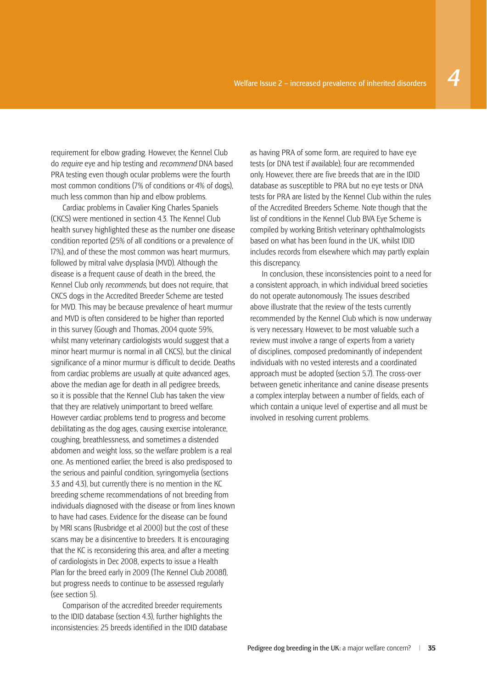requirement for elbow grading. However, the Kennel Club do *require* eye and hip testing and *recommend* DNA based PRA testing even though ocular problems were the fourth

much less common than hip and elbow problems. Cardiac problems in Cavalier King Charles Spaniels (CKCS) were mentioned in section 4.3. The Kennel Club health survey highlighted these as the number one disease condition reported (25% of all conditions or a prevalence of 17%), and of these the most common was heart murmurs, followed by mitral valve dysplasia (MVD). Although the disease is a frequent cause of death in the breed, the Kennel Club only *recommends*, but does not require, that CKCS dogs in the Accredited Breeder Scheme are tested for MVD. This may be because prevalence of heart murmur and MVD is often considered to be higher than reported in this survey (Gough and Thomas, 2004 quote 59%, whilst many veterinary cardiologists would suggest that a minor heart murmur is normal in all CKCS), but the clinical significance of a minor murmur is difficult to decide. Deaths from cardiac problems are usually at quite advanced ages, above the median age for death in all pedigree breeds, so it is possible that the Kennel Club has taken the view that they are relatively unimportant to breed welfare. However cardiac problems tend to progress and become debilitating as the dog ages, causing exercise intolerance, coughing, breathlessness, and sometimes a distended abdomen and weight loss, so the welfare problem is a real one. As mentioned earlier, the breed is also predisposed to the serious and painful condition, syringomyelia (sections 3.3 and 4.3), but currently there is no mention in the KC breeding scheme recommendations of not breeding from individuals diagnosed with the disease or from lines known to have had cases. Evidence for the disease can be found by MRI scans (Rusbridge et al 2000) but the cost of these scans may be a disincentive to breeders. It is encouraging that the KC is reconsidering this area, and after a meeting of cardiologists in Dec 2008, expects to issue a Health Plan for the breed early in 2009 (The Kennel Club 2008f), but progress needs to continue to be assessed regularly (see section 5).

most common conditions (7% of conditions or 4% of dogs),

Comparison of the accredited breeder requirements to the IDID database (section 4.3), further highlights the inconsistencies: 25 breeds identified in the IDID database as having PRA of some form, are required to have eye tests (or DNA test if available); four are recommended only. However, there are five breeds that are in the IDID database as susceptible to PRA but no eye tests or DNA tests for PRA are listed by the Kennel Club within the rules of the Accredited Breeders Scheme. Note though that the list of conditions in the Kennel Club BVA Eye Scheme is compiled by working British veterinary ophthalmologists based on what has been found in the UK, whilst IDID includes records from elsewhere which may partly explain this discrepancy.

In conclusion, these inconsistencies point to a need for a consistent approach, in which individual breed societies do not operate autonomously. The issues described above illustrate that the review of the tests currently recommended by the Kennel Club which is now underway is very necessary. However, to be most valuable such a review must involve a range of experts from a variety of disciplines, composed predominantly of independent individuals with no vested interests and a coordinated approach must be adopted (section 5.7). The cross-over between genetic inheritance and canine disease presents a complex interplay between a number of fields, each of which contain a unique level of expertise and all must be involved in resolving current problems.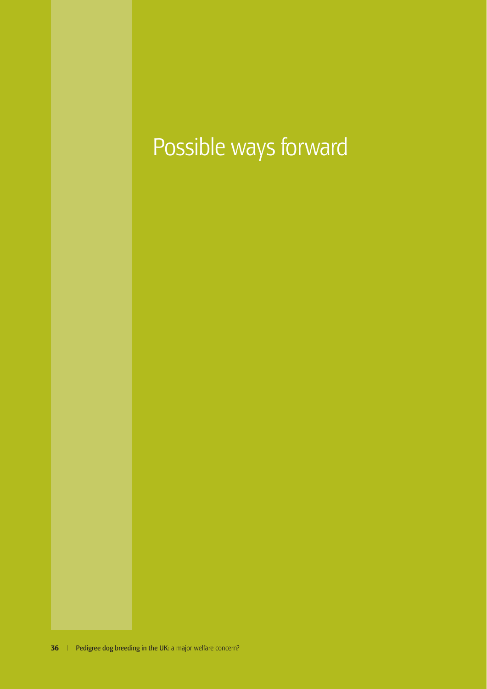# Possible ways forward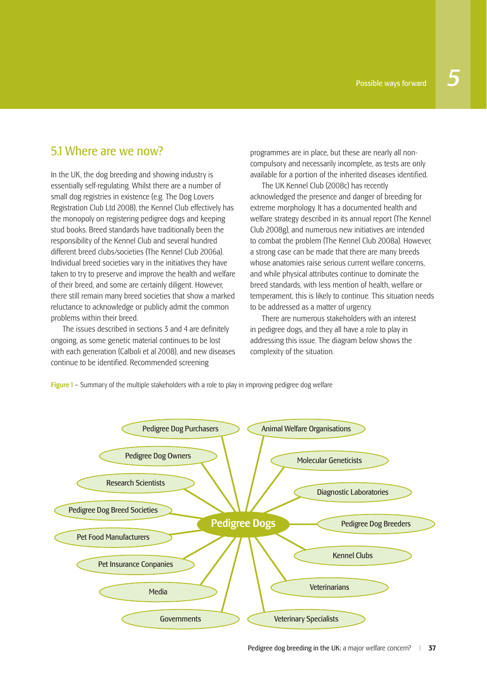## 5.1 Where are we now?

In the UK, the dog breeding and showing industry is essentially self-regulating. Whilst there are a number of small dog registries in existence (e.g. The Dog Lovers Registration Club Ltd 2008), the Kennel Club effectively has the monopoly on registering pedigree dogs and keeping stud books. Breed standards have traditionally been the responsibility of the Kennel Club and several hundred different breed clubs/societies (The Kennel Club 2006a). Individual breed societies vary in the initiatives they have taken to try to preserve and improve the health and welfare of their breed, and some are certainly diligent. However, there still remain many breed societies that show a marked reluctance to acknowledge or publicly admit the common problems within their breed.

The issues described in sections 3 and 4 are definitely ongoing, as some genetic material continues to be lost with each generation (Calboli et al 2008), and new diseases continue to be identified. Recommended screening

programmes are in place, but these are nearly all noncompulsory and necessarily incomplete, as tests are only available for a portion of the inherited diseases identified.

The UK Kennel Club (2008c) has recently acknowledged the presence and danger of breeding for extreme morphology. It has a documented health and welfare strategy described in its annual report (The Kennel Club 2008g), and numerous new initiatives are intended to combat the problem (The Kennel Club 2008a). However, a strong case can be made that there are many breeds whose anatomies raise serious current welfare concerns, and while physical attributes continue to dominate the breed standards, with less mention of health, welfare or temperament, this is likely to continue. This situation needs to be addressed as a matter of urgency.

There are numerous stakeholders with an interest in pedigree dogs, and they all have a role to play in addressing this issue. The diagram below shows the complexity of the situation.

Figure 1 – Summary of the multiple stakeholders with a role to play in improving pedigree dog welfare

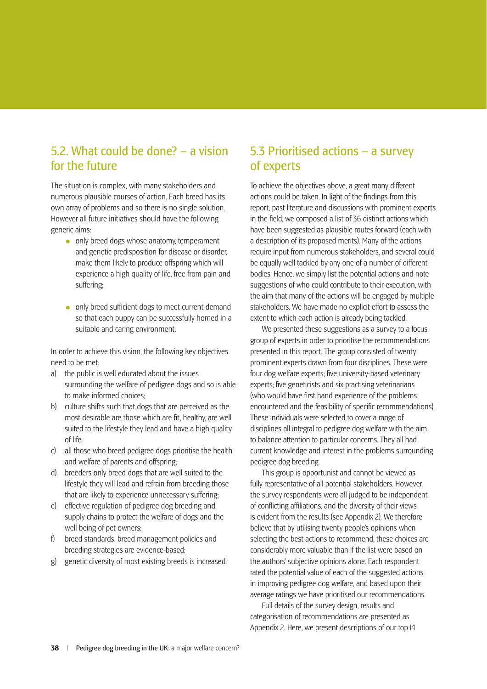## 5.2. What could be done? – a vision for the future

The situation is complex, with many stakeholders and numerous plausible courses of action. Each breed has its own array of problems and so there is no single solution. However all future initiatives should have the following generic aims:

- only breed dogs whose anatomy, temperament and genetic predisposition for disease or disorder, make them likely to produce offspring which will experience a high quality of life, free from pain and suffering;
- $\bullet$  only breed sufficient dogs to meet current demand so that each puppy can be successfully homed in a suitable and caring environment.

In order to achieve this vision, the following key objectives need to be met:

- a) the public is well educated about the issues surrounding the welfare of pedigree dogs and so is able to make informed choices;
- b) culture shifts such that dogs that are perceived as the most desirable are those which are fit, healthy, are well suited to the lifestyle they lead and have a high quality of life;
- c) all those who breed pedigree dogs prioritise the health and welfare of parents and offspring;
- d) breeders only breed dogs that are well suited to the lifestyle they will lead and refrain from breeding those that are likely to experience unnecessary suffering;
- e) effective regulation of pedigree dog breeding and supply chains to protect the welfare of dogs and the well being of pet owners;
- f) breed standards, breed management policies and breeding strategies are evidence-based;
- g) genetic diversity of most existing breeds is increased.

## 5.3 Prioritised actions – a survey of experts

To achieve the objectives above, a great many different actions could be taken. In light of the findings from this report, past literature and discussions with prominent experts in the field, we composed a list of 36 distinct actions which have been suggested as plausible routes forward (each with a description of its proposed merits). Many of the actions require input from numerous stakeholders, and several could be equally well tackled by any one of a number of different bodies. Hence, we simply list the potential actions and note suggestions of who could contribute to their execution, with the aim that many of the actions will be engaged by multiple stakeholders. We have made no explicit effort to assess the extent to which each action is already being tackled.

We presented these suggestions as a survey to a focus group of experts in order to prioritise the recommendations presented in this report. The group consisted of twenty prominent experts drawn from four disciplines. These were four dog welfare experts; five university-based veterinary experts; five geneticists and six practising veterinarians (who would have first hand experience of the problems encountered and the feasibility of specific recommendations). These individuals were selected to cover a range of disciplines all integral to pedigree dog welfare with the aim to balance attention to particular concerns. They all had current knowledge and interest in the problems surrounding pedigree dog breeding.

This group is opportunist and cannot be viewed as fully representative of all potential stakeholders. However, the survey respondents were all judged to be independent of conflicting affiliations, and the diversity of their views is evident from the results (see Appendix 2). We therefore believe that by utilising twenty people's opinions when selecting the best actions to recommend, these choices are considerably more valuable than if the list were based on the authors' subjective opinions alone. Each respondent rated the potential value of each of the suggested actions in improving pedigree dog welfare, and based upon their average ratings we have prioritised our recommendations.

Full details of the survey design, results and categorisation of recommendations are presented as Appendix 2. Here, we present descriptions of our top 14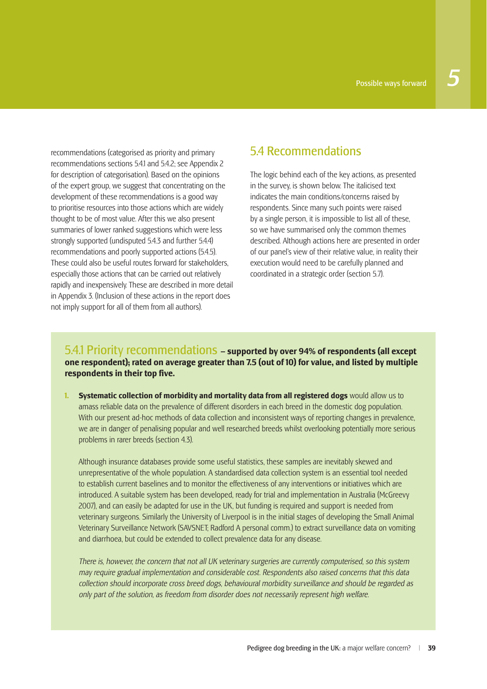recommendations (categorised as priority and primary recommendations sections 5.4.1 and 5.4.2; see Appendix 2 for description of categorisation). Based on the opinions of the expert group, we suggest that concentrating on the development of these recommendations is a good way to prioritise resources into those actions which are widely thought to be of most value. After this we also present summaries of lower ranked suggestions which were less strongly supported (undisputed 5.4.3 and further 5.4.4) recommendations and poorly supported actions (5.4.5). These could also be useful routes forward for stakeholders, especially those actions that can be carried out relatively rapidly and inexpensively. These are described in more detail in Appendix 3. (Inclusion of these actions in the report does not imply support for all of them from all authors).

## 5.4 Recommendations

The logic behind each of the key actions, as presented in the survey, is shown below. The italicised text indicates the main conditions/concerns raised by respondents. Since many such points were raised by a single person, it is impossible to list all of these, so we have summarised only the common themes described. Although actions here are presented in order of our panel's view of their relative value, in reality their execution would need to be carefully planned and coordinated in a strategic order (section 5.7).

### 5.4.1 Priority recommendations **– supported by over 94% of respondents (all except one respondent); rated on average greater than 7.5 (out of 10) for value, and listed by multiple respondents in their top five.**

**1. Systematic collection of morbidity and mortality data from all registered dogs** would allow us to amass reliable data on the prevalence of different disorders in each breed in the domestic dog population. With our present ad-hoc methods of data collection and inconsistent ways of reporting changes in prevalence, we are in danger of penalising popular and well researched breeds whilst overlooking potentially more serious problems in rarer breeds (section 4.3).

 Although insurance databases provide some useful statistics, these samples are inevitably skewed and unrepresentative of the whole population. A standardised data collection system is an essential tool needed to establish current baselines and to monitor the effectiveness of any interventions or initiatives which are introduced. A suitable system has been developed, ready for trial and implementation in Australia (McGreevy 2007), and can easily be adapted for use in the UK, but funding is required and support is needed from veterinary surgeons. Similarly the University of Liverpool is in the initial stages of developing the Small Animal Veterinary Surveillance Network (SAVSNET; Radford A personal comm.) to extract surveillance data on vomiting and diarrhoea, but could be extended to collect prevalence data for any disease.

 *There is, however, the concern that not all UK veterinary surgeries are currently computerised, so this system may require gradual implementation and considerable cost. Respondents also raised concerns that this data collection should incorporate cross breed dogs, behavioural morbidity surveillance and should be regarded as only part of the solution, as freedom from disorder does not necessarily represent high welfare.*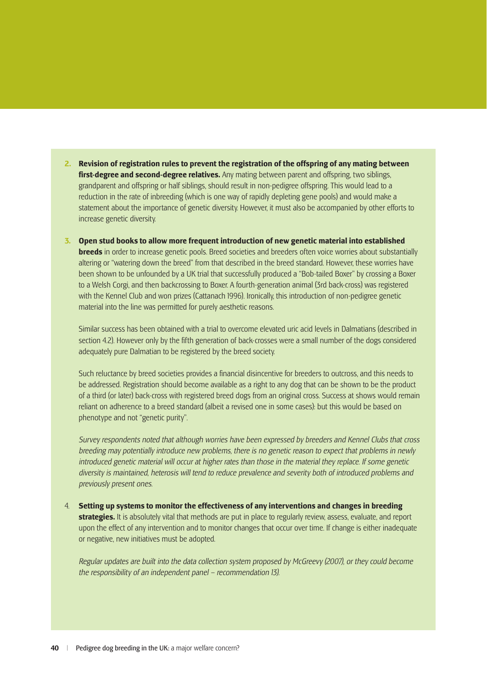- **2. Revision of registration rules to prevent the registration of the offspring of any mating between**  first-degree and second-degree relatives. Any mating between parent and offspring, two siblings, grandparent and offspring or half siblings, should result in non-pedigree offspring. This would lead to a reduction in the rate of inbreeding (which is one way of rapidly depleting gene pools) and would make a statement about the importance of genetic diversity. However, it must also be accompanied by other efforts to increase genetic diversity.
- **3. Open stud books to allow more frequent introduction of new genetic material into established breeds** in order to increase genetic pools. Breed societies and breeders often voice worries about substantially altering or "watering down the breed" from that described in the breed standard. However, these worries have been shown to be unfounded by a UK trial that successfully produced a "Bob-tailed Boxer" by crossing a Boxer to a Welsh Corgi, and then backcrossing to Boxer. A fourth-generation animal (3rd back-cross) was registered with the Kennel Club and won prizes (Cattanach 1996). Ironically, this introduction of non-pedigree genetic material into the line was permitted for purely aesthetic reasons.

 Similar success has been obtained with a trial to overcome elevated uric acid levels in Dalmatians (described in section 4.2). However only by the fifth generation of back-crosses were a small number of the dogs considered adequately pure Dalmatian to be registered by the breed society.

Such reluctance by breed societies provides a financial disincentive for breeders to outcross, and this needs to be addressed. Registration should become available as a right to any dog that can be shown to be the product of a third (or later) back-cross with registered breed dogs from an original cross. Success at shows would remain reliant on adherence to a breed standard (albeit a revised one in some cases): but this would be based on phenotype and not "genetic purity".

 *Survey respondents noted that although worries have been expressed by breeders and Kennel Clubs that cross breeding may potentially introduce new problems, there is no genetic reason to expect that problems in newly introduced genetic material will occur at higher rates than those in the material they replace. If some genetic diversity is maintained, heterosis will tend to reduce prevalence and severity both of introduced problems and previously present ones.*

4. **Setting up systems to monitor the effectiveness of any interventions and changes in breeding strategies.** It is absolutely vital that methods are put in place to regularly review, assess, evaluate, and report upon the effect of any intervention and to monitor changes that occur over time. If change is either inadequate or negative, new initiatives must be adopted.

 *Regular updates are built into the data collection system proposed by McGreevy (2007), or they could become the responsibility of an independent panel – recommendation 13).*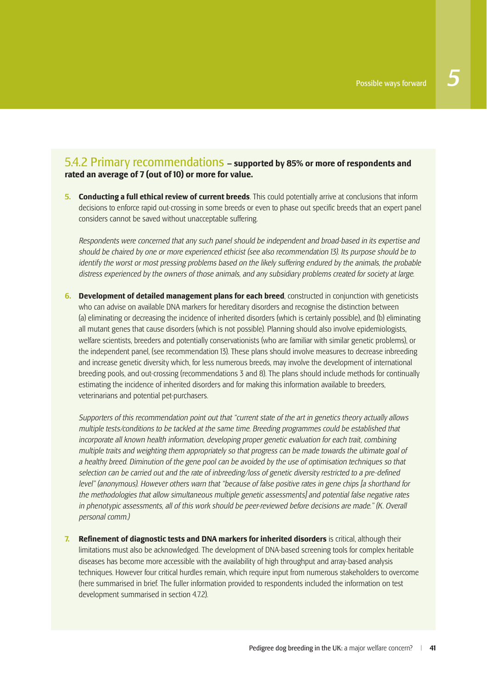## 5.4.2 Primary recommendations **– supported by 85% or more of respondents and rated an average of 7 (out of 10) or more for value.**

**5. Conducting a full ethical review of current breeds**. This could potentially arrive at conclusions that inform decisions to enforce rapid out-crossing in some breeds or even to phase out specific breeds that an expert panel considers cannot be saved without unacceptable suffering.

 *Respondents were concerned that any such panel should be independent and broad-based in its expertise and should be chaired by one or more experienced ethicist (see also recommendation 13). Its purpose should be to identify the worst or most pressing problems based on the likely suffering endured by the animals, the probable distress experienced by the owners of those animals, and any subsidiary problems created for society at large.* 

**6. Development of detailed management plans for each breed**, constructed in conjunction with geneticists who can advise on available DNA markers for hereditary disorders and recognise the distinction between (a) eliminating or decreasing the incidence of inherited disorders (which is certainly possible), and (b) eliminating all mutant genes that cause disorders (which is not possible). Planning should also involve epidemiologists, welfare scientists, breeders and potentially conservationists (who are familiar with similar genetic problems), or the independent panel, (see recommendation 13). These plans should involve measures to decrease inbreeding and increase genetic diversity which, for less numerous breeds, may involve the development of international breeding pools, and out-crossing (recommendations 3 and 8). The plans should include methods for continually estimating the incidence of inherited disorders and for making this information available to breeders, veterinarians and potential pet-purchasers.

 *Supporters of this recommendation point out that "current state of the art in genetics theory actually allows multiple tests/conditions to be tackled at the same time. Breeding programmes could be established that incorporate all known health information, developing proper genetic evaluation for each trait, combining multiple traits and weighting them appropriately so that progress can be made towards the ultimate goal of a healthy breed. Diminution of the gene pool can be avoided by the use of optimisation techniques so that*  selection can be carried out and the rate of inbreeding/loss of genetic diversity restricted to a pre-defined *level" (anonymous). However others warn that "because of false positive rates in gene chips [a shorthand for the methodologies that allow simultaneous multiple genetic assessments] and potential false negative rates*  in phenotypic assessments, all of this work should be peer-reviewed before decisions are made." (K. Overall *personal comm.)*

**7. Refinement of diagnostic tests and DNA markers for inherited disorders** is critical, although their limitations must also be acknowledged. The development of DNA-based screening tools for complex heritable diseases has become more accessible with the availability of high throughput and array-based analysis techniques. However four critical hurdles remain, which require input from numerous stakeholders to overcome (here summarised in brief. The fuller information provided to respondents included the information on test development summarised in section 4.7.2).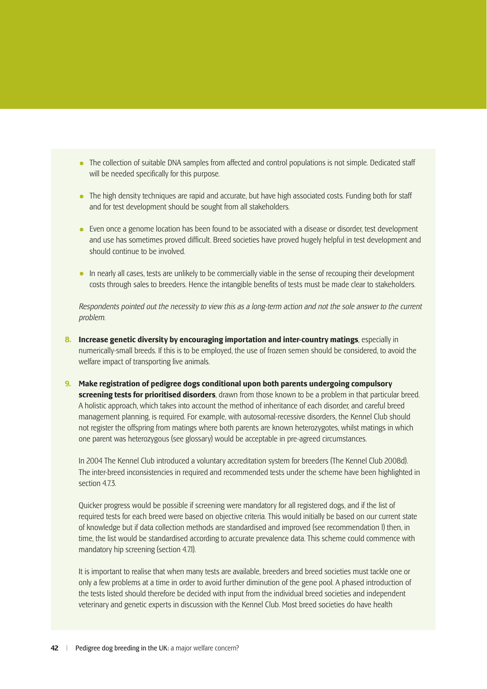- The collection of suitable DNA samples from affected and control populations is not simple. Dedicated staff will be needed specifically for this purpose.
- The high density techniques are rapid and accurate, but have high associated costs. Funding both for staff and for test development should be sought from all stakeholders.
- Even once a genome location has been found to be associated with a disease or disorder, test development and use has sometimes proved difficult. Breed societies have proved hugely helpful in test development and should continue to be involved.
- In nearly all cases, tests are unlikely to be commercially viable in the sense of recouping their development costs through sales to breeders. Hence the intangible benefits of tests must be made clear to stakeholders.

 *Respondents pointed out the necessity to view this as a long-term action and not the sole answer to the current problem.*

- **8. Increase genetic diversity by encouraging importation and inter-country matings, especially in** numerically-small breeds. If this is to be employed, the use of frozen semen should be considered, to avoid the welfare impact of transporting live animals.
- **9. Make registration of pedigree dogs conditional upon both parents undergoing compulsory screening tests for prioritised disorders**, drawn from those known to be a problem in that particular breed. A holistic approach, which takes into account the method of inheritance of each disorder, and careful breed management planning, is required. For example, with autosomal-recessive disorders, the Kennel Club should not register the offspring from matings where both parents are known heterozygotes, whilst matings in which one parent was heterozygous (see glossary) would be acceptable in pre-agreed circumstances.

 In 2004 The Kennel Club introduced a voluntary accreditation system for breeders (The Kennel Club 2008d). The inter-breed inconsistencies in required and recommended tests under the scheme have been highlighted in section 473

 Quicker progress would be possible if screening were mandatory for all registered dogs, and if the list of required tests for each breed were based on objective criteria. This would initially be based on our current state of knowledge but if data collection methods are standardised and improved (see recommendation 1) then, in time, the list would be standardised according to accurate prevalence data. This scheme could commence with mandatory hip screening (section 4.7.1).

 It is important to realise that when many tests are available, breeders and breed societies must tackle one or only a few problems at a time in order to avoid further diminution of the gene pool. A phased introduction of the tests listed should therefore be decided with input from the individual breed societies and independent veterinary and genetic experts in discussion with the Kennel Club. Most breed societies do have health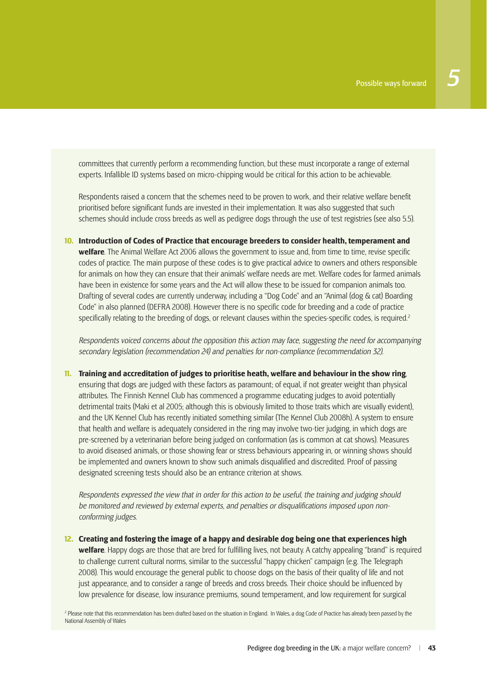committees that currently perform a recommending function, but these must incorporate a range of external experts. Infallible ID systems based on micro-chipping would be critical for this action to be achievable.

Respondents raised a concern that the schemes need to be proven to work, and their relative welfare benefit prioritised before significant funds are invested in their implementation. It was also suggested that such schemes should include cross breeds as well as pedigree dogs through the use of test registries (see also 5.5).

**10. Introduction of Codes of Practice that encourage breeders to consider health, temperament and welfare**. The Animal Welfare Act 2006 allows the government to issue and, from time to time, revise specific codes of practice. The main purpose of these codes is to give practical advice to owners and others responsible for animals on how they can ensure that their animals' welfare needs are met. Welfare codes for farmed animals have been in existence for some years and the Act will allow these to be issued for companion animals too. Drafting of several codes are currently underway, including a "Dog Code" and an "Animal (dog & cat) Boarding Code" in also planned (DEFRA 2008). However there is no specific code for breeding and a code of practice specifically relating to the breeding of dogs, or relevant clauses within the species-specific codes, is required.<sup>2</sup>

 *Respondents voiced concerns about the opposition this action may face, suggesting the need for accompanying secondary legislation (recommendation 24) and penalties for non-compliance (recommendation 32).* 

**11. Training and accreditation of judges to prioritise heath, welfare and behaviour in the show ring**, ensuring that dogs are judged with these factors as paramount; of equal, if not greater weight than physical attributes. The Finnish Kennel Club has commenced a programme educating judges to avoid potentially detrimental traits (Maki et al 2005; although this is obviously limited to those traits which are visually evident), and the UK Kennel Club has recently initiated something similar (The Kennel Club 2008h). A system to ensure that health and welfare is adequately considered in the ring may involve two-tier judging, in which dogs are pre-screened by a veterinarian before being judged on conformation (as is common at cat shows). Measures to avoid diseased animals, or those showing fear or stress behaviours appearing in, or winning shows should be implemented and owners known to show such animals disqualified and discredited. Proof of passing designated screening tests should also be an entrance criterion at shows.

 *Respondents expressed the view that in order for this action to be useful, the training and judging should*  be monitored and reviewed by external experts, and penalties or disqualifications imposed upon non*conforming judges.*

**12. Creating and fostering the image of a happy and desirable dog being one that experiences high welfare**. Happy dogs are those that are bred for fulfilling lives, not beauty. A catchy appealing "brand" is required to challenge current cultural norms, similar to the successful "happy chicken" campaign (e.g. The Telegraph 2008). This would encourage the general public to choose dogs on the basis of their quality of life and not just appearance, and to consider a range of breeds and cross breeds. Their choice should be influenced by low prevalence for disease, low insurance premiums, sound temperament, and low requirement for surgical

<sup>2</sup> Please note that this recommendation has been drafted based on the situation in England. In Wales, a dog Code of Practice has already been passed by the National Assembly of Wales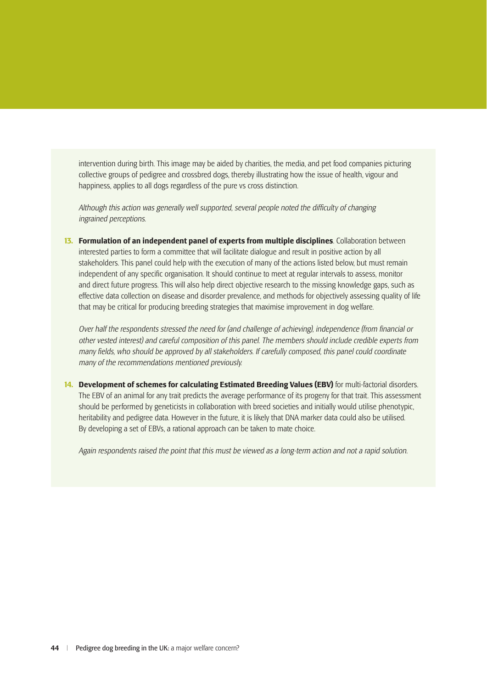intervention during birth. This image may be aided by charities, the media, and pet food companies picturing collective groups of pedigree and crossbred dogs, thereby illustrating how the issue of health, vigour and happiness, applies to all dogs regardless of the pure vs cross distinction.

Although this action was generally well supported, several people noted the difficulty of changing *ingrained perceptions.* 

**13. Formulation of an independent panel of experts from multiple disciplines**. Collaboration between interested parties to form a committee that will facilitate dialogue and result in positive action by all stakeholders. This panel could help with the execution of many of the actions listed below, but must remain independent of any specific organisation. It should continue to meet at regular intervals to assess, monitor and direct future progress. This will also help direct objective research to the missing knowledge gaps, such as effective data collection on disease and disorder prevalence, and methods for objectively assessing quality of life that may be critical for producing breeding strategies that maximise improvement in dog welfare.

*Over half the respondents stressed the need for (and challenge of achieving), independence (from financial or other vested interest) and careful composition of this panel. The members should include credible experts from many fi elds, who should be approved by all stakeholders. If carefully composed, this panel could coordinate many of the recommendations mentioned previously.* 

**14. Development of schemes for calculating Estimated Breeding Values (EBV)** for multi-factorial disorders. The EBV of an animal for any trait predicts the average performance of its progeny for that trait. This assessment should be performed by geneticists in collaboration with breed societies and initially would utilise phenotypic, heritability and pedigree data. However in the future, it is likely that DNA marker data could also be utilised. By developing a set of EBVs, a rational approach can be taken to mate choice.

 *Again respondents raised the point that this must be viewed as a long-term action and not a rapid solution.*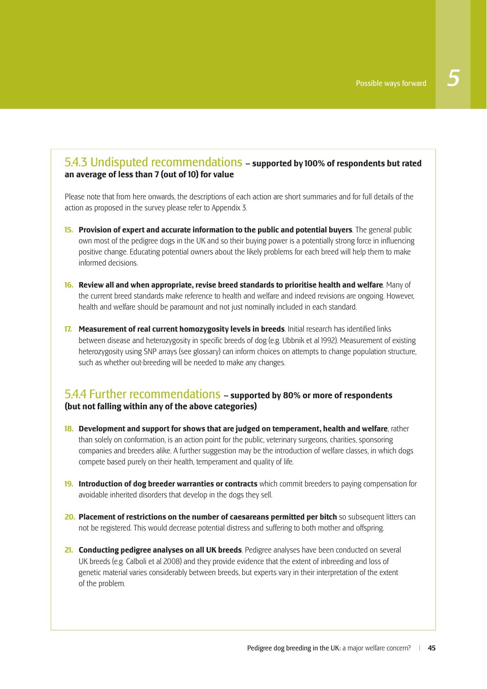### 5.4.3 Undisputed recommendations **– supported by 100% of respondents but rated an average of less than 7 (out of 10) for value**

Please note that from here onwards, the descriptions of each action are short summaries and for full details of the action as proposed in the survey please refer to Appendix 3.

- **15. Provision of expert and accurate information to the public and potential buyers**. The general public own most of the pedigree dogs in the UK and so their buying power is a potentially strong force in influencing positive change. Educating potential owners about the likely problems for each breed will help them to make informed decisions.
- **16. Review all and when appropriate, revise breed standards to prioritise health and welfare**. Many of the current breed standards make reference to health and welfare and indeed revisions are ongoing. However, health and welfare should be paramount and not just nominally included in each standard.
- **17. Measurement of real current homozygosity levels in breeds**. Initial research has identified links between disease and heterozygosity in specific breeds of dog (e.g. Ubbnik et al 1992). Measurement of existing heterozygosity using SNP arrays (see glossary) can inform choices on attempts to change population structure, such as whether out-breeding will be needed to make any changes.

### 5.4.4 Further recommendations **– supported by 80% or more of respondents (but not falling within any of the above categories)**

- **18. Development and support for shows that are judged on temperament, health and welfare**, rather than solely on conformation, is an action point for the public, veterinary surgeons, charities, sponsoring companies and breeders alike. A further suggestion may be the introduction of welfare classes, in which dogs compete based purely on their health, temperament and quality of life.
- **19. Introduction of dog breeder warranties or contracts** which commit breeders to paying compensation for avoidable inherited disorders that develop in the dogs they sell.
- **20. Placement of restrictions on the number of caesareans permitted per bitch** so subsequent litters can not be registered. This would decrease potential distress and suffering to both mother and offspring.
- **21. Conducting pedigree analyses on all UK breeds**. Pedigree analyses have been conducted on several UK breeds (e.g. Calboli et al 2008) and they provide evidence that the extent of inbreeding and loss of genetic material varies considerably between breeds, but experts vary in their interpretation of the extent of the problem.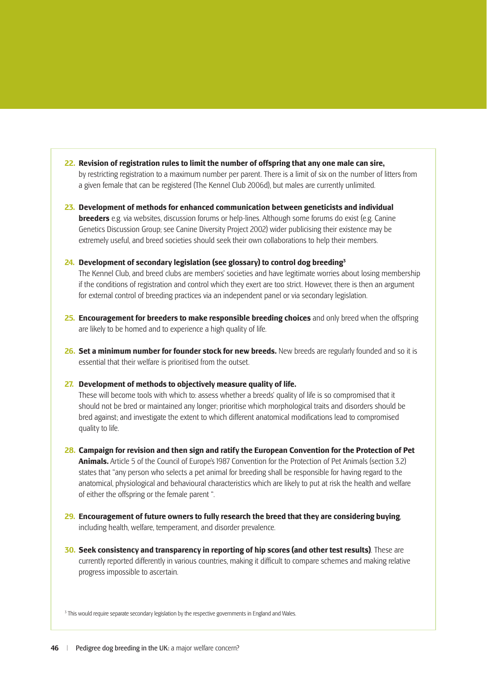- **22. Revision of registration rules to limit the number of offspring that any one male can sire,** by restricting registration to a maximum number per parent. There is a limit of six on the number of litters from a given female that can be registered (The Kennel Club 2006d), but males are currently unlimited.
- **23. Development of methods for enhanced communication between geneticists and individual breeders** e.g. via websites, discussion forums or help-lines. Although some forums do exist (e.g. Canine Genetics Discussion Group; see Canine Diversity Project 2002) wider publicising their existence may be extremely useful, and breed societies should seek their own collaborations to help their members.

#### **24. Development of secondary legislation (see glossary) to control dog breeding3**

 The Kennel Club, and breed clubs are members' societies and have legitimate worries about losing membership if the conditions of registration and control which they exert are too strict. However, there is then an argument for external control of breeding practices via an independent panel or via secondary legislation.

- **25. Encouragement for breeders to make responsible breeding choices** and only breed when the offspring are likely to be homed and to experience a high quality of life.
- **26. Set a minimum number for founder stock for new breeds.** New breeds are regularly founded and so it is essential that their welfare is prioritised from the outset.

#### **27. Development of methods to objectively measure quality of life.**

 These will become tools with which to: assess whether a breeds' quality of life is so compromised that it should not be bred or maintained any longer; prioritise which morphological traits and disorders should be bred against; and investigate the extent to which different anatomical modifications lead to compromised quality to life.

- **28. Campaign for revision and then sign and ratify the European Convention for the Protection of Pet Animals.** Article 5 of the Council of Europe's 1987 Convention for the Protection of Pet Animals (section 3.2) states that "any person who selects a pet animal for breeding shall be responsible for having regard to the anatomical, physiological and behavioural characteristics which are likely to put at risk the health and welfare of either the offspring or the female parent ".
- **29. Encouragement of future owners to fully research the breed that they are considering buying**, including health, welfare, temperament, and disorder prevalence.
- **30. Seek consistency and transparency in reporting of hip scores (and other test results)**. These are currently reported differently in various countries, making it difficult to compare schemes and making relative progress impossible to ascertain.

3 This would require separate secondary legislation by the respective governments in England and Wales.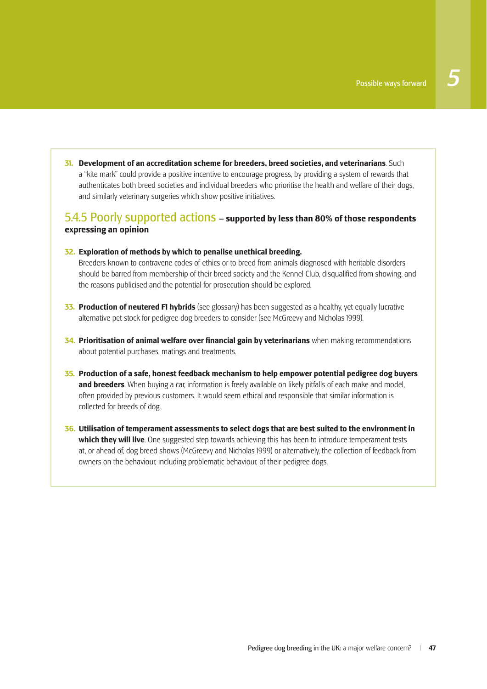**31. Development of an accreditation scheme for breeders, breed societies, and veterinarians**. Such a "kite mark" could provide a positive incentive to encourage progress, by providing a system of rewards that authenticates both breed societies and individual breeders who prioritise the health and welfare of their dogs, and similarly veterinary surgeries which show positive initiatives.

## 5.4.5 Poorly supported actions **– supported by less than 80% of those respondents expressing an opinion**

#### **32. Exploration of methods by which to penalise unethical breeding.**

 Breeders known to contravene codes of ethics or to breed from animals diagnosed with heritable disorders should be barred from membership of their breed society and the Kennel Club, disqualified from showing, and the reasons publicised and the potential for prosecution should be explored.

- **33. Production of neutered F1 hybrids** (see glossary) has been suggested as a healthy, yet equally lucrative alternative pet stock for pedigree dog breeders to consider (see McGreevy and Nicholas 1999).
- **34. Prioritisation of animal welfare over financial gain by veterinarians** when making recommendations about potential purchases, matings and treatments.
- **35. Production of a safe, honest feedback mechanism to help empower potential pedigree dog buyers and breeders**. When buying a car, information is freely available on likely pitfalls of each make and model, often provided by previous customers. It would seem ethical and responsible that similar information is collected for breeds of dog.
- **36. Utilisation of temperament assessments to select dogs that are best suited to the environment in which they will live**. One suggested step towards achieving this has been to introduce temperament tests at, or ahead of, dog breed shows (McGreevy and Nicholas 1999) or alternatively, the collection of feedback from owners on the behaviour, including problematic behaviour, of their pedigree dogs.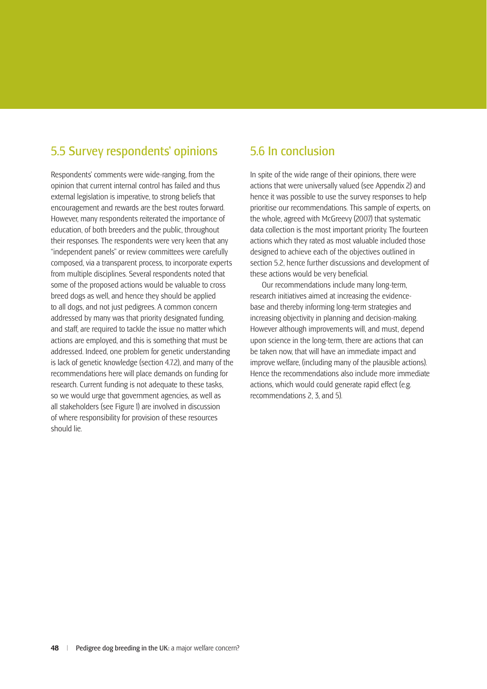## 5.5 Survey respondents' opinions

Respondents' comments were wide-ranging, from the opinion that current internal control has failed and thus external legislation is imperative, to strong beliefs that encouragement and rewards are the best routes forward. However, many respondents reiterated the importance of education, of both breeders and the public, throughout their responses. The respondents were very keen that any "independent panels" or review committees were carefully composed, via a transparent process, to incorporate experts from multiple disciplines. Several respondents noted that some of the proposed actions would be valuable to cross breed dogs as well, and hence they should be applied to all dogs, and not just pedigrees. A common concern addressed by many was that priority designated funding, and staff, are required to tackle the issue no matter which actions are employed, and this is something that must be addressed. Indeed, one problem for genetic understanding is lack of genetic knowledge (section 4.7.2), and many of the recommendations here will place demands on funding for research. Current funding is not adequate to these tasks, so we would urge that government agencies, as well as all stakeholders (see Figure 1) are involved in discussion of where responsibility for provision of these resources should lie.

## 5.6 In conclusion

In spite of the wide range of their opinions, there were actions that were universally valued (see Appendix 2) and hence it was possible to use the survey responses to help prioritise our recommendations. This sample of experts, on the whole, agreed with McGreevy (2007) that systematic data collection is the most important priority. The fourteen actions which they rated as most valuable included those designed to achieve each of the objectives outlined in section 5.2, hence further discussions and development of these actions would be very beneficial.

Our recommendations include many long-term, research initiatives aimed at increasing the evidencebase and thereby informing long-term strategies and increasing objectivity in planning and decision-making. However although improvements will, and must, depend upon science in the long-term, there are actions that can be taken now, that will have an immediate impact and improve welfare, (including many of the plausible actions). Hence the recommendations also include more immediate actions, which would could generate rapid effect (e.g. recommendations 2, 3, and 5).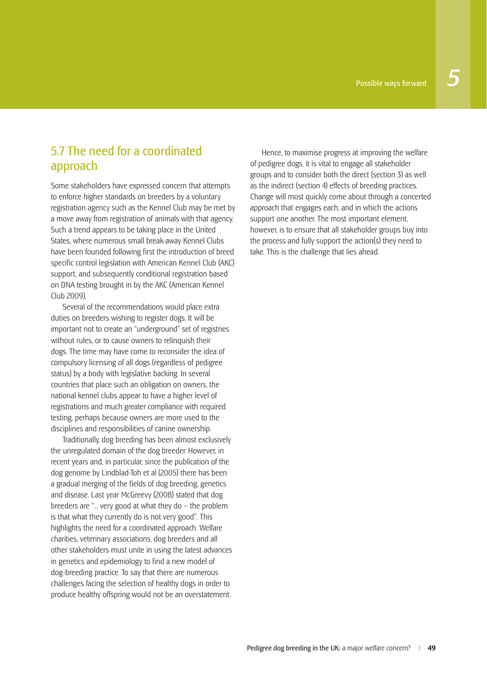## 5.7 The need for a coordinated approach

Some stakeholders have expressed concern that attempts to enforce higher standards on breeders by a voluntary registration agency such as the Kennel Club may be met by a move away from registration of animals with that agency. Such a trend appears to be taking place in the United States, where numerous small break-away Kennel Clubs have been founded following first the introduction of breed specific control legislation with American Kennel Club (AKC) support, and subsequently conditional registration based on DNA testing brought in by the AKC (American Kennel Club 2009).

Several of the recommendations would place extra duties on breeders wishing to register dogs. It will be important not to create an "underground" set of registries without rules, or to cause owners to relinquish their dogs. The time may have come to reconsider the idea of compulsory licensing of all dogs (regardless of pedigree status) by a body with legislative backing. In several countries that place such an obligation on owners, the national kennel clubs appear to have a higher level of registrations and much greater compliance with required testing, perhaps because owners are more used to the disciplines and responsibilities of canine ownership.

Traditionally, dog breeding has been almost exclusively the unregulated domain of the dog breeder. However, in recent years and, in particular, since the publication of the dog genome by Lindblad-Toh et al (2005) there has been a gradual merging of the fields of dog breeding, genetics and disease. Last year McGreevy (2008) stated that dog breeders are "… very good at what they do – the problem is that what they currently do is not very good". This highlights the need for a coordinated approach. Welfare charities, veterinary associations, dog breeders and all other stakeholders must unite in using the latest advances in genetics and epidemiology to find a new model of dog-breeding practice. To say that there are numerous challenges facing the selection of healthy dogs in order to produce healthy offspring would not be an overstatement.

Hence, to maximise progress at improving the welfare of pedigree dogs, it is vital to engage all stakeholder groups and to consider both the direct (section 3) as well as the indirect (section 4) effects of breeding practices. Change will most quickly come about through a concerted approach that engages each, and in which the actions support one another. The most important element, however, is to ensure that all stakeholder groups buy into the process and fully support the action(s) they need to take. This is the challenge that lies ahead.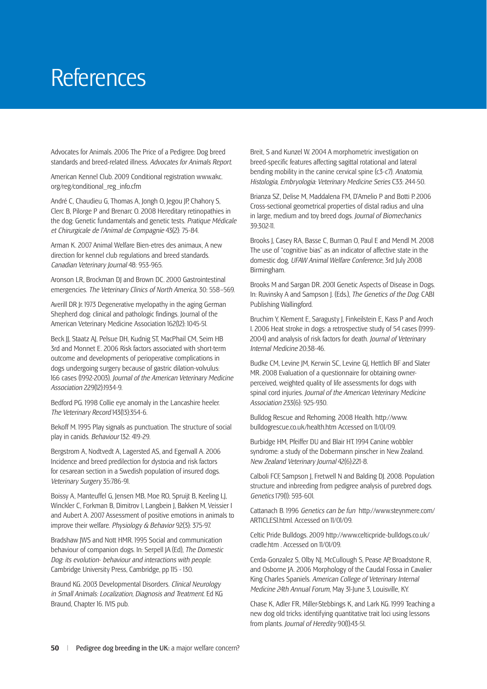# **References**

Advocates for Animals. 2006 The Price of a Pedigree: Dog breed standards and breed-related illness. *Advocates for Animals Report*.

American Kennel Club. 2009 Conditional registration www.akc. org/reg/conditional\_reg\_info.cfm

André C, Chaudieu G, Thomas A, Jongh O, Jegou JP, Chahory S, Clerc B, Pilorge P and Brenarc O. 2008 Hereditary retinopathies in the dog: Genetic fundamentals and genetic tests. *Pratique Médicale et Chirurgicale de l'Animal de Compagnie* 43(2): 75-84.

Arman K. 2007 Animal Welfare Bien-etres des animaux, A new direction for kennel club regulations and breed standards. *Canadian Veterinary Journal* 48: 953-965.

Aronson LR, Brockman DJ and Brown DC. 2000 Gastrointestinal emergencies. *The Veterinary Clinics of North America*, 30: 558–569.

Averill DR Jr. 1973 Degenerative myelopathy in the aging German Shepherd dog: clinical and pathologic findings. Journal of the American Veterinary Medicine Association 162(12): 1045-51.

Beck JJ, Staatz AJ, Pelsue DH, Kudnig ST, MacPhail CM, Seim HB 3rd and Monnet E. 2006 Risk factors associated with short-term outcome and developments of perioperative complications in dogs undergoing surgery because of gastric dilation-volvulus: 166 cases (1992-2003). *Journal of the American Veterinary Medicine Association* 229(12):1934-9.

Bedford PG. 1998 Collie eye anomaly in the Lancashire heeler. *The Veterinary Record* 143(13):354-6.

Bekoff M. 1995 Play signals as punctuation. The structure of social play in canids. *Behaviour* 132: 419-29.

Bergstrom A, Nodtvedt A, Lagersted AS, and Egenvall A. 2006 Incidence and breed predilection for dystocia and risk factors for cesarean section in a Swedish population of insured dogs. *Veterinary Surgery* 35:786-91.

Boissy A, Manteuffel G, Jensen MB, Moe RO, Spruijt B, Keeling LJ, Winckler C, Forkman B, Dimitrov I, Langbein J, Bakken M, Veissier I and Aubert A. 2007 Assessment of positive emotions in animals to improve their welfare. *Physiology & Behavior* 92(3): 375-97.

Bradshaw JWS and Nott HMR. 1995 Social and communication behaviour of companion dogs. In: Serpell JA (Ed), *The Domestic Dog: its evolution- behaviour and interactions with people*. Cambridge University Press, Cambridge, pp 115 - 130.

Braund KG. 2003 Developmental Disorders. *Clinical Neurology in Small Animals: Localization, Diagnosis and Treatment*. Ed KG Braund, Chapter 16. IVIS pub.

Breit, S and Kunzel W. 2004 A morphometric investigation on breed-specific features affecting sagittal rotational and lateral bending mobility in the canine cervical spine (c3-c7). *Anatomia, Histologia, Embryologia: Veterinary Medicine Series* C33: 244-50.

Brianza SZ, Delise M, Maddalena FM, D'Amelio P and Botti P. 2006 Cross-sectional geometrical properties of distal radius and ulna in large, medium and toy breed dogs. *Journal of Biomechanics* 39:302-11.

Brooks J, Casey RA, Basse C, Burman O, Paul E and Mendl M. 2008 The use of "cognitive bias" as an indicator of affective state in the domestic dog, *UFAW Animal Welfare Conference*, 3rd July 2008 Birmingham.

Brooks M and Sargan DR. 2001 Genetic Aspects of Disease in Dogs. In: Ruvinsky A and Sampson J. (Eds.), *The Genetics of the Dog*. CABI Publishing Wallingford.

Bruchim Y, Klement E, Saragusty J, Finkeilstein E, Kass P and Aroch I. 2006 Heat stroke in dogs: a retrospective study of 54 cases (1999- 2004) and analysis of risk factors for death. *Journal of Veterinary Internal Medicine* 20:38-46.

Budke CM, Levine JM, Kerwin SC, Levine GJ, Hettlich BF and Slater MR. 2008 Evaluation of a questionnaire for obtaining ownerperceived, weighted quality of life assessments for dogs with spinal cord injuries. *Journal of the American Veterinary Medicine Association* 233(6): 925-930.

Bulldog Rescue and Rehoming. 2008 Health. http://www. bulldogrescue.co.uk/health.htm Accessed on 11/01/09.

Burbidge HM, Pfeiffer DU and Blair HT. 1994 Canine wobbler syndrome: a study of the Dobermann pinscher in New Zealand. *New Zealand Veterinary Journal* 42(6):221-8.

Calboli FCF, Sampson J, Fretwell N and Balding DJ. 2008. Population structure and inbreeding from pedigree analysis of purebred dogs. *Genetics* 179(1): 593-601.

Cattanach B. 1996 *Genetics can be fun* http://www.steynmere.com/ ARTICLES1.html. Accessed on 11/01/09.

Celtic Pride Bulldogs. 2009 http://www.celticpride-bulldogs.co.uk/ cradle.htm . Accessed on 11/01/09.

Cerda-Gonzalez S, Olby NJ, McCullough S, Pease AP, Broadstone R, and Osborne JA. 2006 Morphology of the Caudal Fossa in Cavalier King Charles Spaniels. *American College of Veterinary Internal Medicine 24th Annual Forum*, May 31-June 3, Louisville, KY.

Chase K, Adler FR, Miller-Stebbings K, and Lark KG. 1999 Teaching a new dog old tricks: identifying quantitative trait loci using lessons from plants. *Journal of Heredity* 90(1):43-51.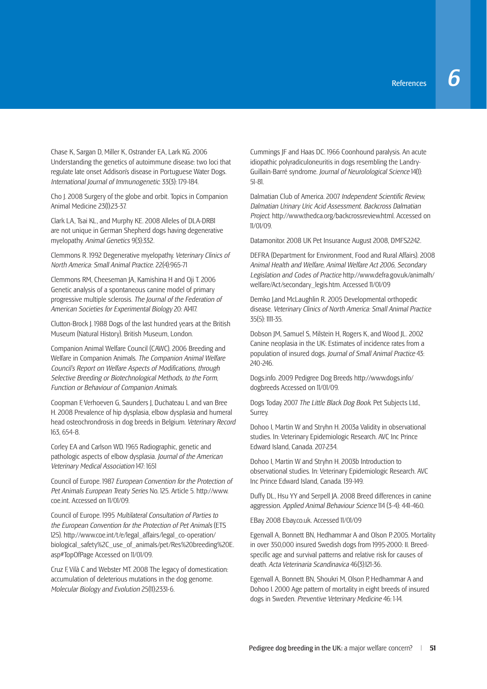Chase K, Sargan D, Miller K, Ostrander EA, Lark KG. 2006 Understanding the genetics of autoimmune disease: two loci that regulate late onset Addison's disease in Portuguese Water Dogs. *International Journal of Immunogenetic*: 33(3): 179-184.

Cho J. 2008 Surgery of the globe and orbit. Topics in Companion Animal Medicine 23(1):23-37.

Clark LA, Tsai KL, and Murphy KE. 2008 Alleles of DLA-DRB1 are not unique in German Shepherd dogs having degenerative myelopathy. *Animal Genetics* 9(3):332.

Clemmons R. 1992 Degenerative myelopathy. *Veterinary Clinics of North America: Small Animal Practice*. 22(4):965-71

Clemmons RM, Cheeseman JA, Kamishina H and Oji T. 2006 Genetic analysis of a spontaneous canine model of primary progressive multiple sclerosis. *The Journal of the Federation of American Societies for Experimental Biology* 20: A1417.

Clutton-Brock J. 1988 Dogs of the last hundred years at the British Museum (Natural History). British Museum, London.

Companion Animal Welfare Council (CAWC). 2006 Breeding and Welfare in Companion Animals. *The Companion Animal Welfare Council's Report on Welfare Aspects of Modifications, through Selective Breeding or Biotechnological Methods, to the Form, Function or Behaviour of Companion Animals*.

Coopman F, Verhoeven G, Saunders J, Duchateau L and van Bree H. 2008 Prevalence of hip dysplasia, elbow dysplasia and humeral head osteochrondrosis in dog breeds in Belgium. *Veterinary Record* 163, 654-8.

Corley EA and Carlson WD. 1965 Radiographic, genetic and pathologic aspects of elbow dysplasia. *Journal of the American Veterinary Medical Association* 147: 1651

Council of Europe. 1987 *European Convention for the Protection of Pet Animals European Treaty Series* No. 125. Article 5. http://www. coe.int. Accessed on 11/01/09.

Council of Europe. 1995 *Multilateral Consultation of Parties to the European Convention for the Protection of Pet Animals* (ETS 125). http://www.coe.int/t/e/legal\_affairs/legal\_co-operation/ biological\_safety%2C\_use\_of\_animals/pet/Res%20breeding%20E. asp#TopOfPage Accessed on 11/01/09.

Cruz F, Vilà C and Webster MT. 2008 The legacy of domestication: accumulation of deleterious mutations in the dog genome. *Molecular Biology and Evolution* 25(11):2331-6.

Cummings JF and Haas DC. 1966 Coonhound paralysis. An acute idiopathic polyradiculoneuritis in dogs resembling the Landry-Guillain-Barré syndrome. *Journal of Neurolological Science* 14(1): 51-81.

Dalmatian Club of America. 2007 Independent Scientific Review, *Dalmatian Urinary Uric Acid Assessment. Backcross Dalmatian Project*. http://www.thedca.org/backcrossreview.html. Accessed on 11/01/09.

Datamonitor. 2008 UK Pet Insurance August 2008, DMFS2242.

DEFRA (Department for Environment, Food and Rural Affairs). 2008 *Animal Health and Welfare, Animal Welfare Act 2006, Secondary Legislation and Codes of Practice* http://www.defra.gov.uk/animalh/ welfare/Act/secondary\_legis.htm. Accessed 11/01/09

Demko J,and McLaughlin R. 2005 Developmental orthopedic disease. *Veterinary Clinics of North America: Small Animal Practice*  35(5): 1111-35.

Dobson JM, Samuel S, Milstein H, Rogers K, and Wood JL. 2002 Canine neoplasia in the UK: Estimates of incidence rates from a population of insured dogs. *Journal of Small Animal Practice* 43: 240-246.

Dogs.info. 2009 Pedigree Dog Breeds http://www.dogs.info/ dogbreeds Accessed on 11/01/09.

Dogs Today. 2007 *The Little Black Dog Book*. Pet Subjects Ltd., Surrey.

Dohoo I, Martin W and Stryhn H. 2003a Validity in observational studies. In: Veterinary Epidemiologic Research. AVC Inc Prince Edward Island, Canada. 207-234.

Dohoo I, Martin W and Stryhn H. 2003b Introduction to observational studies. In: Veterinary Epidemiologic Research. AVC Inc Prince Edward Island, Canada. 139-149.

Duffy DL, Hsu YY and Serpell JA. 2008 Breed differences in canine aggression. *Applied Animal Behaviour Science* 114 (3-4): 441-460.

EBay. 2008 Ebay.co.uk. Accessed 11/01/09

Egenvall A, Bonnett BN, Hedhammar A and Olson P. 2005. Mortality in over 350,000 insured Swedish dogs from 1995-2000: II. Breedspecific age and survival patterns and relative risk for causes of death. *Acta Veterinaria Scandinavica* 46(3):121-36.

Egenvall A, Bonnett BN, Shoukri M, Olson P, Hedhammar A and Dohoo I. 2000 Age pattern of mortality in eight breeds of insured dogs in Sweden. *Preventive Veterinary Medicine* 46: 1-14.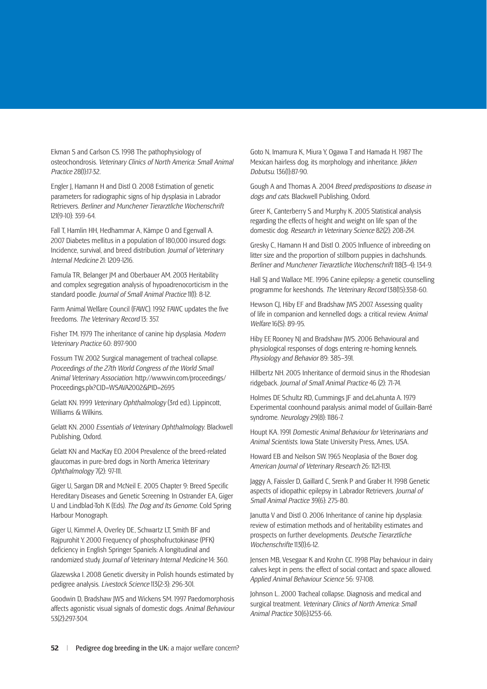Ekman S and Carlson CS. 1998 The pathophysiology of osteochondrosis. *Veterinary Clinics of North America: Small Animal Practice* 28(1):17-32.

Engler J, Hamann H and Distl O. 2008 Estimation of genetic parameters for radiographic signs of hip dysplasia in Labrador Retrievers. *Berliner and Munchener Tierarztliche Wochenschrift*  121(9-10): 359-64.

Fall T, Hamlin HH, Hedhammar A, Kämpe O and Egenvall A. 2007 Diabetes mellitus in a population of 180,000 insured dogs: Incidence, survival, and breed distribution. *Journal of Veterinary Internal Medicine* 21: 1209-1216.

Famula TR, Belanger JM and Oberbauer AM. 2003 Heritability and complex segregation analysis of hypoadrenocorticism in the standard poodle. *Journal of Small Animal Practice* 11(1): 8-12.

Farm Animal Welfare Council (FAWC). 1992 FAWC updates the five freedoms. *The Veterinary Record* 13: 357.

Fisher TM. 1979 The inheritance of canine hip dysplasia. *Modern Veterinary Practice* 60: 897-900

Fossum TW. 2002 Surgical management of tracheal collapse. *Proceedings of the 27th World Congress of the World Small Animal Veterinary Association*. http://www.vin.com/proceedings/ Proceedings.plx?CID=WSAVA2002&PID=2695

Gelatt KN. 1999 *Veterinary Ophthalmology* (3rd ed.). Lippincott, Williams & Wilkins.

Gelatt KN. 2000 *Essentials of Veterinary Ophthalmology*. Blackwell Publishing, Oxford.

Gelatt KN and MacKay EO. 2004 Prevalence of the breed-related glaucomas in pure-bred dogs in North America *Veterinary Ophthalmology* 7(2): 97-111.

Giger U, Sargan DR and McNeil E. 2005 Chapter 9: Breed Specific Hereditary Diseases and Genetic Screening: In Ostrander EA, Giger U and Lindblad-Toh K (Eds). *The Dog and Its Genome*. Cold Spring Harbour Monograph.

Giger U, Kimmel A, Overley DE, Schwartz LT, Smith BF and Rajpurohit Y. 2000 Frequency of phosphofructokinase (PFK) deficiency in English Springer Spaniels: A longitudinal and randomized study. *Journal of Veterinary Internal Medicine* 14: 360.

Glazewska I. 2008 Genetic diversity in Polish hounds estimated by pedigree analysis. *Livestock Science* 113(2-3): 296-301.

Goodwin D, Bradshaw JWS and Wickens SM. 1997 Paedomorphosis affects agonistic visual signals of domestic dogs. *Animal Behaviour* 53(2):297-304.

Goto N, Imamura K, Miura Y, Ogawa T and Hamada H. 1987 The Mexican hairless dog, its morphology and inheritance. *Jikken Dobutsu*. 136(1):87-90.

Gough A and Thomas A. 2004 *Breed predispositions to disease in dogs and cats*. Blackwell Publishing, Oxford.

Greer K, Canterberry S and Murphy K. 2005 Statistical analysis regarding the effects of height and weight on life span of the domestic dog. *Research in Veterinary Science* 82(2): 208-214.

Gresky C, Hamann H and Distl O. 2005 Influence of inbreeding on litter size and the proportion of stillborn puppies in dachshunds. *Berliner and Munchener Tierarztliche Wochenschrift* 118(3-4): 134-9.

Hall SJ and Wallace ME. 1996 Canine epilepsy: a genetic counselling programme for keeshonds. *The Veterinary Record* 138(15):358-60.

Hewson CJ, Hiby EF and Bradshaw JWS 2007. Assessing quality of life in companion and kennelled dogs: a critical review. *Animal Welfare* 16(S): 89-95.

Hiby EF, Rooney NJ and Bradshaw JWS. 2006 Behavioural and physiological responses of dogs entering re-homing kennels. *Physiology and Behavior* 89: 385–391.

Hillbertz NH. 2005 Inheritance of dermoid sinus in the Rhodesian ridgeback. *Journal of Small Animal Practice* 46 (2): 71-74.

Holmes DF, Schultz RD, Cummings JF and deLahunta A. 1979 Experimental coonhound paralysis: animal model of Guillain-Barré syndrome. *Neurology* 29(8): 1186-7.

Houpt KA. 1991 *Domestic Animal Behaviour for Veterinarians and Animal Scientists*. Iowa State University Press, Ames, USA.

Howard EB and Neilson SW. 1965 Neoplasia of the Boxer dog. *American Journal of Veterinary Research* 26: 1121-1131.

Jaggy A, Faissler D, Gaillard C, Srenk P and Graber H. 1998 Genetic aspects of idiopathic epilepsy in Labrador Retrievers. *Journal of Small Animal Practice* 39(6): 275-80.

Janutta V and Distl O. 2006 Inheritance of canine hip dysplasia: review of estimation methods and of heritability estimates and prospects on further developments. *Deutsche Tierarztliche Wochenschrifte* 113(1):6-12.

Jensen MB, Vesegaar K and Krohn CC. 1998 Play behaviour in dairy calves kept in pens: the effect of social contact and space allowed. *Applied Animal Behaviour Science* 56: 97-108.

Johnson L. 2000 Tracheal collapse. Diagnosis and medical and surgical treatment. *Veterinary Clinics of North America: Small Animal Practice* 30(6):1253-66.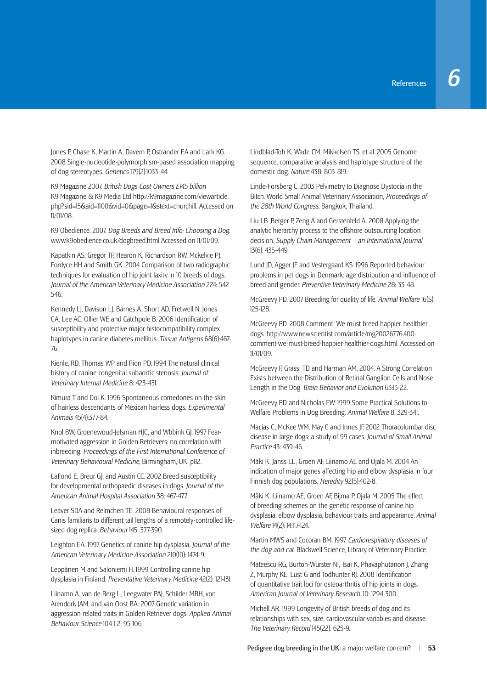Jones P, Chase K, Martin A, Davern P, Ostrander EA and Lark KG. 2008 Single-nucleotide-polymorphism-based association mapping of dog stereotypes. *Genetics* 179(2):1033-44.

K9 Magazine 2007. *British Dogs Cost Owners £145 billion* K9 Magazine & K9 Media Ltd http://k9magazine.com/viewarticle. php?sid=15&aid=1100&vid=0&page=1&stext=churchill. Accessed on 11/01/08.

K9 Obedience. 2007. *Dog Breeds and Breed Info: Choosing a Dog*. www.k9obedience.co.uk/dogbreed.html Accessed on 11/01/09.

Kapatkin AS, Gregor TP, Hearon K, Richardson RW, Mckelvie PJ, Fordyce HH and Smith GK. 2004 Comparison of two radiographic techniques for evaluation of hip joint laxity in 10 breeds of dogs. *Journal of the American Veterinary Medicine Association* 224: 542- 546.

Kennedy LJ, Davison LJ, Barnes A, Short AD, Fretwell N, Jones CA, Lee AC, Ollier WE and Catchpole B, 2006 Identification of susceptibility and protective major histocompatibility complex haplotypes in canine diabetes mellitus. *Tissue Antigens* 68(6):467- 76.

Kienle, RD, Thomas WP and Pion PD, 1994 The natural clinical history of canine congenital subaortic stenosis. *Journal of Veterinary Internal Medicine* 8: 423-431.

Kimura T and Doi K. 1996 Spontaneous comedones on the skin of hairless descendants of Mexican hairless dogs. *Experimental Animals* 45(4):377-84.

Knol BW, Groenewoud-Jelsman HJC, and Wbbink GJ. 1997 Fearmotivated aggression in Golden Retrievers: no correlation with inbreeding. *Proceedings of the First International Conference of Veterinary Behavioural Medicine*, Birmingham, UK. p112.

LaFond E, Breur GJ, and Austin CC. 2002 Breed susceptibility for developmental orthopaedic diseases in dogs. *Journal of the American Animal Hospital Association* 38: 467-477.

Leaver SDA and Reimchen TE. 2008 Behavioural responses of Canis familiaris to different tail lengths of a remotely-controlled lifesized dog replica. *Behaviour* 145: 377-390.

Leighton EA. 1997 Genetics of canine hip dysplasia. *Journal of the American Veterinary Medicine Association* 210(10): 1474-9.

Leppänen M and Saloniemi H. 1999 Controlling canine hip dysplasia in Finland. *Preventative Veterinary Medicine* 42(2): 121-131.

Liinamo A, van de Berg L, Leegwater PAJ, Schilder MBH, von Arendork JAM, and van Oost BA. 2007 Genetic variation in aggression-related traits in Golden Retriever dogs. *Applied Animal Behaviour Science* 104 1-2: 95-106.

Lindblad-Toh K, Wade CM, Mikkelsen TS, et al. 2005 Genome sequence, comparative analysis and haplotype structure of the domestic dog. *Nature* 438: 803-819.

Linde-Forsberg C. 2003 Pelvimetry to Diagnose Dystocia in the Bitch. World Small Animal Veterinary Association, *Proceedings of the 28th World Congress*, Bangkok, Thailand.

Liu LB ,Berger P, Zeng A and Gerstenfeld A. 2008 Applying the analytic hierarchy process to the offshore outsourcing location decision. *Supply Chain Management – an International Journal*  13(6): 435-449.

Lund JD, Agger JF and Vestergaard KS. 1996 Reported behaviour problems in pet dogs in Denmark: age distribution and influence of breed and gender. *Preventive Veterinary Medicine* 28: 33-48.

McGreevy PD. 2007 Breeding for quality of life. *Animal Welfare* 16(S): 125-128.

McGreevy PD. 2008 Comment: We must breed happier, healthier dogs. http://www.newscientist.com/article/mg20026776.400 comment-we-must-breed-happier-healthier-dogs.html. Accessed on 11/01/09.

McGreevy P, Grassi TD and Harman AM. 2004. A Strong Correlation Exists between the Distribution of Retinal Ganglion Cells and Nose Length in the Dog. *Brain Behavior and Evolution* 63:13-22.

McGreevy PD and Nicholas FW. 1999 Some Practical Solutions to Welfare Problems in Dog Breeding. *Animal Welfare* 8: 329-341.

Macias C, McKee WM, May C and Innes JF. 2002 Thoracolumbar disc disease in large dogs: a study of 99 cases. *Journal of Small Animal Practice* 43: 439-46.

Mäki K, Janss LL, Groen AF, Liinamo AE and Ojala M. 2004 An indication of major genes affecting hip and elbow dysplasia in four Finnish dog populations. *Heredity* 92(5):402-8.

Mäki K, Liinamo AE, Groen AF, Bijma P, Ojala M. 2005 The effect of breeding schemes on the genetic response of canine hip dysplasia, elbow dysplasia, behaviour traits and appearance. *Animal Welfare* 14(2): 14:117-124.

Martin MWS and Cocoran BM. 1997 *Cardiorespiratory diseases of the dog and cat*. Blackwell Science, Library of Veterinary Practice.

Mateescu RG, Burton-Wurster NI, Tsai K, Phavaphutanon J, Zhang Z. Murphy KE, Lust G and Todhunter RI, 2008 Identification of quantitative trait loci for osteoarthritis of hip joints in dogs. *American Journal of Veterinary Research*. 10: 1294-300.

Michell AR. 1999 Longevity of British breeds of dog and its relationships with sex, size, cardiovascular variables and disease. *The Veterinary Record* 145(22): 625-9.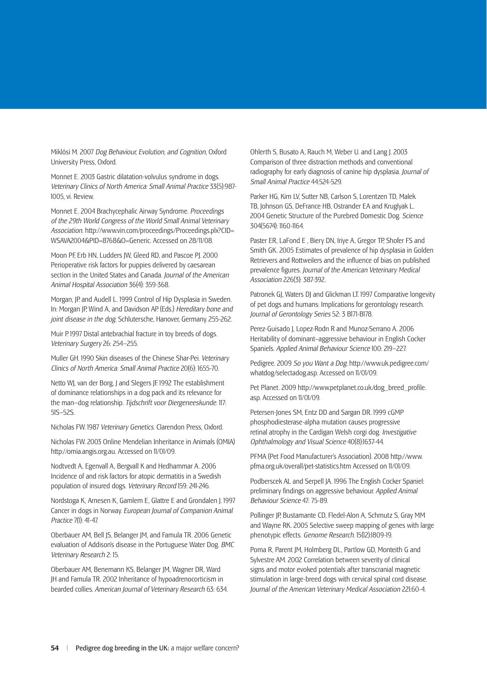Miklósi M. 2007 *Dog Behaviour, Evolution, and Cognition*, Oxford University Press, Oxford.

Monnet E. 2003 Gastric dilatation-volvulus syndrome in dogs. *Veterinary Clinics of North America: Small Animal Practice* 33(5):987- 1005, vi. Review.

Monnet E. 2004 Brachycephalic Airway Syndrome. *Proceedings of the 29th World Congress of the World Small Animal Veterinary Association*. http://www.vin.com/proceedings/Proceedings.plx?CID= WSAVA2004&PID=8768&O=Generic. Accessed on 28/11/08.

Moon PF, Erb HN, Ludders JW, Gleed RD, and Pascoe PJ, 2000 Perioperative risk factors for puppies delivered by caesarean section in the United States and Canada. *Journal of the American Animal Hospital Association* 36(4): 359-368.

Morgan, JP. and Audell L. 1999 Control of Hip Dysplasia in Sweden. In: Morgan JP, Wind A, and Davidson AP. (Eds.) *Hereditary bone and joint disease in the dog*. Schlutersche, Hanover, Germany. 255-262.

Muir P. 1997 Distal antebrachial fracture in toy breeds of dogs. *Veterinary Surgery* 26: 254–255.

Muller GH. 1990 Skin diseases of the Chinese Shar-Pei. *Veterinary Clinics of North America: Small Animal Practice* 20(6): 1655-70.

Netto WJ, van der Borg, J and Slegers JF. 1992 The establishment of dominance relationships in a dog pack and its relevance for the man–dog relationship. *Tijdschrift voor Diergeneeskunde*. 117: 51S–52S.

Nicholas FW. 1987 *Veterinary Genetics*. Clarendon Press, Oxford.

Nicholas FW. 2003 Online Mendelian Inheritance in Animals (OMIA) http://omia.angis.org.au. Accessed on 11/01/09.

Nodtvedt A, Egenvall A, Bergvall K and Hedhammar A. 2006 Incidence of and risk factors for atopic dermatitis in a Swedish population of insured dogs. *Veterinary Record* 159: 241-246.

Nordstoga K, Arnesen K, Gamlem E, Glattre E and Grondalen J. 1997 Cancer in dogs in Norway. *European Journal of Companion Animal Practice* 7(1): 41-47.

Oberbauer AM, Bell JS, Belanger JM, and Famula TR. 2006 Genetic evaluation of Addison's disease in the Portuguese Water Dog. *BMC Veterinary Research* 2: 15.

Oberbauer AM, Benemann KS, Belanger JM, Wagner DR, Ward JH and Famula TR. 2002 Inheritance of hypoadrenocorticism in bearded collies. *American Journal of Veterinary Research* 63: 634. Ohlerth S, Busato A, Rauch M, Weber U. and Lang J. 2003 Comparison of three distraction methods and conventional radiography for early diagnosis of canine hip dysplasia. *Journal of Small Animal Practice* 44:524-529.

Parker HG, Kim LV, Sutter NB, Carlson S, Lorentzen TD, Malek TB, Johnson GS, DeFrance HB, Ostrander EA and Kruglyak L. 2004 Genetic Structure of the Purebred Domestic Dog. *Science* 304(5674): 1160-1164.

Paster ER, LaFond E , Biery DN, Iriye A, Gregor TP, Shofer FS and Smith GK. 2005 Estimates of prevalence of hip dysplasia in Golden Retrievers and Rottweilers and the influence of bias on published prevalence figures. *Journal of the American Veterinary Medical Association* 226(3): 387-392.

Patronek GJ, Waters DJ and Glickman LT. 1997 Comparative longevity of pet dogs and humans: Implications for gerontology research. *Journal of Gerontology Series* 52: 3 B171-B178.

Perez-Guisado J, Lopez-Rodrı R and Munoz-Serrano A. 2006 Heritability of dominant–aggressive behaviour in English Cocker Spaniels. *Applied Animal Behaviour Science* 100: 219–227.

Pedigree. 2009 *So you Want a Dog*. http://www.uk.pedigree.com/ whatdog/selectadog.asp. Accessed on 11/01/09.

Pet Planet. 2009 http://www.petplanet.co.uk/dog\_breed\_profile. asp. Accessed on 11/01/09.

Petersen-Jones SM, Entz DD and Sargan DR. 1999 cGMP phosphodiesterase-alpha mutation causes progressive retinal atrophy in the Cardigan Welsh corgi dog. *Investigative Ophthalmology and Visual Science* 40(8):1637-44.

PFMA (Pet Food Manufacturer's Association). 2008 http://www. pfma.org.uk/overall/pet-statistics.htm Accessed on 11/01/09.

Podberscek AL and Serpell JA. 1996 The English Cocker Spaniel: preliminary findings on aggressive behaviour. *Applied Animal Behaviour Science* 47: 75-89.

Pollinger JP, Bustamante CD, Fledel-Alon A, Schmutz S, Gray MM and Wayne RK. 2005 Selective sweep mapping of genes with large phenotypic effects. *Genome Research*. 15(12):1809-19.

Poma R, Parent JM, Holmberg DL, Partlow GD, Monteith G and Sylvestre AM. 2002 Correlation between severity of clinical signs and motor evoked potentials after transcranial magnetic stimulation in large-breed dogs with cervical spinal cord disease. *Journal of the American Veterinary Medical Association* 221:60-4.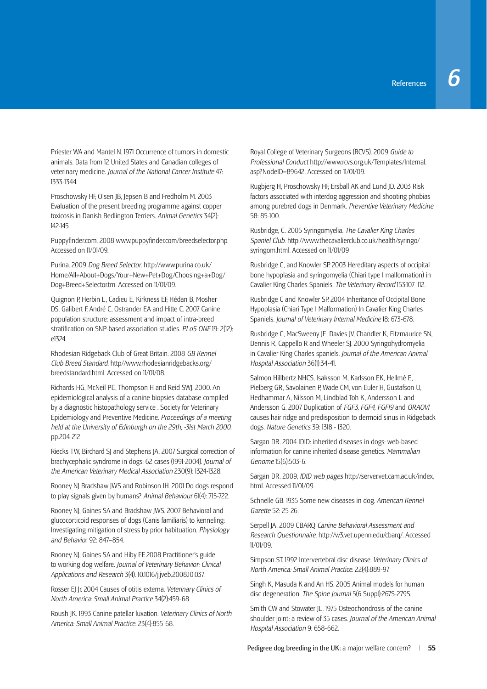Priester WA and Mantel N. 1971 Occurrence of tumors in domestic animals. Data from 12 United States and Canadian colleges of veterinary medicine. *Journal of the National Cancer Institute* 47: 1333-1344.

Proschowsky HF, Olsen JB, Jepsen B and Fredholm M. 2003 Evaluation of the present breeding programme against copper toxicosis in Danish Bedlington Terriers. *Animal Genetics* 34(2): 142-145.

Puppyfinder.com. 2008 www.puppyfinder.com/breedselector.php. Accessed on 11/01/09.

Purina. 2009 *Dog Breed Selector*. http://www.purina.co.uk/ Home/All+About+Dogs/Your+New+Pet+Dog/Choosing+a+Dog/ Dog+Breed+Selector.tm. Accessed on 11/01/09.

Quignon P, Herbin L, Cadieu E, Kirkness EF, Hédan B, Mosher DS, Galibert F, André C, Ostrander EA and Hitte C. 2007 Canine population structure: assessment and impact of intra-breed stratifi cation on SNP-based association studies. *PLoS ONE* 19: 2(12): e1324.

Rhodesian Ridgeback Club of Great Britain. 2008 *GB Kennel Club Breed Standard*. http//www.rhodesianridgebacks.org/ breedstandard.html. Accessed on 11/01/08.

Richards HG, McNeil PE, Thompson H and Reid SWJ. 2000. An epidemiological analysis of a canine biopsies database compiled by a diagnostic histopathology service . Society for Veterinary Epidemiology and Preventive Medicine. *Proceedings of a meeting held at the University of Edinburgh on the 29th, -31st March 2000*. pp.204-212

Riecks TW, Birchard SJ and Stephens JA. 2007 Surgical correction of brachycephalic syndrome in dogs: 62 cases (1991-2004). *Journal of the American Veterinary Medical Association* 230(9): 1324-1328.

Rooney NJ Bradshaw JWS and Robinson IH. 2001 Do dogs respond to play signals given by humans? *Animal Behaviour* 61(4): 715-722.

Rooney NJ, Gaines SA and Bradshaw JWS. 2007 Behavioral and glucocorticoid responses of dogs (Canis familiaris) to kenneling: Investigating mitigation of stress by prior habituation. *Physiology and Behavio*r 92: 847–854.

Rooney NJ, Gaines SA and Hiby EF. 2008 Practitioner's guide to working dog welfare. *Journal of Veterinary Behavior: Clinical Applications and Research* 3(4). 10.1016/j.jveb.2008.10.037.

Rosser EJ Jr. 2004 Causes of otitis externa. *Veterinary Clinics of North America: Small Animal Practice* 34(2):459-68

Roush JK. 1993 Canine patellar luxation. *Veterinary Clinics of North America: Small Animal Practice*. 23(4):855-68.

Royal College of Veterinary Surgeons (RCVS). 2009 *Guide to Professional Conduct* http://www.rcvs.org.uk/Templates/Internal. asp?NodeID=89642. Accessed on 11/01/09.

Rugbjerg H, Proschowsky HF, Ersball AK and Lund JD. 2003 Risk factors associated with interdog aggression and shooting phobias among purebred dogs in Denmark. *Preventive Veterinary Medicine* 58: 85-100.

Rusbridge, C. 2005 Syringomyelia. *The Cavalier King Charles Spaniel Club*. http://www.thecavalierclub.co.uk/health/syringo/ syringom.html. Accessed on 11/01/09

Rusbridge C, and Knowler SP. 2003 Hereditary aspects of occipital bone hypoplasia and syringomyelia (Chiari type I malformation) in Cavalier King Charles Spaniels. *The Veterinary Record* 153:107–112.

Rusbridge C and Knowler SP. 2004 Inheritance of Occipital Bone Hypoplasia (Chiari Type I Malformation) In Cavalier King Charles Spaniels. *Journal of Veterinary Internal Medicine* 18: 673-678.

Rusbridge C, MacSweeny JE, Davies JV, Chandler K, Fitzmaurice SN, Dennis R, Cappello R and Wheeler SJ. 2000 Syringohydromyelia in Cavalier King Charles spaniels. *Journal of the American Animal Hospital Association* 36(1):34-41.

Salmon Hillbertz NHCS, Isaksson M, Karlsson EK, Hellmé E, Pielberg GR, Savolainen P, Wade CM, von Euler H, Gustafson U, Hedhammar A, Nilsson M, Lindblad-Toh K, Andersson L and Andersson G. 2007 Duplication of *FGF3, FGF4, FGF19* and *ORAOV1* causes hair ridge and predisposition to dermoid sinus in Ridgeback dogs. *Nature Genetics* 39: 1318 - 1320.

Sargan DR. 2004 IDID: inherited diseases in dogs: web-based information for canine inherited disease genetics. *Mammalian Genome* 15(6):503-6.

Sargan DR. 2009, *IDID web pages* http://server.vet.cam.ac.uk/index. html. Accessed 11/01/09.

Schnelle GB. 1935 Some new diseases in dog. *American Kennel Gazette* 52: 25-26.

Serpell JA. 2009 CBARQ *Canine Behavioral Assessment and Research Questionnaire*. http://w3.vet.upenn.edu/cbarq/. Accessed 11/01/09.

Simpson ST. 1992 Intervertebral disc disease. *Veterinary Clinics of North America: Small Animal Practice*. 22(4):889-97.

Singh K, Masuda K and An HS. 2005 Animal models for human disc degeneration. *The Spine Journal* 5(6 Suppl):267S-279S.

Smith CW and Stowater JL. 1975 Osteochondrosis of the canine shoulder joint: a review of 35 cases. *Journal of the American Animal Hospital Association* 9: 658-662.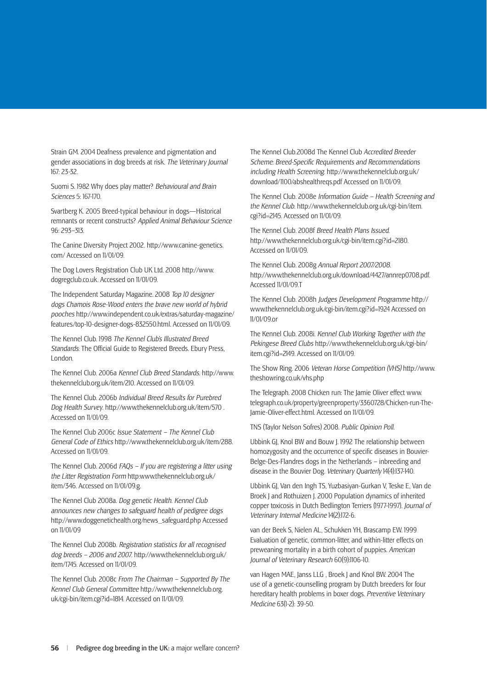Strain GM. 2004 Deafness prevalence and pigmentation and gender associations in dog breeds at risk. *The Veterinary Journal*  167: 23-32.

Suomi S. 1982 Why does play matter? *Behavioural and Brain Sciences* 5: 167-170.

Svartberg K. 2005 Breed-typical behaviour in dogs—Historical remnants or recent constructs? *Applied Animal Behaviour Science* 96: 293–313.

The Canine Diversity Project 2002. http://www.canine-genetics. com/ Accessed on 11/01/09.

The Dog Lovers Registration Club UK Ltd. 2008 http://www. dogregclub.co.uk. Accessed on 11/01/09.

The Independent Saturday Magazine. 2008 *Top 10 designer dogs Chamois Rose-Wood enters the brave new world of hybrid pooches* http://www.independent.co.uk/extras/saturday-magazine/ features/top-10-designer-dogs-832550.html. Accessed on 11/01/09.

The Kennel Club. 1998 *The Kennel Club's Illustrated Breed*  **Standards: The Official Guide to Registered Breeds. Ebury Press,** London.

The Kennel Club. 2006a *Kennel Club Breed Standards*. http://www. thekennelclub.org.uk/item/210. Accessed on 11/01/09.

The Kennel Club. 2006b *Individual Breed Results for Purebred Dog Health Survey*. http://www.thekennelclub.org.uk/item/570 . Accessed on 11/01/09.

The Kennel Club 2006c *Issue Statement – The Kennel Club General Code of Ethics* http://www.thekennelclub.org.uk/item/288. Accessed on 11/01/09.

The Kennel Club. 2006d *FAQs – If you are registering a litter using the Litter Registration Form* http:www.thekennelclub.org.uk/ item/346. Accessed on 11/01/09.g.

The Kennel Club 2008a. *Dog genetic Health. Kennel Club announces new changes to safeguard health of pedigree dogs*  http://www.doggenetichealth.org/news\_safeguard.php Accessed on 11/01/09

The Kennel Club 2008b. *Registration statistics for all recognised dog breeds – 2006 and 2007*. http://www.thekennelclub.org.uk/ item/1745. Accessed on 11/01/09.

The Kennel Club. 2008c *From The Chairman – Supported By The Kennel Club General Committee* http://www.thekennelclub.org. uk/cgi-bin/item.cgi?id=1814. Accessed on 11/01/09.

The Kennel Club.2008d The Kennel Club *Accredited Breeder*  **Scheme: Breed-Specific Requirements and Recommendations** *including Health Screening*. http://www.thekennelclub.org.uk/ download/1100/abshealthreqs.pdf Accessed on 11/01/09.

The Kennel Club. 2008e *Information Guide – Health Screening and the Kennel Club*. http://www.thekennelclub.org.uk/cgi-bin/item. cgi?id=2145. Accessed on 11/01/09.

The Kennel Club. 2008f *Breed Health Plans Issued*. http://www.thekennelclub.org.uk/cgi-bin/item.cgi?id=2180. Accessed on 11/01/09.

The Kennel Club. 2008g *Annual Report 2007/2008*. http://www.thekennelclub.org.uk/download/4427/annrep0708.pdf. Accessed 11/01/09.T

The Kennel Club. 2008h *Judges Development Programme* http:// www.thekennelclub.org.uk/cgi-bin/item.cgi?id=1924 Accessed on 11/01/09.or

The Kennel Club. 2008i. *Kennel Club Working Together with the Pekingese Breed Clubs* http://www.thekennelclub.org.uk/cgi-bin/ item.cgi?id=2149. Accessed on 11/01/09.

The Show Ring. 2006 *Veteran Horse Competition (VHS)* http://www. theshowring.co.uk/vhs.php

The Telegraph. 2008 Chicken run: The Jamie Oliver effect www. telegraph.co.uk/property/greenproperty/3360728/Chicken-run-The-Jamie-Oliver-effect.html. Accessed on 11/01/09.

TNS (Taylor Nelson Sofres) 2008. *Public Opinion Poll*.

Ubbink GJ, Knol BW and Bouw J. 1992 The relationship between homozygosity and the occurrence of specific diseases in Bouvier-Belge-Des-Flandres dogs in the Netherlands – inbreeding and disease in the Bouvier Dog. *Veterinary Quarterly* 14(4):137-140.

Ubbink GJ, Van den Ingh TS, Yuzbasiyan-Gurkan V, Teske E, Van de Broek J and Rothuizen J. 2000 Population dynamics of inherited copper toxicosis in Dutch Bedlington Terriers (1977-1997). *Journal of Veterinary Internal Medicine* 14(2):172-6.

van der Beek S, Nielen AL, Schukken YH, Brascamp EW. 1999 Evaluation of genetic, common-litter, and within-litter effects on preweaning mortality in a birth cohort of puppies. *American Journal of Veterinary Research* 60(9):1106-10.

van Hagen MAE, Janss LLG , Broek J and Knol BW. 2004 The use of a genetic-counselling program by Dutch breeders for four hereditary health problems in boxer dogs. *Preventive Veterinary Medicine* 63(1-2): 39-50.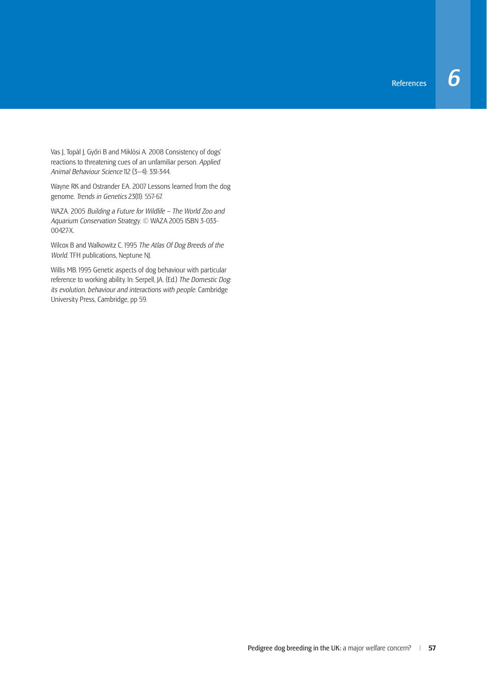Vas J, Topál J, Győri B and Miklósi A. 2008 Consistency of dogs' reactions to threatening cues of an unfamiliar person. *Applied Animal Behaviour Science* 112 (3–4): 331-344.

Wayne RK and Ostrander EA. 2007 Lessons learned from the dog genome. *Trends in Genetics* 23(11): 557-67.

WAZA. 2005 *Building a Future for Wildlife – The World Zoo and Aquarium Conservation Strategy*. © WAZA 2005 ISBN 3-033- 00427-X.

Wilcox B and Walkowitz C. 1995 *The Atlas Of Dog Breeds of the World*. TFH publications, Neptune NJ.

Willis MB. 1995 Genetic aspects of dog behaviour with particular reference to working ability. In: Serpell, JA. (Ed.) *The Domestic Dog: its evolution, behaviour and interactions with people*. Cambridge University Press, Cambridge, pp 59.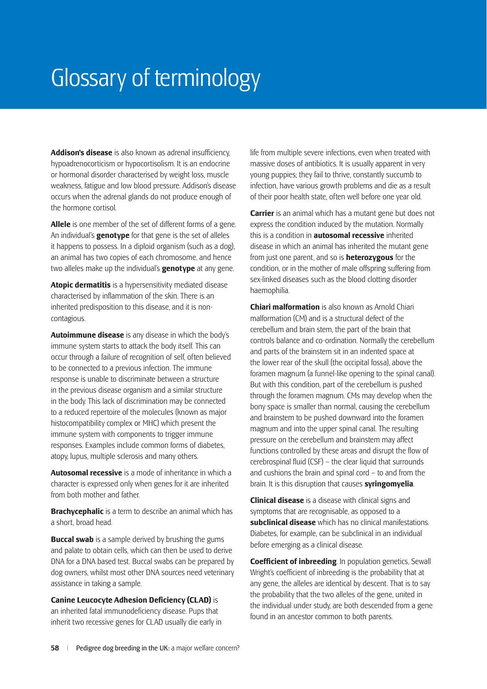# Glossary of terminology

**Addison's disease** is also known as adrenal insufficiency, hypoadrenocorticism or hypocortisolism. It is an endocrine or hormonal disorder characterised by weight loss, muscle weakness, fatigue and low blood pressure. Addison's disease occurs when the adrenal glands do not produce enough of the hormone cortisol.

**Allele** is one member of the set of different forms of a gene. An individual's **genotype** for that gene is the set of alleles it happens to possess. In a diploid organism (such as a dog), an animal has two copies of each chromosome, and hence two alleles make up the individual's **genotype** at any gene.

**Atopic dermatitis** is a hypersensitivity mediated disease characterised by inflammation of the skin. There is an inherited predisposition to this disease, and it is noncontagious.

**Autoimmune disease** is any disease in which the body's immune system starts to attack the body itself. This can occur through a failure of recognition of self, often believed to be connected to a previous infection. The immune response is unable to discriminate between a structure in the previous disease organism and a similar structure in the body. This lack of discrimination may be connected to a reduced repertoire of the molecules (known as major histocompatibility complex or MHC) which present the immune system with components to trigger immune responses. Examples include common forms of diabetes, atopy, lupus, multiple sclerosis and many others.

**Autosomal recessive** is a mode of inheritance in which a character is expressed only when genes for it are inherited from both mother and father.

**Brachycephalic** is a term to describe an animal which has a short, broad head.

**Buccal swab** is a sample derived by brushing the gums and palate to obtain cells, which can then be used to derive DNA for a DNA based test. Buccal swabs can be prepared by dog owners, whilst most other DNA sources need veterinary assistance in taking a sample.

**Canine Leucocyte Adhesion Deficiency (CLAD)** is an inherited fatal immunodeficiency disease. Pups that inherit two recessive genes for CLAD usually die early in life from multiple severe infections, even when treated with massive doses of antibiotics. It is usually apparent in very young puppies; they fail to thrive, constantly succumb to infection, have various growth problems and die as a result of their poor health state, often well before one year old.

**Carrier** is an animal which has a mutant gene but does not express the condition induced by the mutation. Normally this is a condition in **autosomal recessive** inherited disease in which an animal has inherited the mutant gene from just one parent, and so is **heterozygous** for the condition, or in the mother of male offspring suffering from sex-linked diseases such as the blood clotting disorder haemophilia.

**Chiari malformation** is also known as Arnold Chiari malformation (CM) and is a structural defect of the cerebellum and brain stem, the part of the brain that controls balance and co-ordination. Normally the cerebellum and parts of the brainstem sit in an indented space at the lower rear of the skull (the occipital fossa), above the foramen magnum (a funnel-like opening to the spinal canal). But with this condition, part of the cerebellum is pushed through the foramen magnum. CMs may develop when the bony space is smaller than normal, causing the cerebellum and brainstem to be pushed downward into the foramen magnum and into the upper spinal canal. The resulting pressure on the cerebellum and brainstem may affect functions controlled by these areas and disrupt the flow of  $c$ erebrospinal fluid  $(CSF)$  – the clear liquid that surrounds and cushions the brain and spinal cord – to and from the brain. It is this disruption that causes **syringomyelia**.

**Clinical disease** is a disease with clinical signs and symptoms that are recognisable, as opposed to a **subclinical disease** which has no clinical manifestations. Diabetes, for example, can be subclinical in an individual before emerging as a clinical disease.

**Coefficient of inbreeding**. In population genetics, Sewall Wright's coefficient of inbreeding is the probability that at any gene, the alleles are identical by descent. That is to say the probability that the two alleles of the gene, united in the individual under study, are both descended from a gene found in an ancestor common to both parents.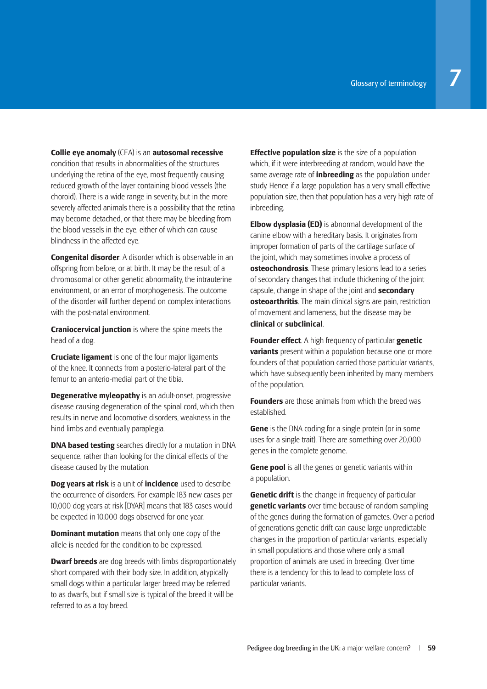**Collie eye anomaly** (CEA) is an **autosomal recessive**  condition that results in abnormalities of the structures underlying the retina of the eye, most frequently causing reduced growth of the layer containing blood vessels (the choroid). There is a wide range in severity, but in the more severely affected animals there is a possibility that the retina may become detached, or that there may be bleeding from the blood vessels in the eye, either of which can cause blindness in the affected eye.

**Congenital disorder**. A disorder which is observable in an offspring from before, or at birth. It may be the result of a chromosomal or other genetic abnormality, the intrauterine environment, or an error of morphogenesis. The outcome of the disorder will further depend on complex interactions with the post-natal environment.

**Craniocervical junction** is where the spine meets the head of a dog.

**Cruciate ligament** is one of the four major ligaments of the knee. It connects from a posterio-lateral part of the femur to an anterio-medial part of the tibia.

**Degenerative myleopathy** is an adult-onset, progressive disease causing degeneration of the spinal cord, which then results in nerve and locomotive disorders, weakness in the hind limbs and eventually paraplegia.

**DNA based testing** searches directly for a mutation in DNA sequence, rather than looking for the clinical effects of the disease caused by the mutation.

**Dog years at risk** is a unit of **incidence** used to describe the occurrence of disorders. For example 183 new cases per 10,000 dog years at risk [DYAR] means that 183 cases would be expected in 10,000 dogs observed for one year.

**Dominant mutation** means that only one copy of the allele is needed for the condition to be expressed.

**Dwarf breeds** are dog breeds with limbs disproportionately short compared with their body size. In addition, atypically small dogs within a particular larger breed may be referred to as dwarfs, but if small size is typical of the breed it will be referred to as a toy breed.

**Effective population size** is the size of a population which, if it were interbreeding at random, would have the same average rate of **inbreeding** as the population under study. Hence if a large population has a very small effective population size, then that population has a very high rate of inbreeding.

**Elbow dysplasia (ED)** is abnormal development of the canine elbow with a hereditary basis. It originates from improper formation of parts of the cartilage surface of the joint, which may sometimes involve a process of **osteochondrosis**. These primary lesions lead to a series of secondary changes that include thickening of the joint capsule, change in shape of the joint and **secondary osteoarthritis**. The main clinical signs are pain, restriction of movement and lameness, but the disease may be **clinical** or **subclinical**.

**Founder effect**. A high frequency of particular **genetic variants** present within a population because one or more founders of that population carried those particular variants, which have subsequently been inherited by many members of the population.

**Founders** are those animals from which the breed was established.

**Gene** is the DNA coding for a single protein (or in some uses for a single trait). There are something over 20,000 genes in the complete genome.

**Gene pool** is all the genes or genetic variants within a population.

**Genetic drift** is the change in frequency of particular **genetic variants** over time because of random sampling of the genes during the formation of gametes. Over a period of generations genetic drift can cause large unpredictable changes in the proportion of particular variants, especially in small populations and those where only a small proportion of animals are used in breeding. Over time there is a tendency for this to lead to complete loss of particular variants.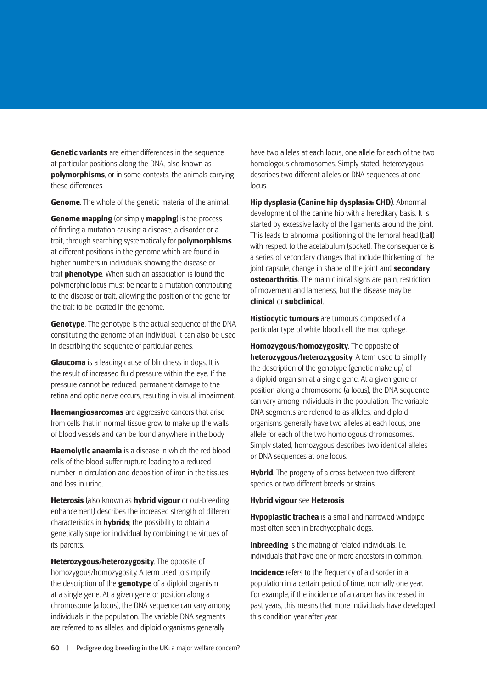**Genetic variants** are either differences in the sequence at particular positions along the DNA, also known as **polymorphisms**, or in some contexts, the animals carrying these differences.

**Genome**. The whole of the genetic material of the animal.

**Genome mapping** (or simply **mapping**) is the process of finding a mutation causing a disease, a disorder or a trait, through searching systematically for **polymorphisms** at different positions in the genome which are found in higher numbers in individuals showing the disease or trait **phenotype**. When such an association is found the polymorphic locus must be near to a mutation contributing to the disease or trait, allowing the position of the gene for the trait to be located in the genome.

**Genotype**. The genotype is the actual sequence of the DNA constituting the genome of an individual. It can also be used in describing the sequence of particular genes.

**Glaucoma** is a leading cause of blindness in dogs. It is the result of increased fluid pressure within the eve. If the pressure cannot be reduced, permanent damage to the retina and optic nerve occurs, resulting in visual impairment.

**Haemangiosarcomas** are aggressive cancers that arise from cells that in normal tissue grow to make up the walls of blood vessels and can be found anywhere in the body.

**Haemolytic anaemia** is a disease in which the red blood cells of the blood suffer rupture leading to a reduced number in circulation and deposition of iron in the tissues and loss in urine.

**Heterosis** (also known as **hybrid vigour** or out-breeding enhancement) describes the increased strength of different characteristics in **hybrids**; the possibility to obtain a genetically superior individual by combining the virtues of its parents.

**Heterozygous/heterozygosity**. The opposite of homozygous/homozygosity. A term used to simplify the description of the **genotype** of a diploid organism at a single gene. At a given gene or position along a chromosome (a locus), the DNA sequence can vary among individuals in the population. The variable DNA segments are referred to as alleles, and diploid organisms generally

have two alleles at each locus, one allele for each of the two homologous chromosomes. Simply stated, heterozygous describes two different alleles or DNA sequences at one locus.

**Hip dysplasia (Canine hip dysplasia: CHD)**. Abnormal development of the canine hip with a hereditary basis. It is started by excessive laxity of the ligaments around the joint. This leads to abnormal positioning of the femoral head (ball) with respect to the acetabulum (socket). The consequence is a series of secondary changes that include thickening of the joint capsule, change in shape of the joint and **secondary osteoarthritis**. The main clinical signs are pain, restriction of movement and lameness, but the disease may be **clinical** or **subclinical**.

**Histiocytic tumours** are tumours composed of a particular type of white blood cell, the macrophage.

**Homozygous/homozygosity**. The opposite of **heterozygous/heterozygosity**. A term used to simplify the description of the genotype (genetic make up) of a diploid organism at a single gene. At a given gene or position along a chromosome (a locus), the DNA sequence can vary among individuals in the population. The variable DNA segments are referred to as alleles, and diploid organisms generally have two alleles at each locus, one allele for each of the two homologous chromosomes. Simply stated, homozygous describes two identical alleles or DNA sequences at one locus.

**Hybrid**. The progeny of a cross between two different species or two different breeds or strains.

#### **Hybrid vigour** see **Heterosis**

**Hypoplastic trachea** is a small and narrowed windpipe. most often seen in brachycephalic dogs.

**Inbreeding** is the mating of related individuals. I.e. individuals that have one or more ancestors in common.

**Incidence** refers to the frequency of a disorder in a population in a certain period of time, normally one year. For example, if the incidence of a cancer has increased in past years, this means that more individuals have developed this condition year after year.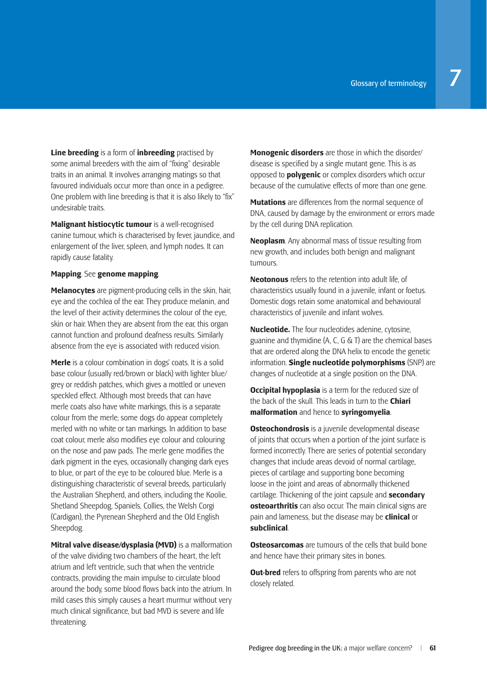**Line breeding** is a form of **inbreeding** practised by some animal breeders with the aim of "fixing" desirable traits in an animal. It involves arranging matings so that favoured individuals occur more than once in a pedigree. One problem with line breeding is that it is also likely to "fix" undesirable traits.

**Malignant histiocytic tumour** is a well-recognised canine tumour, which is characterised by fever, jaundice, and enlargement of the liver, spleen, and lymph nodes. It can rapidly cause fatality.

#### **Mapping**. See **genome mapping**.

**Melanocytes** are pigment-producing cells in the skin, hair, eye and the cochlea of the ear. They produce melanin, and the level of their activity determines the colour of the eye, skin or hair. When they are absent from the ear, this organ cannot function and profound deafness results. Similarly absence from the eye is associated with reduced vision.

**Merle** is a colour combination in dogs' coats. It is a solid base colour (usually red/brown or black) with lighter blue/ grey or reddish patches, which gives a mottled or uneven speckled effect. Although most breeds that can have merle coats also have white markings, this is a separate colour from the merle; some dogs do appear completely merled with no white or tan markings. In addition to base coat colour, merle also modifies eye colour and colouring on the nose and paw pads. The merle gene modifies the dark pigment in the eyes, occasionally changing dark eyes to blue, or part of the eye to be coloured blue. Merle is a distinguishing characteristic of several breeds, particularly the Australian Shepherd, and others, including the Koolie, Shetland Sheepdog, Spaniels, Collies, the Welsh Corgi (Cardigan), the Pyrenean Shepherd and the Old English Sheepdog.

**Mitral valve disease/dysplasia (MVD)** is a malformation of the valve dividing two chambers of the heart, the left atrium and left ventricle, such that when the ventricle contracts, providing the main impulse to circulate blood around the body, some blood flows back into the atrium. In mild cases this simply causes a heart murmur without very much clinical significance, but bad MVD is severe and life threatening.

**Monogenic disorders** are those in which the disorder/ disease is specified by a single mutant gene. This is as opposed to **polygenic** or complex disorders which occur because of the cumulative effects of more than one gene.

**Mutations** are differences from the normal sequence of DNA, caused by damage by the environment or errors made by the cell during DNA replication.

**Neoplasm**. Any abnormal mass of tissue resulting from new growth, and includes both benign and malignant tumours.

**Neotonous** refers to the retention into adult life, of characteristics usually found in a juvenile, infant or foetus. Domestic dogs retain some anatomical and behavioural characteristics of juvenile and infant wolves.

**Nucleotide.** The four nucleotides adenine, cytosine, guanine and thymidine (A, C, G & T) are the chemical bases that are ordered along the DNA helix to encode the genetic information. **Single nucleotide polymorphisms** (SNP) are changes of nucleotide at a single position on the DNA.

**Occipital hypoplasia** is a term for the reduced size of the back of the skull. This leads in turn to the **Chiari malformation** and hence to **syringomyelia**.

**Osteochondrosis** is a juvenile developmental disease of joints that occurs when a portion of the joint surface is formed incorrectly. There are series of potential secondary changes that include areas devoid of normal cartilage, pieces of cartilage and supporting bone becoming loose in the joint and areas of abnormally thickened cartilage. Thickening of the joint capsule and **secondary osteoarthritis** can also occur. The main clinical signs are pain and lameness, but the disease may be **clinical** or **subclinical**.

**Osteosarcomas** are tumours of the cells that build bone and hence have their primary sites in bones.

**Out-bred** refers to offspring from parents who are not closely related.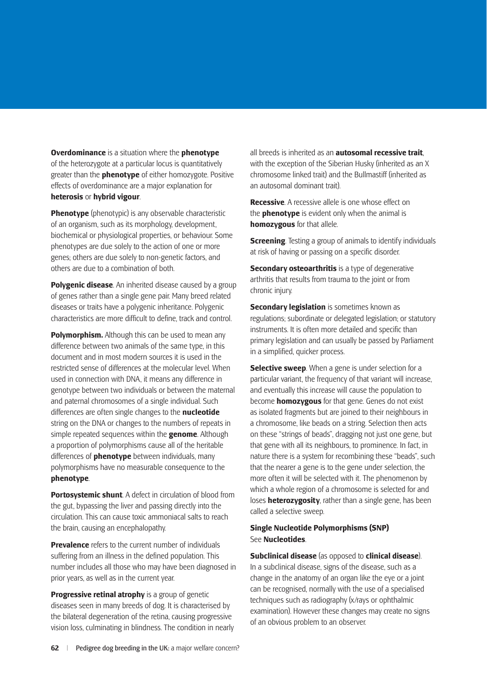**Overdominance** is a situation where the **phenotype** of the heterozygote at a particular locus is quantitatively greater than the **phenotype** of either homozygote. Positive effects of overdominance are a major explanation for **heterosis** or **hybrid vigour**.

**Phenotype** (phenotypic) is any observable characteristic of an organism, such as its morphology, development, biochemical or physiological properties, or behaviour. Some phenotypes are due solely to the action of one or more genes; others are due solely to non-genetic factors, and others are due to a combination of both.

**Polygenic disease**. An inherited disease caused by a group of genes rather than a single gene pair. Many breed related diseases or traits have a polygenic inheritance. Polygenic characteristics are more difficult to define, track and control.

**Polymorphism.** Although this can be used to mean any difference between two animals of the same type, in this document and in most modern sources it is used in the restricted sense of differences at the molecular level. When used in connection with DNA, it means any difference in genotype between two individuals or between the maternal and paternal chromosomes of a single individual. Such differences are often single changes to the **nucleotide** string on the DNA or changes to the numbers of repeats in simple repeated sequences within the **genome**. Although a proportion of polymorphisms cause all of the heritable differences of **phenotype** between individuals, many polymorphisms have no measurable consequence to the **phenotype**.

**Portosystemic shunt**. A defect in circulation of blood from the gut, bypassing the liver and passing directly into the circulation. This can cause toxic ammoniacal salts to reach the brain, causing an encephalopathy.

**Prevalence** refers to the current number of individuals suffering from an illness in the defined population. This number includes all those who may have been diagnosed in prior years, as well as in the current year.

**Progressive retinal atrophy** is a group of genetic diseases seen in many breeds of dog. It is characterised by the bilateral degeneration of the retina, causing progressive vision loss, culminating in blindness. The condition in nearly all breeds is inherited as an **autosomal recessive trait**, with the exception of the Siberian Husky (inherited as an X chromosome linked trait) and the Bullmastiff (inherited as an autosomal dominant trait).

**Recessive**. A recessive allele is one whose effect on the **phenotype** is evident only when the animal is **homozygous** for that allele.

**Screening**. Testing a group of animals to identify individuals at risk of having or passing on a specific disorder.

**Secondary osteoarthritis** is a type of degenerative arthritis that results from trauma to the joint or from chronic injury.

**Secondary legislation** is sometimes known as regulations; subordinate or delegated legislation; or statutory instruments. It is often more detailed and specific than primary legislation and can usually be passed by Parliament in a simplified, quicker process.

**Selective sweep**. When a gene is under selection for a particular variant, the frequency of that variant will increase, and eventually this increase will cause the population to become **homozygous** for that gene. Genes do not exist as isolated fragments but are joined to their neighbours in a chromosome, like beads on a string. Selection then acts on these "strings of beads", dragging not just one gene, but that gene with all its neighbours, to prominence. In fact, in nature there is a system for recombining these "beads", such that the nearer a gene is to the gene under selection, the more often it will be selected with it. The phenomenon by which a whole region of a chromosome is selected for and loses **heterozygosity**, rather than a single gene, has been called a selective sweep.

#### **Single Nucleotide Polymorphisms (SNP)** See **Nucleotides**.

**Subclinical disease** (as opposed to **clinical disease**). In a subclinical disease, signs of the disease, such as a change in the anatomy of an organ like the eye or a joint can be recognised, normally with the use of a specialised techniques such as radiography (x/rays or ophthalmic examination). However these changes may create no signs of an obvious problem to an observer.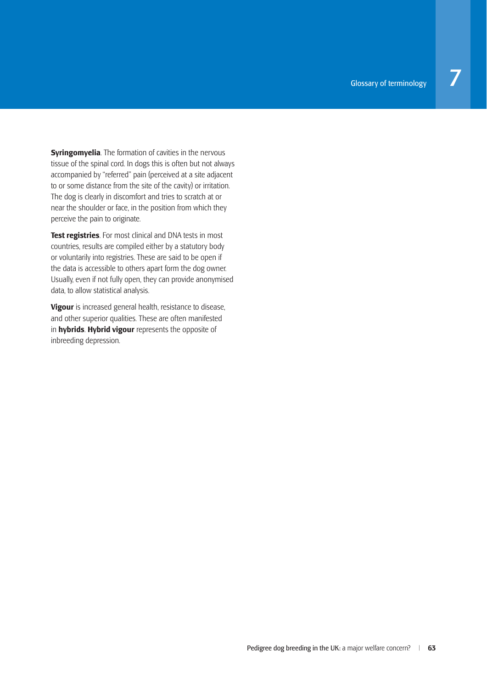**Syringomyelia**. The formation of cavities in the nervous tissue of the spinal cord. In dogs this is often but not always accompanied by "referred" pain (perceived at a site adjacent to or some distance from the site of the cavity) or irritation. The dog is clearly in discomfort and tries to scratch at or near the shoulder or face, in the position from which they perceive the pain to originate.

**Test registries**. For most clinical and DNA tests in most countries, results are compiled either by a statutory body or voluntarily into registries. These are said to be open if the data is accessible to others apart form the dog owner. Usually, even if not fully open, they can provide anonymised data, to allow statistical analysis.

**Vigour** is increased general health, resistance to disease, and other superior qualities. These are often manifested in **hybrids**. **Hybrid vigour** represents the opposite of inbreeding depression.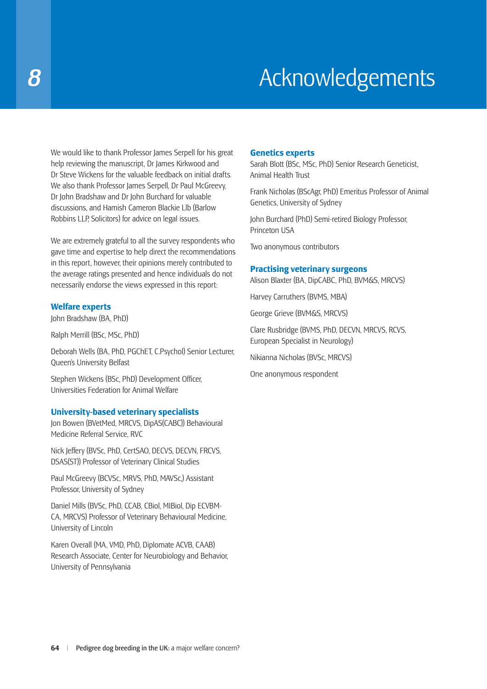# **8 Acknowledgements**

We would like to thank Professor James Serpell for his great help reviewing the manuscript, Dr James Kirkwood and Dr Steve Wickens for the valuable feedback on initial drafts. We also thank Professor James Serpell, Dr Paul McGreevy, Dr John Bradshaw and Dr John Burchard for valuable discussions, and Hamish Cameron Blackie Llb (Barlow Robbins LLP, Solicitors) for advice on legal issues.

We are extremely grateful to all the survey respondents who gave time and expertise to help direct the recommendations in this report, however, their opinions merely contributed to the average ratings presented and hence individuals do not necessarily endorse the views expressed in this report:

#### **Welfare experts**

John Bradshaw (BA, PhD)

Ralph Merrill (BSc, MSc, PhD)

Deborah Wells (BA, PhD, PGChET, C.Psychol) Senior Lecturer, Queen's University Belfast

Stephen Wickens (BSc, PhD) Development Officer, Universities Federation for Animal Welfare

#### **University-based veterinary specialists**

Jon Bowen (BVetMed, MRCVS, DipAS(CABC)) Behavioural Medicine Referral Service, RVC

Nick Jeffery (BVSc, PhD, CertSAO, DECVS, DECVN, FRCVS, DSAS(ST)) Professor of Veterinary Clinical Studies

Paul McGreevy (BCVSc, MRVS, PhD, MAVSc,) Assistant Professor, University of Sydney

Daniel Mills (BVSc, PhD, CCAB, CBiol, MIBiol, Dip ECVBM-CA, MRCVS) Professor of Veterinary Behavioural Medicine, University of Lincoln

Karen Overall (MA, VMD, PhD, Diplomate ACVB, CAAB) Research Associate, Center for Neurobiology and Behavior, University of Pennsylvania

#### **Genetics experts**

Sarah Blott (BSc, MSc, PhD) Senior Research Geneticist, Animal Health Trust

Frank Nicholas (BScAgr, PhD) Emeritus Professor of Animal Genetics, University of Sydney

John Burchard (PhD) Semi-retired Biology Professor, Princeton USA

Two anonymous contributors

#### **Practising veterinary surgeons**

Alison Blaxter (BA, DipCABC, PhD, BVM&S, MRCVS)

Harvey Carruthers (BVMS, MBA)

George Grieve (BVM&S, MRCVS)

Clare Rusbridge (BVMS, PhD, DECVN, MRCVS, RCVS, European Specialist in Neurology)

Nikianna Nicholas (BVSc, MRCVS)

One anonymous respondent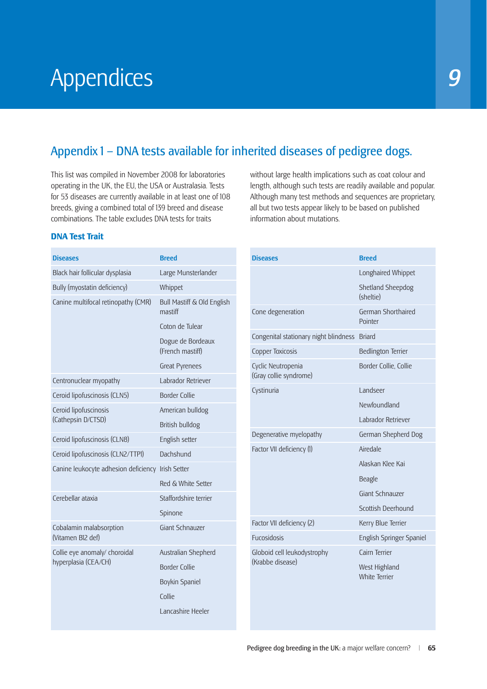# Appendices *9*

# Appendix 1 – DNA tests available for inherited diseases of pedigree dogs.

This list was compiled in November 2008 for laboratories operating in the UK, the EU, the USA or Australasia. Tests for 53 diseases are currently available in at least one of 108 breeds, giving a combined total of 139 breed and disease combinations. The table excludes DNA tests for traits

without large health implications such as coat colour and length, although such tests are readily available and popular. Although many test methods and sequences are proprietary, all but two tests appear likely to be based on published information about mutations.

#### **DNA Test Trait**

| <b>Diseases</b>                                   | <b>Breed</b>                          |
|---------------------------------------------------|---------------------------------------|
| Black hair follicular dysplasia                   | Large Munsterlander                   |
| Bully (myostatin deficiency)                      | Whippet                               |
| Canine multifocal retinopathy (CMR)               | Bull Mastiff & Old English<br>mastiff |
|                                                   | Coton de Tulear                       |
|                                                   | Dogue de Bordeaux<br>(French mastiff) |
|                                                   | <b>Great Pyrenees</b>                 |
| Centronuclear myopathy                            | Labrador Retriever                    |
| Ceroid lipofuscinosis (CLN5)                      | <b>Border Collie</b>                  |
| Ceroid lipofuscinosis                             | American bulldog                      |
| (Cathepsin D/CTSD)                                | British bulldog                       |
| Ceroid lipofuscinosis (CLN8)                      | English setter                        |
| Ceroid lipofuscinosis (CLN2/TTP1)                 | Dachshund                             |
| Canine leukocyte adhesion deficiency Irish Setter |                                       |
|                                                   | Red & White Setter                    |
| Cerebellar ataxia                                 | Staffordshire terrier                 |
|                                                   | Spinone                               |
| Cobalamin malabsorption<br>(Vitamen B12 def)      | Giant Schnauzer                       |
| Collie eye anomaly/ choroidal                     | Australian Shepherd                   |
| hyperplasia (CEA/CH)                              | <b>Border Collie</b>                  |
|                                                   | Boykin Spaniel                        |
|                                                   | Collie                                |
|                                                   | Lancashire Heeler                     |
|                                                   |                                       |

| <b>Diseases</b>                              | <b>Breed</b>                          |
|----------------------------------------------|---------------------------------------|
|                                              | Longhaired Whippet                    |
|                                              | <b>Shetland Sheepdog</b><br>(sheltie) |
| Cone degeneration                            | German Shorthaired<br>Pointer         |
| Congenital stationary night blindness        | <b>Briard</b>                         |
| Copper Toxicosis                             | <b>Bedlington Terrier</b>             |
| Cyclic Neutropenia<br>(Gray collie syndrome) | Border Collie, Collie                 |
| Cystinuria                                   | <b>Landseer</b>                       |
|                                              | Newfoundland                          |
|                                              | Labrador Retriever                    |
| Degenerative myelopathy                      | German Shepherd Dog                   |
| Factor VII deficiency (1)                    | Airedale                              |
|                                              | Alaskan Klee Kai                      |
|                                              | Beagle                                |
|                                              | Giant Schnauzer                       |
|                                              | Scottish Deerhound                    |
| Factor VII deficiency (2)                    | Kerry Blue Terrier                    |
| <b>Fucosidosis</b>                           | English Springer Spaniel              |
| Globoid cell leukodystrophy                  | Cairn Terrier                         |
| (Krabbe disease)                             | West Highland<br><b>White Terrier</b> |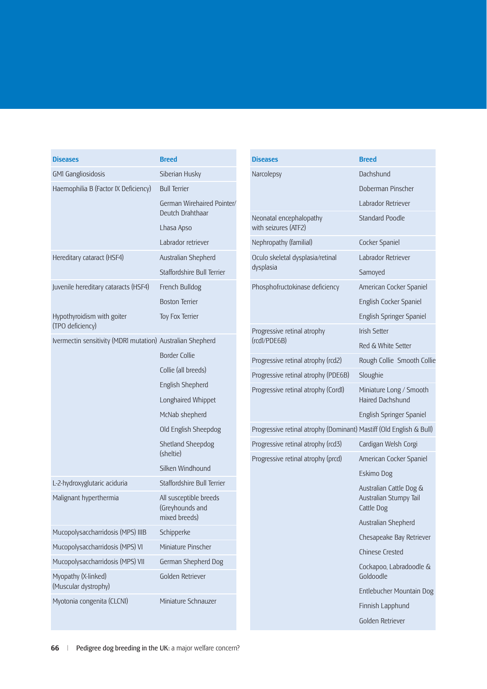| <b>Diseases</b>                                            | <b>Breed</b>                                               |
|------------------------------------------------------------|------------------------------------------------------------|
| <b>GM1 Gangliosidosis</b>                                  | Siberian Husky                                             |
| Haemophilia B (Factor IX Deficiency)                       | <b>Bull Terrier</b>                                        |
|                                                            | German Wirehaired Pointer/<br>Deutch Drahthaar             |
|                                                            | Lhasa Apso                                                 |
|                                                            | Labrador retriever                                         |
| Hereditary cataract (HSF4)                                 | Australian Shepherd                                        |
|                                                            | Staffordshire Bull Terrier                                 |
| Juvenile hereditary cataracts (HSF4)                       | French Bulldog                                             |
|                                                            | <b>Boston Terrier</b>                                      |
| Hypothyroidism with goiter<br>(TPO deficiency)             | Toy Fox Terrier                                            |
| Ivermectin sensitivity (MDRI mutation) Australian Shepherd |                                                            |
|                                                            | <b>Border Collie</b>                                       |
|                                                            | Collie (all breeds)                                        |
|                                                            | English Shepherd                                           |
|                                                            | Longhaired Whippet                                         |
|                                                            | McNab shepherd                                             |
|                                                            | Old English Sheepdog                                       |
|                                                            | Shetland Sheepdog<br>(sheltie)                             |
|                                                            | Silken Windhound                                           |
| L-2-hydroxyglutaric aciduria                               | Staffordshire Bull Terrier                                 |
| Malignant hyperthermia                                     | All susceptible breeds<br>(Greyhounds and<br>mixed breeds) |
| Mucopolysaccharridosis (MPS) IIIB                          | Schipperke                                                 |
| Mucopolysaccharridosis (MPS) VI                            | Miniature Pinscher                                         |
| Mucopolysaccharridosis (MPS) VII                           | German Shepherd Dog                                        |
| Myopathy (X-linked)<br>(Muscular dystrophy)                | Golden Retriever                                           |
| Myotonia congenita (CLCN1)                                 | Miniature Schnauzer                                        |

| <b>Diseases</b>                                                     | <b>Breed</b>                                                    |
|---------------------------------------------------------------------|-----------------------------------------------------------------|
| Narcolepsy                                                          | Dachshund                                                       |
|                                                                     | Doberman Pinscher                                               |
|                                                                     | Labrador Retriever                                              |
| Neonatal encephalopathy<br>with seizures (ATF2)                     | Standard Poodle                                                 |
| Nephropathy (familial)                                              | Cocker Spaniel                                                  |
| Oculo skeletal dysplasia/retinal                                    | Labrador Retriever                                              |
| dysplasia                                                           | Samoyed                                                         |
| Phosphofructokinase deficiency                                      | American Cocker Spaniel                                         |
|                                                                     | English Cocker Spaniel                                          |
|                                                                     | English Springer Spaniel                                        |
| Progressive retinal atrophy                                         | <b>Irish Setter</b>                                             |
| (rcd1/PDE6B)                                                        | Red & White Setter                                              |
| Progressive retinal atrophy (rcd2)                                  | Rough Collie Smooth Collie                                      |
| Progressive retinal atrophy (PDE6B)                                 | Sloughie                                                        |
| Progressive retinal atrophy (Cord1)                                 | Miniature Long / Smooth<br>Haired Dachshund                     |
|                                                                     | English Springer Spaniel                                        |
| Progressive retinal atrophy (Dominant) Mastiff (Old English & Bull) |                                                                 |
| Progressive retinal atrophy (rcd3)                                  | Cardigan Welsh Corgi                                            |
| Progressive retinal atrophy (prcd)                                  | American Cocker Spaniel                                         |
|                                                                     | Eskimo Dog                                                      |
|                                                                     | Australian Cattle Dog &<br>Australian Stumpy Tail<br>Cattle Dog |
|                                                                     | Australian Shepherd                                             |
|                                                                     | Chesapeake Bay Retriever                                        |
|                                                                     | <b>Chinese Crested</b>                                          |
|                                                                     | Cockapoo, Labradoodle &<br>Goldoodle                            |
|                                                                     | Entlebucher Mountain Dog                                        |
|                                                                     | Finnish Lapphund                                                |
|                                                                     | Golden Retriever                                                |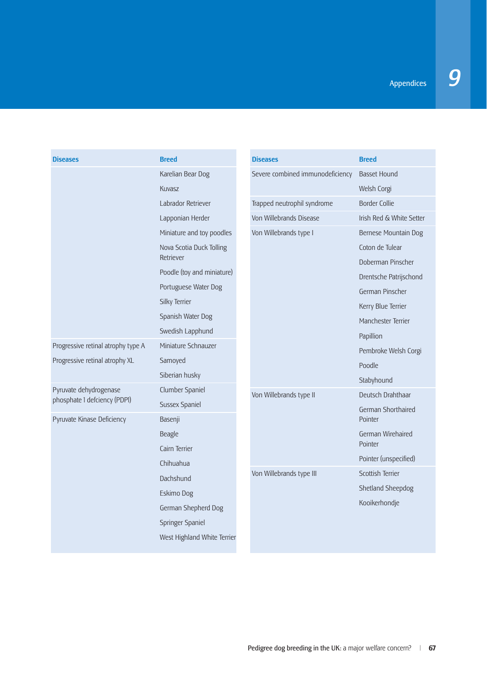| <b>Diseases</b>                    | <b>Breed</b>                          | <b>Diseases</b>                  | <b>Breed</b>                         |
|------------------------------------|---------------------------------------|----------------------------------|--------------------------------------|
|                                    | Karelian Bear Dog                     | Severe combined immunodeficiency | <b>Basset Hound</b>                  |
|                                    | Kuvasz                                |                                  | Welsh Corgi                          |
|                                    | Labrador Retriever                    | Trapped neutrophil syndrome      | <b>Border Collie</b>                 |
|                                    | Lapponian Herder                      | Von Willebrands Disease          | Irish Red & White Setter             |
|                                    | Miniature and toy poodles             | Von Willebrands type I           | Bernese Mountain Dog                 |
|                                    | Nova Scotia Duck Tolling<br>Retriever |                                  | Coton de Tulear<br>Doberman Pinscher |
|                                    | Poodle (toy and miniature)            |                                  | Drentsche Patrijschond               |
|                                    | Portuguese Water Dog                  |                                  | German Pinscher                      |
|                                    | Silky Terrier                         |                                  | Kerry Blue Terrier                   |
|                                    | Spanish Water Dog                     |                                  | Manchester Terrier                   |
|                                    | Swedish Lapphund                      |                                  | Papillion                            |
| Progressive retinal atrophy type A | Miniature Schnauzer                   |                                  | Pembroke Welsh Corgi                 |
| Progressive retinal atrophy XL     | Samoyed                               |                                  | Poodle                               |
|                                    | Siberian husky                        |                                  | Stabyhound                           |
| Pyruvate dehydrogenase             | Clumber Spaniel                       | Von Willebrands type II          | Deutsch Drahthaar                    |
| phosphate 1 defciency (PDPI)       | Sussex Spaniel                        |                                  | German Shorthaired                   |
| Pyruvate Kinase Deficiency         | Basenji                               |                                  | Pointer                              |
|                                    | Beagle                                |                                  | German Wirehaired<br>Pointer         |
|                                    | Cairn Terrier                         |                                  | Pointer (unspecified)                |
|                                    | Chihuahua                             | Von Willebrands type III         | Scottish Terrier                     |
|                                    | Dachshund                             |                                  | Shetland Sheepdog                    |
|                                    | Eskimo Dog                            |                                  |                                      |
|                                    | German Shepherd Dog                   |                                  | Kooikerhondje                        |
|                                    | Springer Spaniel                      |                                  |                                      |
|                                    | West Highland White Terrier           |                                  |                                      |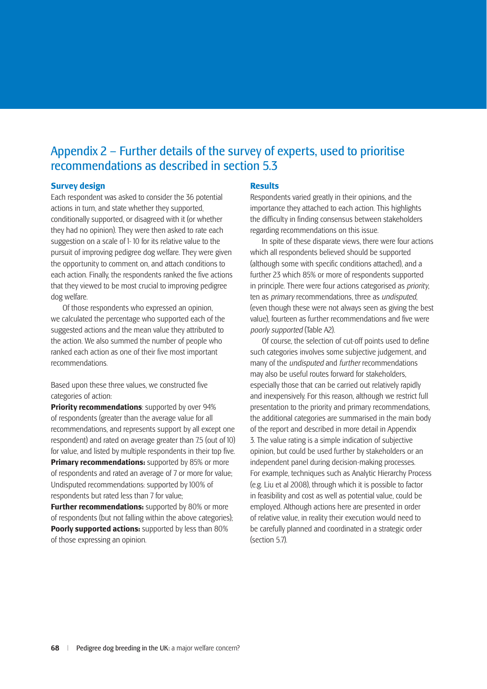## Appendix 2 – Further details of the survey of experts, used to prioritise recommendations as described in section 5.3

#### **Survey design**

Each respondent was asked to consider the 36 potential actions in turn, and state whether they supported, conditionally supported, or disagreed with it (or whether they had no opinion). They were then asked to rate each suggestion on a scale of 1- 10 for its relative value to the pursuit of improving pedigree dog welfare. They were given the opportunity to comment on, and attach conditions to each action. Finally, the respondents ranked the five actions that they viewed to be most crucial to improving pedigree dog welfare.

Of those respondents who expressed an opinion, we calculated the percentage who supported each of the suggested actions and the mean value they attributed to the action. We also summed the number of people who ranked each action as one of their five most important recommendations.

Based upon these three values, we constructed five categories of action:

**Priority recommendations**: supported by over 94% of respondents (greater than the average value for all recommendations, and represents support by all except one respondent) and rated on average greater than 7.5 (out of 10) for value, and listed by multiple respondents in their top five. **Primary recommendations:** supported by 85% or more of respondents and rated an average of 7 or more for value; Undisputed recommendations: supported by 100% of respondents but rated less than 7 for value;

**Further recommendations:** supported by 80% or more of respondents (but not falling within the above categories); **Poorly supported actions:** supported by less than 80% of those expressing an opinion.

#### **Results**

Respondents varied greatly in their opinions, and the importance they attached to each action. This highlights the difficulty in finding consensus between stakeholders regarding recommendations on this issue.

In spite of these disparate views, there were four actions which all respondents believed should be supported (although some with specific conditions attached), and a further 23 which 85% or more of respondents supported in principle. There were four actions categorised as *priority*, ten as *primary* recommendations, three as *undisputed*, (even though these were not always seen as giving the best value), fourteen as further recommendations and five were *poorly supported* (Table A2).

Of course, the selection of cut-off points used to define such categories involves some subjective judgement, and many of the *undisputed* and *further* recommendations may also be useful routes forward for stakeholders, especially those that can be carried out relatively rapidly and inexpensively. For this reason, although we restrict full presentation to the priority and primary recommendations, the additional categories are summarised in the main body of the report and described in more detail in Appendix 3. The value rating is a simple indication of subjective opinion, but could be used further by stakeholders or an independent panel during decision-making processes. For example, techniques such as Analytic Hierarchy Process (e.g. Liu et al 2008), through which it is possible to factor in feasibility and cost as well as potential value, could be employed. Although actions here are presented in order of relative value, in reality their execution would need to be carefully planned and coordinated in a strategic order (section 5.7).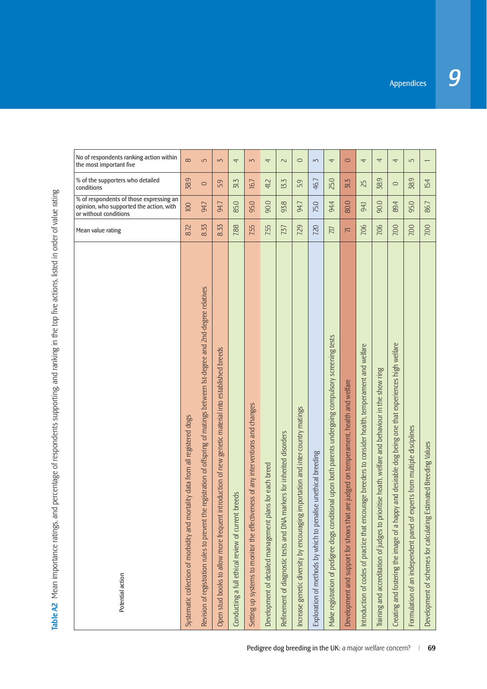| Potential action                                                                                                                  | Mean value rating | % of respondents of those expressing an<br>opinion, who supported the action, with<br>or without conditions | % of the supporters who detailed<br>conditions | No of respondents ranking action within<br>the most important five |
|-----------------------------------------------------------------------------------------------------------------------------------|-------------------|-------------------------------------------------------------------------------------------------------------|------------------------------------------------|--------------------------------------------------------------------|
| Systematic collection of morbidity and mortality data from all registered dogs                                                    | 8.72              | 100                                                                                                         | 38.9                                           | $\infty$                                                           |
| the registration of offspring of matings between Ist-degree and 2nd-degree relatives<br>Revision of registration rules to prevent | 8.33              | 94.7                                                                                                        | $\circ$                                        | 5                                                                  |
| established breeds<br>genetic material into<br>Open stud books to allow more frequent introduction of new                         | 8.33              | 94.7                                                                                                        | 59                                             | $\overline{5}$                                                     |
| Conducting a full ethical review of current breeds                                                                                | 7.88              | 85.0                                                                                                        | 31.3                                           | 4                                                                  |
| Setting up systems to monitor the effectiveness of any interventions and changes                                                  | 7.55              | 95.0                                                                                                        | 16.7                                           | $\overline{M}$                                                     |
| Development of detailed management plans for each breed                                                                           | 7.55              | 90.0                                                                                                        | 41.2                                           | 4                                                                  |
| markers for inherited disorders<br>Refinement of diagnostic tests and DNA                                                         | 737               | 93.8                                                                                                        | 13.3                                           | $\sim$                                                             |
| Increase genetic diversity by encouraging importation and inter-country matings                                                   | 7.29              | 94.7                                                                                                        | 59                                             | $\circ$                                                            |
| Exploration of methods by which to penalise unethical breeding                                                                    | 7.20              | 75.0                                                                                                        | 46.7                                           | $\sim$                                                             |
| Make registration of pedigree dogs conditional upon both parents undergoing compulsory screening tests                            | 7.17              | 94.4                                                                                                        | 25.0                                           | $\overline{4}$                                                     |
| Development and support for shows that are judged on temperament, health and welfare                                              | 戸                 | 80.0                                                                                                        | 31.3                                           | $\circ$                                                            |
| Introduction of codes of practice that encourage breeders to consider health, temperament and welfare                             | 7.06              | 941                                                                                                         | 25                                             | 4                                                                  |
| Training and accreditation of judges to prioritise heath, welfare and behaviour in the show ring                                  | 7.06              | 90.0                                                                                                        | 38.9                                           | 4                                                                  |
| Creating and fostering the image of a happy and desirable dog being one that experiences high welfare                             | 7.00              | 89.4                                                                                                        | $\circ$                                        | 4                                                                  |
| experts from multiple disciplines<br>Formulation of an independent panel of                                                       | 7.00              | 95.0                                                                                                        | 38.9                                           | 5                                                                  |
| Estimated Breeding Values<br>Development of schemes for calculating                                                               | 7.00              | 86.7                                                                                                        | 15.4                                           |                                                                    |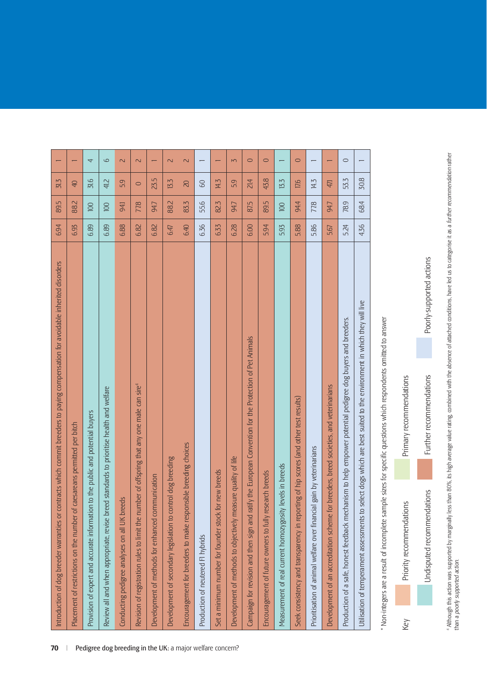| Introduction of dog breeder warranties or contracts which commit breeders to paying compensation for avoidable inherited disorders<br>70                 | 6.94 | 89.5 | 31.3            |                          |
|----------------------------------------------------------------------------------------------------------------------------------------------------------|------|------|-----------------|--------------------------|
| of caesareans permitted per bitch<br>Placement of restrictions on the number                                                                             | 6.93 | 88.2 | $\overline{40}$ |                          |
| Provision of expert and accurate information to the public and potential buyers                                                                          | 6.89 | 100  | 31.6            | 4                        |
| breed standards to prioritise health and welfare<br>Review all and when appropriate, revise<br>Pedigree dog breeding in the UK: a major welfare concern? | 6.89 | 100  | 41,2            | 9                        |
| breeds<br>Conducting pedigree analyses on all UK                                                                                                         | 6.88 | 941  | 5.9             | $\overline{\mathcal{L}}$ |
| number of offspring that any one male can sire <sup>4</sup><br>Revision of registration rules to limit the                                               | 6.82 | 77,8 | $\circ$         | $\sim$                   |
| Development of methods for enhanced communication                                                                                                        | 6.82 | 94.7 | 23.5            |                          |
| control dog breeding<br>Development of secondary legislation to                                                                                          | 6.47 | 88.2 | 13.3            | $\overline{\mathsf{C}}$  |
| Encouragement for breeders to make responsible breeding choices                                                                                          | 6.40 | 83.3 | 20              | $\overline{\mathsf{C}}$  |
| Production of neutered FI hybrids                                                                                                                        | 6.36 | 55.6 | GO              |                          |
| Set a minimum number for founder stock for new breeds                                                                                                    | 6.33 | 82.3 | 14.3            |                          |
| measure quality of life<br>Development of methods to objectively                                                                                         | 6.28 | 94.7 | 59              | $\overline{5}$           |
| ratify the European Convention for the Protection of Pet Animals<br>Campaign for revision and then sign and                                              | 6.00 | 875  | 21.4            | $\circ$                  |
| research breeds<br>Encouragement of future owners to fully                                                                                               | 5.94 | 89.5 | 43.8            | $\circ$                  |
| Measurement of real current homozygosity levels in breeds                                                                                                | 5.93 | 100  | 13.3            |                          |
| porting of hip scores (and other test results)<br>Seek consistency and transparency in re-                                                               | 5.88 | 944  | 17,6            | $\circ$                  |
| ncial gain by veterinarians<br>Prioritisation of animal welfare over finar                                                                               | 5.86 | 77.8 | 14.3            |                          |
| Development of an accreditation scheme for breeders, breed societies, and veterinarians                                                                  | 5.67 | 94.7 | 47.1            |                          |
| Production of a safe, honest feedback mechanism to help empower potential pedigree dog buyers and breeders.                                              | 5.24 | 78.9 | 53.3            | $\circ$                  |
| to select dogs which are best suited to the environment in which they will live<br>Utilisation of temperament assessments                                | 4.36 | 68.4 | 30.8            |                          |

\* Non-integers are a result of incomplete sample sizes for specific questions which respondents omitted to answer \* Non-integers are a result of incomplete sample sizes for specifi c questions which respondents omitted to answer



<sup>4</sup> Although this action was supported by marginally less than 80%, its high average value rating, combined with the absence of attached conditions, have led us to categorise it as a *further recommendation* rather<br>than a 4 Although this action was supported by marginally less than 80%, its high average value rating, combined with the absence of attached conditions, have led us to categorise it as a *further recommendation* rather than a *poorly supported action*.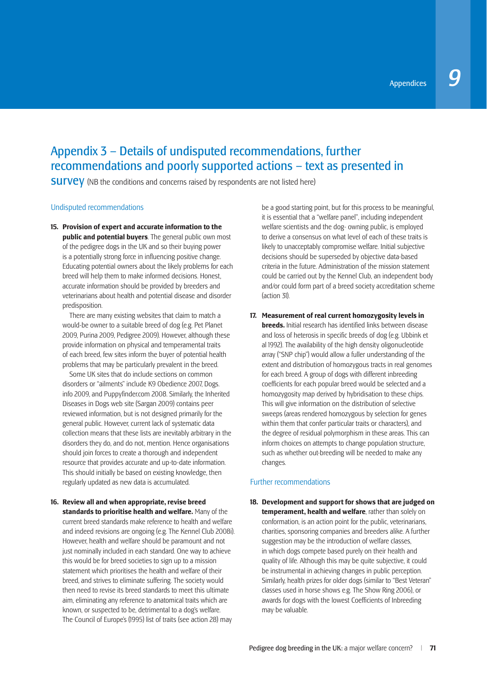## Appendix 3 – Details of undisputed recommendations, further recommendations and poorly supported actions – text as presented in

**SUIVEV** (NB the conditions and concerns raised by respondents are not listed here)

#### Undisputed recommendations

**15. Provision of expert and accurate information to the public and potential buyers**. The general public own most of the pedigree dogs in the UK and so their buying power is a potentially strong force in influencing positive change. Educating potential owners about the likely problems for each breed will help them to make informed decisions. Honest, accurate information should be provided by breeders and veterinarians about health and potential disease and disorder predisposition.

 There are many existing websites that claim to match a would-be owner to a suitable breed of dog (e.g. Pet Planet 2009, Purina 2009, Pedigree 2009). However, although these provide information on physical and temperamental traits of each breed, few sites inform the buyer of potential health problems that may be particularly prevalent in the breed.

 Some UK sites that do include sections on common disorders or "ailments" include K9 Obedience 2007, Dogs. info 2009, and Puppyfinder.com 2008. Similarly, the Inherited Diseases in Dogs web site (Sargan 2009) contains peer reviewed information, but is not designed primarily for the general public. However, current lack of systematic data collection means that these lists are inevitably arbitrary in the disorders they do, and do not, mention. Hence organisations should join forces to create a thorough and independent resource that provides accurate and up-to-date information. This should initially be based on existing knowledge, then regularly updated as new data is accumulated.

**16. Review all and when appropriate, revise breed standards to prioritise health and welfare.** Many of the current breed standards make reference to health and welfare and indeed revisions are ongoing (e.g. The Kennel Club 2008i). However, health and welfare should be paramount and not just nominally included in each standard. One way to achieve this would be for breed societies to sign up to a mission statement which prioritises the health and welfare of their breed, and strives to eliminate suffering. The society would then need to revise its breed standards to meet this ultimate aim, eliminating any reference to anatomical traits which are known, or suspected to be, detrimental to a dog's welfare. The∞Council of Europe's (1995) list of traits (see action 28) may

be a good starting point, but for this process to be meaningful, it is essential that a "welfare panel", including independent welfare scientists and the dog- owning public, is employed to derive a consensus on what level of each of these traits is likely to unacceptably compromise welfare. Initial subjective decisions should be superseded by objective data-based criteria in the future. Administration of the mission statement could be carried out by the Kennel Club, an independent body and/or could form part of a breed society accreditation scheme (action 31).

**17. Measurement of real current homozygosity levels in breeds.** Initial research has identified links between disease and loss of heterosis in specific breeds of dog (e.g. Ubbink et al 1992). The availability of the high density oligonucleotide array ("SNP chip") would allow a fuller understanding of the extent and distribution of homozygous tracts in real genomes for each breed. A group of dogs with different inbreeding coefficients for each popular breed would be selected and a homozygosity map derived by hybridisation to these chips. This will give information on the distribution of selective sweeps (areas rendered homozygous by selection for genes within them that confer particular traits or characters), and the degree of residual polymorphism in these areas. This can inform choices on attempts to change population structure, such as whether out-breeding will be needed to make any changes.

#### Further recommendations

**18. Development and support for shows that are judged on temperament, health and welfare**, rather than solely on conformation, is an action point for the public, veterinarians, charities, sponsoring companies and breeders alike. A further suggestion may be the introduction of welfare classes, in which dogs compete based purely on their health and quality of life. Although this may be quite subjective, it could be instrumental in achieving changes in public perception. Similarly, health prizes for older dogs (similar to "Best Veteran" classes used in horse shows e.g. The Show Ring 2006), or awards for dogs with the lowest Coefficients of Inbreeding may∞be valuable.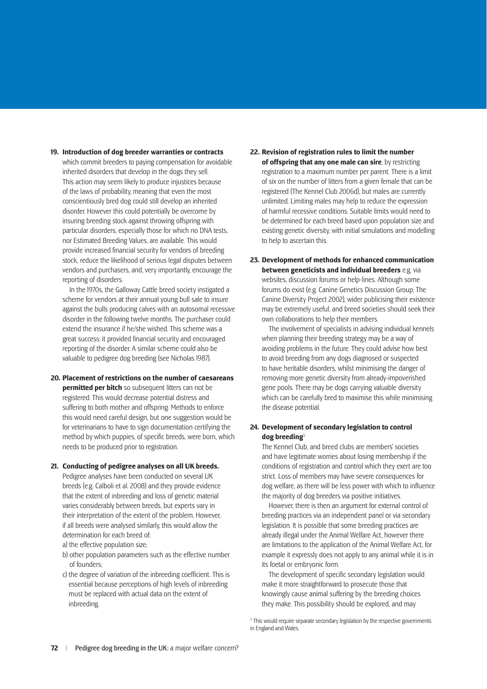#### **19. Introduction of dog breeder warranties or contracts**

which commit breeders to paying compensation for avoidable inherited disorders that develop in the dogs they sell. This action may seem likely to produce injustices because of the laws of probability, meaning that even the most conscientiously bred dog could still develop an inherited disorder. However this could potentially be overcome by insuring breeding stock against throwing offspring with particular disorders, especially those for which no DNA tests, nor Estimated Breeding Values, are available. This would provide increased financial security for vendors of breeding stock, reduce the likelihood of serious legal disputes between vendors and purchasers, and, very importantly, encourage the reporting of disorders.

 In the 1970s, the Galloway Cattle breed society instigated a scheme for vendors at their annual young bull sale to insure against the bulls producing calves with an autosomal recessive disorder in the following twelve months. The purchaser could extend the insurance if he/she wished. This scheme was a great success: it provided financial security and encouraged reporting of the disorder. A similar scheme could also be valuable to pedigree dog breeding (see Nicholas 1987).

#### **20. Placement of restrictions on the number of caesareans permitted per bitch** so subsequent litters can not be registered. This would decrease potential distress and suffering to both mother and offspring. Methods to enforce this would need careful design, but one suggestion would be for veterinarians to have to sign documentation certifying the method by which puppies, of specific breeds, were born, which needs to be produced prior to registration.

#### **21. Conducting of pedigree analyses on all UK breeds.**

Pedigree analyses have been conducted on several UK breeds (e.g. Calboli et al. 2008) and they provide evidence that the extent of inbreeding and loss of genetic material varies considerably between breeds, but experts vary in their interpretation of the extent of the problem. However, if all breeds were analysed similarly, this would allow the determination for each breed of:

- a) the effective population size;
- b) other population parameters such as the effective number of founders;
- c) the degree of variation of the inbreeding coefficient. This is essential because perceptions of high levels of inbreeding must be replaced with actual data on the extent of inbreeding.

**22. Revision of registration rules to limit the number of offspring that any one male can sire**, by restricting registration to a maximum number per parent. There is a limit of six on the number of litters from a given female that can be registered (The Kennel Club 2006d), but males are currently unlimited. Limiting males may help to reduce the expression of harmful recessive conditions. Suitable limits would need to be determined for each breed based upon population size and existing genetic diversity, with initial simulations and modelling to help to ascertain this.

#### **23. Development of methods for enhanced communication between geneticists and individual breeders** e.g. via websites, discussion forums or help-lines. Although some forums do exist (e.g. Canine Genetics Discussion Group; The Canine Diversity Project 2002), wider publicising their existence may be extremely useful, and breed societies should seek their own collaborations to help their members.

 The involvement of specialists in advising individual kennels when planning their breeding strategy may be a way of avoiding problems in the future. They could advise how best to avoid breeding from any dogs diagnosed or suspected to have heritable disorders, whilst minimising the danger of removing more genetic diversity from already-impoverished gene pools. There may be dogs carrying valuable diversity which can be carefully bred to maximise this while minimising the disease potential.

#### **24. Development of secondary legislation to control dog breeding**<sup>5</sup>

The Kennel Club, and breed clubs are members' societies and have legitimate worries about losing membership if the conditions of registration and control which they exert are too strict. Loss of members may have severe consequences for dog welfare, as there will be less power with which to influence the majority of dog breeders via positive initiatives.

 However, there is then an argument for external control of breeding practices via an independent panel or via secondary legislation. It is possible that some breeding practices are already illegal under the Animal Welfare Act, however there are limitations to the application of the Animal Welfare Act, for example it expressly does not apply to any animal while it is in its foetal or embryonic form.

The development of specific secondary legislation would make it more straightforward to prosecute those that knowingly cause animal suffering by the breeding choices they make. This possibility should be explored, and may

<sup>&</sup>lt;sup>5</sup> This would require separate secondary legislation by the respective governments in England and Wales.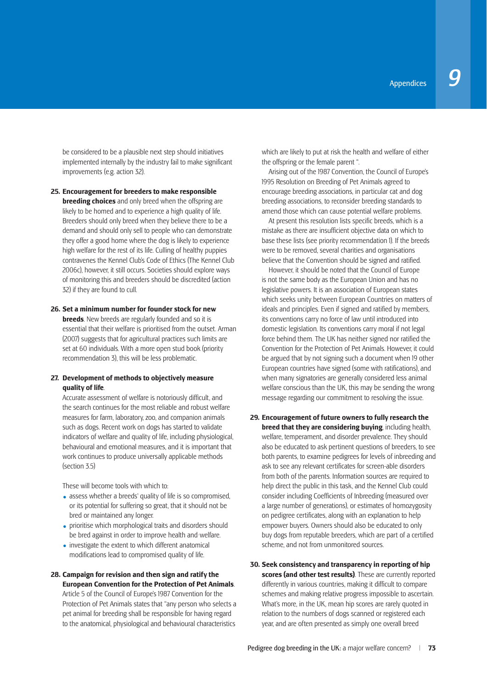be considered to be a plausible next step should initiatives implemented internally by the industry fail to make significant improvements (e.g. action 32).

**25. Encouragement for breeders to make responsible breeding choices** and only breed when the offspring are likely to be homed and to experience a high quality of life. Breeders should only breed when they believe there to be a demand and should only sell to people who can demonstrate they offer a good home where the dog is likely to experience high welfare for the rest of its life. Culling of healthy puppies contravenes the Kennel Club's Code of Ethics (The Kennel Club 2006c), however, it still occurs. Societies should explore ways of monitoring this and breeders should be discredited (action 32) if they are found to cull.

## **26. Set a minimum number for founder stock for new**

**breeds**. New breeds are regularly founded and so it is essential that their welfare is prioritised from the outset. Arman (2007) suggests that for agricultural practices such limits are set at 60 individuals. With a more open stud book (priority recommendation 3), this will be less problematic.

# **27. Development of methods to objectively measure quality of life**.

Accurate assessment of welfare is notoriously difficult, and the search continues for the most reliable and robust welfare measures for farm, laboratory, zoo, and companion animals such as dogs. Recent work on dogs has started to validate indicators of welfare and quality of life, including physiological, behavioural and emotional measures, and it is important that work continues to produce universally applicable methods (section 3.5)

These will become tools with which to:

- assess whether a breeds' quality of life is so compromised, or its potential for suffering so great, that it should not be bred or maintained any longer.
- prioritise which morphological traits and disorders should be bred against in order to improve health and∞welfare.
- investigate the extent to which different anatomical modifications lead to compromised quality of life.
- **28. Campaign for revision and then sign and ratify the European Convention for the Protection of Pet Animals**.

Article 5 of the Council of Europe's 1987 Convention for the Protection of Pet Animals states that "any person who selects a pet animal for breeding shall be responsible for having regard to the anatomical, physiological and behavioural characteristics

which are likely to put at risk the health and welfare of either the offspring or the female parent ".

 Arising out of the 1987 Convention, the Council of Europe's 1995 Resolution on Breeding of Pet Animals agreed to encourage breeding associations, in particular cat and dog breeding associations, to reconsider breeding standards to amend those which can cause potential welfare problems.

At present this resolution lists specific breeds, which is a mistake as there are insufficient objective data on which to base these lists (see priority recommendation 1). If the breeds were to be removed, several charities and organisations believe that the Convention should be signed and ratified.

 However, it should be noted that the Council of Europe is not the same body as the European Union and has no legislative powers. It is an association of European states which seeks unity between European Countries on matters of ideals and principles. Even if signed and ratified by members, its conventions carry no force of law until introduced into domestic legislation. Its conventions carry moral if not legal force behind them. The UK has neither signed nor ratified the Convention for the Protection of Pet Animals. However, it could be argued that by not signing such a document when 19 other European countries have signed (some with ratifications), and when many signatories are generally considered less animal welfare conscious than the UK, this may be sending the wrong message regarding our commitment to resolving the issue.

- **29. Encouragement of future owners to fully research the breed that they are considering buying**, including health, welfare, temperament, and disorder prevalence. They should also be educated to ask pertinent questions of breeders, to see both parents, to examine pedigrees for levels of inbreeding and ask to see any relevant certificates for screen-able disorders from both of the parents. Information sources are required to help direct the public in this task, and the Kennel Club could consider including Coefficients of Inbreeding (measured over a large number of generations), or estimates of homozygosity on pedigree certificates, along with an explanation to help empower buyers. Owners should also be educated to only buy dogs from reputable breeders, which are part of a certified scheme, and not from unmonitored sources.
- **30. Seek consistency and transparency in reporting of hip scores (and other test results)**. These are currently reported differently in various countries, making it difficult to compare schemes and making relative progress impossible to ascertain. What's more, in the UK, mean hip scores are rarely quoted in relation to the numbers of dogs scanned or registered each year, and are often presented as simply one overall breed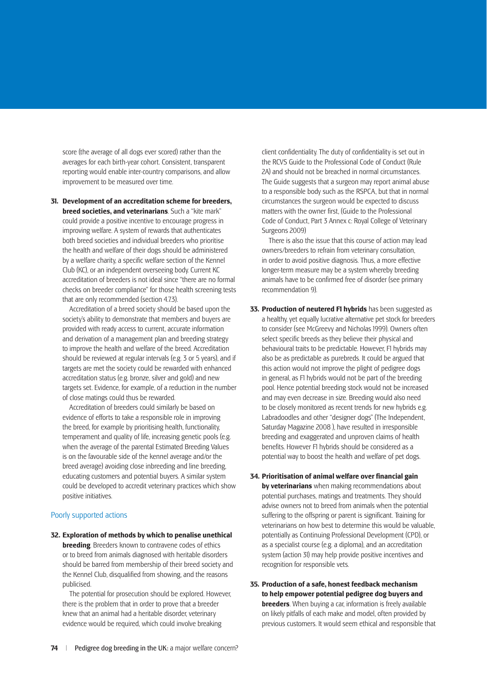score (the average of all dogs ever scored) rather than the averages for each birth-year cohort. Consistent, transparent reporting would enable inter-country comparisons, and allow improvement to be measured over time.

**31. Development of an accreditation scheme for breeders, breed societies, and veterinarians**. Such a "kite mark" could provide a positive incentive to encourage progress in improving welfare. A system of rewards that authenticates both breed societies and individual breeders who prioritise the health and welfare of their dogs should be administered by a welfare charity, a specific welfare section of the Kennel Club (KC), or an independent overseeing body. Current KC accreditation of breeders is not ideal since "there are no formal checks on breeder compliance" for those health screening tests that are only recommended (section 4.7.3).

 Accreditation of a breed society should be based upon the society's ability to demonstrate that members and buyers are provided with ready access to current, accurate information and derivation of a management plan and breeding strategy to improve the health and welfare of the breed. Accreditation should be reviewed at regular intervals (e.g. 3 or 5 years), and if targets are met the society could be rewarded with enhanced accreditation status (e.g. bronze, silver and gold) and new targets set. Evidence, for example, of a reduction in the number of close matings could thus be rewarded.

 Accreditation of breeders could similarly be based on evidence of efforts to take a responsible role in improving the breed, for example by prioritising health, functionality, temperament and quality of life, increasing genetic pools (e.g. when the average of the parental Estimated Breeding Values is on the favourable side of the kennel average and/or the breed average) avoiding close inbreeding and line breeding, educating customers and potential buyers. A similar system could be developed to accredit veterinary practices which show positive initiatives.

## Poorly supported actions

**32. Exploration of methods by which to penalise unethical breeding** Breeders known to contravene codes of ethics or to breed from animals diagnosed with heritable disorders should be barred from membership of their breed society and the Kennel Club, disqualified from showing, and the reasons publicised.

 The potential for prosecution should be explored. However, there is the problem that in order to prove that a breeder knew that an animal had a heritable disorder, veterinary evidence would be required, which could involve breaking

client confidentiality. The duty of confidentiality is set out in the RCVS Guide to the Professional Code of Conduct (Rule 2A) and should not be breached in normal circumstances. The Guide suggests that a surgeon may report animal abuse to a responsible body such as the RSPCA, but that in normal circumstances the surgeon would be expected to discuss matters with the owner first, (Guide to the Professional Code of∞Conduct, Part 3 Annex c: Royal College of Veterinary Surgeons 2009)

 There is also the issue that this course of action may lead owners/breeders to refrain from veterinary consultation, in order to avoid positive diagnosis. Thus, a more effective longer-term measure may be a system whereby breeding animals have to be confirmed free of disorder (see primary recommendation 9).

- **33. Production of neutered F1 hybrids** has been suggested as a healthy, yet equally lucrative alternative pet stock for breeders to consider (see McGreevy and Nicholas 1999). Owners often select specific breeds as they believe their physical and behavioural traits to be predictable. However, F1 hybrids may also be as predictable as purebreds. It could be argued that this action would not improve the plight of pedigree dogs in general, as F1 hybrids would not be part of the breeding pool. Hence potential breeding stock would not be increased and may even decrease in size. Breeding would also need to be closely monitored as recent trends for new hybrids e.g. Labradoodles and other "designer dogs" (The Independent, Saturday Magazine 2008 ), have resulted in irresponsible breeding and exaggerated and unproven claims of health benefits. However F1 hybrids should be considered as a potential way to boost the health and welfare of pet dogs.
- **34. Prioritisation of animal welfare over financial gain by veterinarians** when making recommendations about potential purchases, matings and treatments. They should advise owners not to breed from animals when the potential suffering to the offspring or parent is significant. Training for veterinarians on how best to determine this would be valuable, potentially as Continuing Professional Development (CPD), or as a specialist course (e.g. a diploma), and an accreditation system (action 31) may help provide positive incentives and recognition for responsible vets.
- **35. Production of a safe, honest feedback mechanism to help empower potential pedigree dog buyers and breeders**. When buying a car, information is freely available on likely pitfalls of each make and model, often provided by previous customers. It would seem ethical and responsible that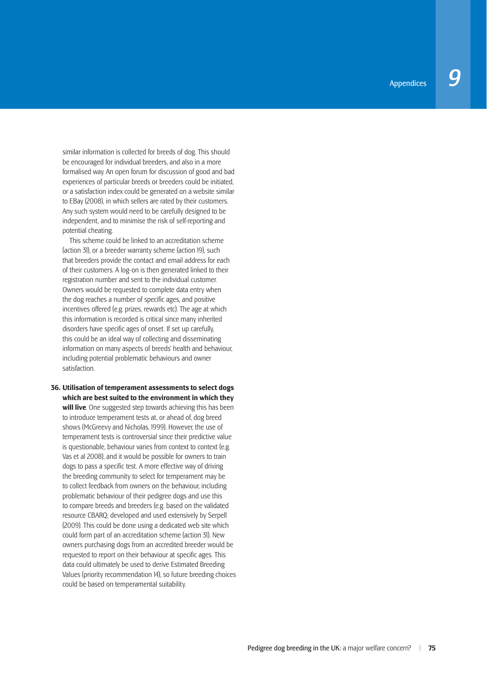similar information is collected for breeds of dog. This should be encouraged for individual breeders, and also in a more formalised way. An open forum for discussion of good and bad experiences of particular breeds or breeders could be initiated, or a satisfaction index could be generated on a website similar to EBay (2008), in which sellers are rated by their customers. Any such system would need to be carefully designed to be independent, and to minimise the risk of self-reporting and potential cheating.

 This scheme could be linked to an accreditation scheme (action 31), or a breeder warranty scheme (action 19), such that breeders provide the contact and email address for each of their customers. A log-on is then generated linked to their registration number and sent to the individual customer. Owners would be requested to complete data entry when the dog reaches a number of specific ages, and positive incentives offered (e.g. prizes, rewards etc). The age at which this information is recorded is critical since many inherited disorders have specific ages of onset. If set up carefully this could be an ideal way of collecting and disseminating information on many aspects of breeds' health and behaviour, including potential problematic behaviours and owner satisfaction.

**36. Utilisation of temperament assessments to select dogs which are best suited to the environment in which they will live**. One suggested step towards achieving this has been to introduce temperament tests at, or ahead of, dog breed shows (McGreevy and Nicholas, 1999). However, the use of temperament tests is controversial since their predictive value is questionable, behaviour varies from context to context (e.g. Vas et al 2008), and it would be possible for owners to train dogs to pass a specific test. A more effective way of driving the breeding community to select for temperament may be to collect feedback from owners on the behaviour, including problematic behaviour of their pedigree dogs and use this to compare breeds and breeders (e.g. based on the validated resource CBARQ; developed and used extensively by Serpell (2009). This could be done using a dedicated web site which could form part of an accreditation scheme (action 31). New owners purchasing dogs from an accredited breeder would be requested to report on their behaviour at specific ages. This data could ultimately be used to derive Estimated Breeding Values (priority recommendation 14), so future breeding choices could be based on temperamental suitability.